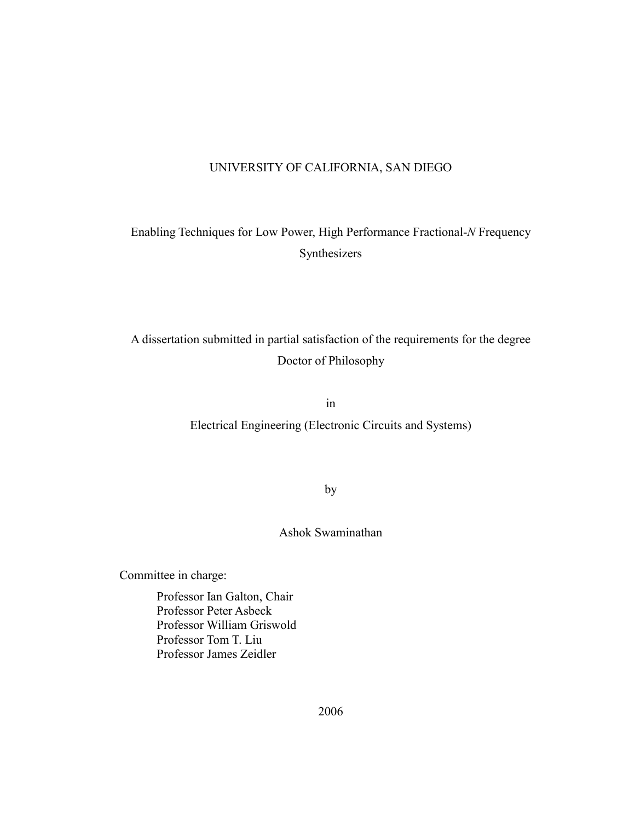#### UNIVERSITY OF CALIFORNIA, SAN DIEGO

Enabling Techniques for Low Power, High Performance Fractional-*N* Frequency Synthesizers

A dissertation submitted in partial satisfaction of the requirements for the degree Doctor of Philosophy

in

Electrical Engineering (Electronic Circuits and Systems)

by

Ashok Swaminathan

Committee in charge:

 Professor Ian Galton, Chair Professor Peter Asbeck Professor William Griswold Professor Tom T. Liu Professor James Zeidler

2006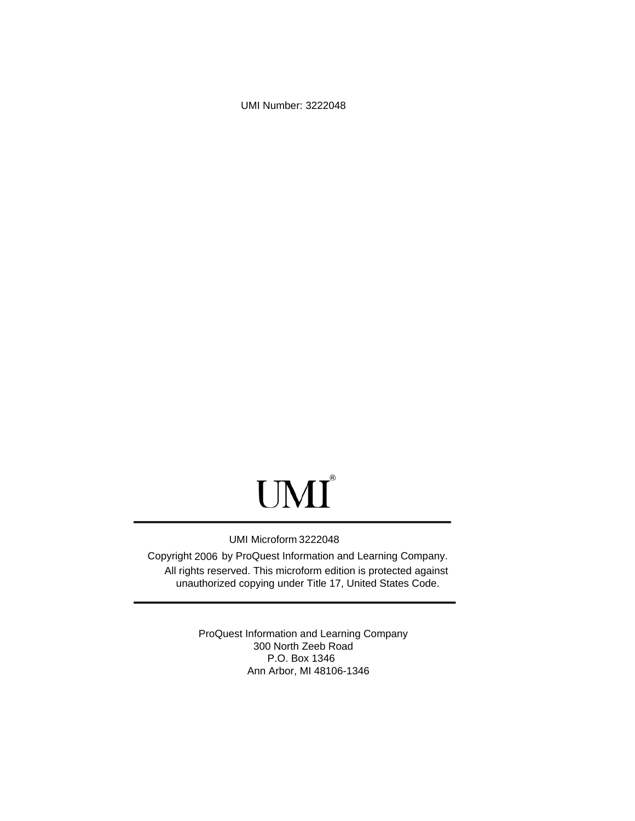UMI Number: 3222048

# UMI<sup>®</sup>

#### UMI Microform 3222048

Copyright 2006 by ProQuest Information and Learning Company. All rights reserved. This microform edition is protected against unauthorized copying under Title 17, United States Code.

> ProQuest Information and Learning Company 300 North Zeeb Road P.O. Box 1346 Ann Arbor, MI 48106-1346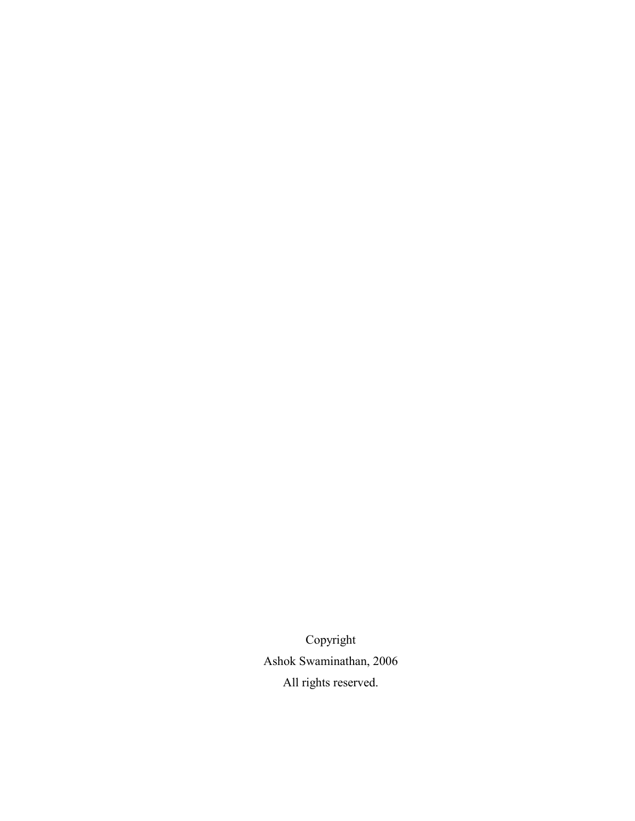Copyright Ashok Swaminathan, 2006 All rights reserved.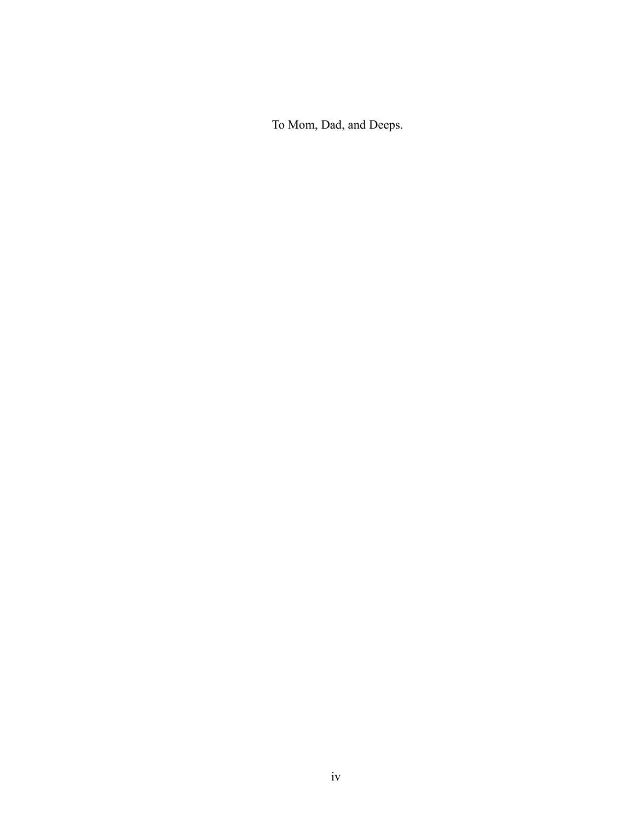To Mom, Dad, and Deeps.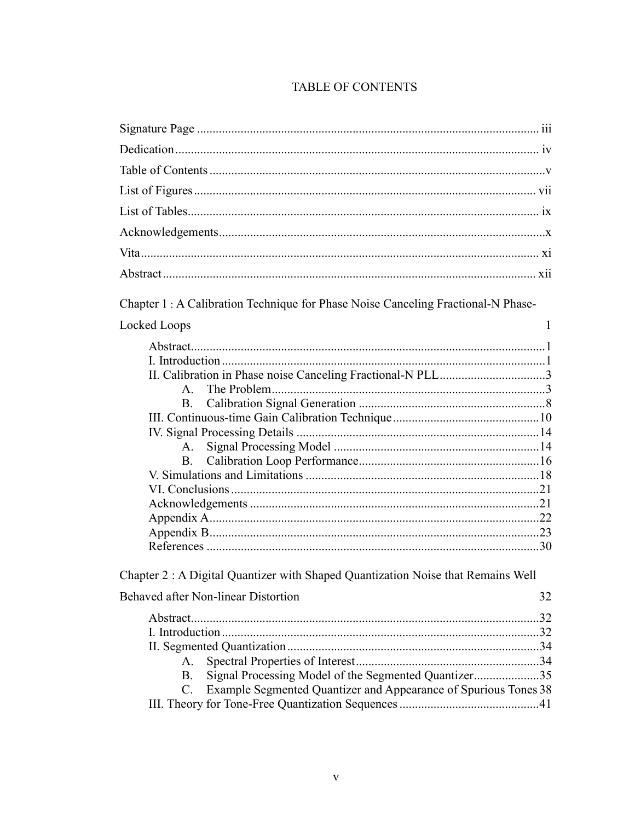#### **TABLE OF CONTENTS**

| Chapter 1 : A Calibration Technique for Phase Noise Canceling Fractional-N Phase- |              |
|-----------------------------------------------------------------------------------|--------------|
| Locked Loops                                                                      | $\mathbf{1}$ |
|                                                                                   |              |
|                                                                                   |              |
|                                                                                   |              |
| $\mathbf{A}$                                                                      |              |
| <b>B</b> .                                                                        |              |
|                                                                                   |              |
|                                                                                   |              |
| A.                                                                                |              |
| <b>B</b> .                                                                        |              |
|                                                                                   |              |
|                                                                                   |              |
|                                                                                   |              |
|                                                                                   |              |
|                                                                                   |              |
|                                                                                   |              |
| Chapter 2: A Digital Quantizer with Shaped Quantization Noise that Remains Well   |              |
| Behaved after Non-linear Distortion<br>32                                         |              |
|                                                                                   |              |
|                                                                                   |              |
|                                                                                   |              |
| A.                                                                                |              |
| Signal Processing Model of the Segmented Quantizer35<br><b>B.</b>                 |              |
| Example Segmented Quantizer and Appearance of Spurious Tones 38<br>$C_{\cdot}$    |              |
|                                                                                   |              |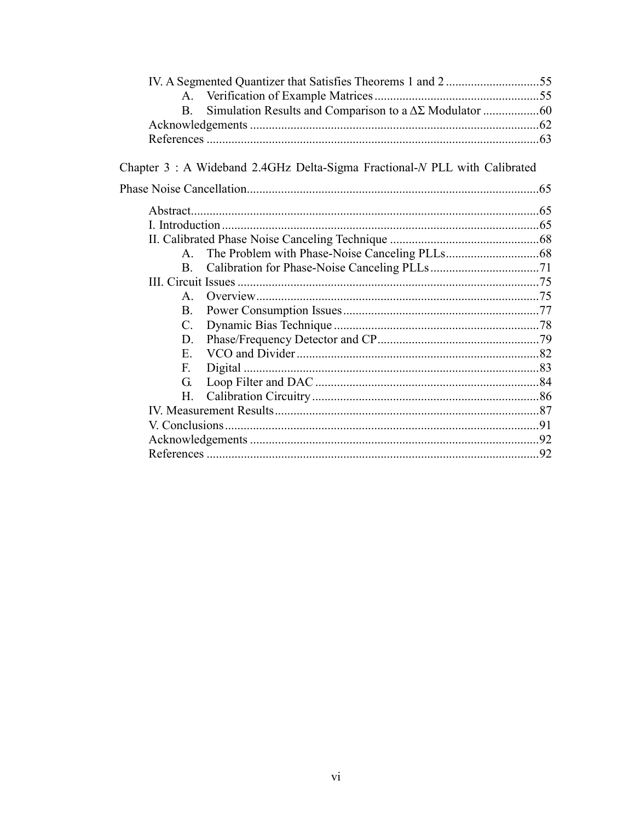| $\mathbf{A}$ |                                                                           |  |
|--------------|---------------------------------------------------------------------------|--|
| $B_{-}$      |                                                                           |  |
|              |                                                                           |  |
|              |                                                                           |  |
|              |                                                                           |  |
|              | Chapter 3: A Wideband 2.4GHz Delta-Sigma Fractional-N PLL with Calibrated |  |
|              |                                                                           |  |
|              |                                                                           |  |
|              |                                                                           |  |
|              |                                                                           |  |
| $\mathsf{A}$ |                                                                           |  |
| B.           |                                                                           |  |
|              |                                                                           |  |
| $\mathsf{A}$ |                                                                           |  |
| B.           |                                                                           |  |
| C.           |                                                                           |  |
| D.           |                                                                           |  |
| $E_{-}$      |                                                                           |  |
| $F_{\cdot}$  |                                                                           |  |
| G.           |                                                                           |  |
| H.           |                                                                           |  |
|              |                                                                           |  |
|              |                                                                           |  |
|              |                                                                           |  |
|              |                                                                           |  |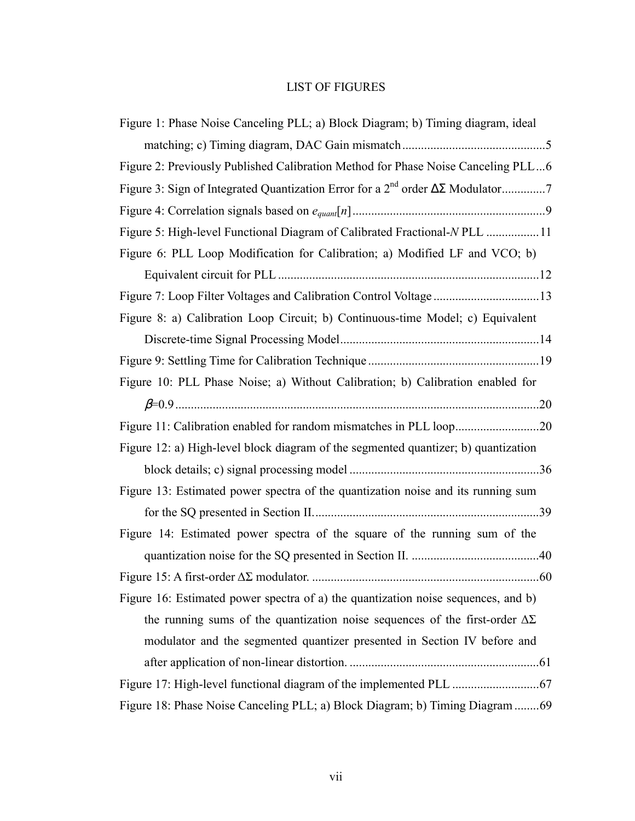#### LIST OF FIGURES

| Figure 1: Phase Noise Canceling PLL; a) Block Diagram; b) Timing diagram, ideal        |
|----------------------------------------------------------------------------------------|
|                                                                                        |
| Figure 2: Previously Published Calibration Method for Phase Noise Canceling PLL6       |
|                                                                                        |
|                                                                                        |
| Figure 5: High-level Functional Diagram of Calibrated Fractional-N PLL 11              |
| Figure 6: PLL Loop Modification for Calibration; a) Modified LF and VCO; b)            |
|                                                                                        |
| Figure 7: Loop Filter Voltages and Calibration Control Voltage 13                      |
| Figure 8: a) Calibration Loop Circuit; b) Continuous-time Model; c) Equivalent         |
|                                                                                        |
|                                                                                        |
| Figure 10: PLL Phase Noise; a) Without Calibration; b) Calibration enabled for         |
|                                                                                        |
| Figure 11: Calibration enabled for random mismatches in PLL loop20                     |
| Figure 12: a) High-level block diagram of the segmented quantizer; b) quantization     |
|                                                                                        |
| Figure 13: Estimated power spectra of the quantization noise and its running sum       |
|                                                                                        |
| Figure 14: Estimated power spectra of the square of the running sum of the             |
|                                                                                        |
|                                                                                        |
| Figure 16: Estimated power spectra of a) the quantization noise sequences, and b)      |
| the running sums of the quantization noise sequences of the first-order $\Delta\Sigma$ |
|                                                                                        |
| modulator and the segmented quantizer presented in Section IV before and               |
|                                                                                        |
|                                                                                        |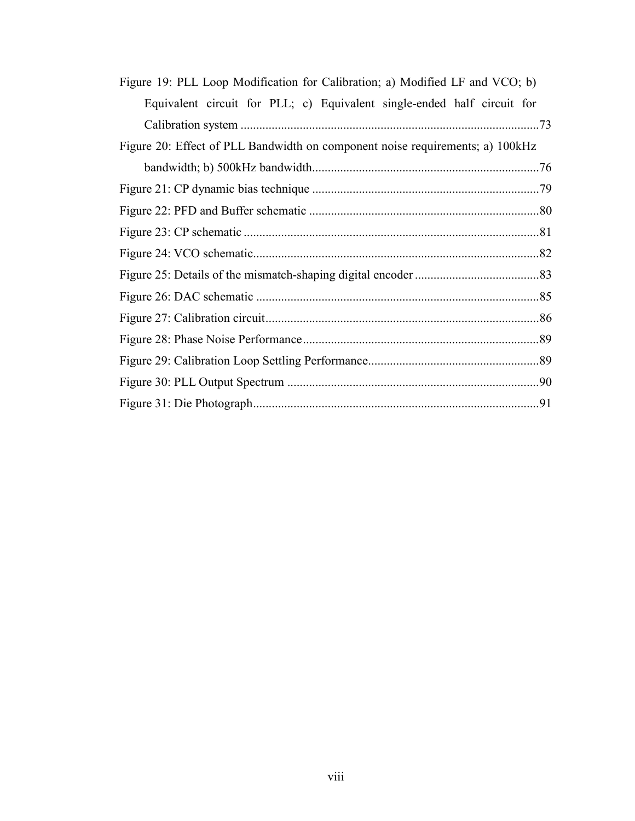| Figure 19: PLL Loop Modification for Calibration; a) Modified LF and VCO; b)  |
|-------------------------------------------------------------------------------|
| Equivalent circuit for PLL; c) Equivalent single-ended half circuit for       |
|                                                                               |
| Figure 20: Effect of PLL Bandwidth on component noise requirements; a) 100kHz |
|                                                                               |
|                                                                               |
|                                                                               |
|                                                                               |
|                                                                               |
|                                                                               |
|                                                                               |
|                                                                               |
|                                                                               |
|                                                                               |
|                                                                               |
|                                                                               |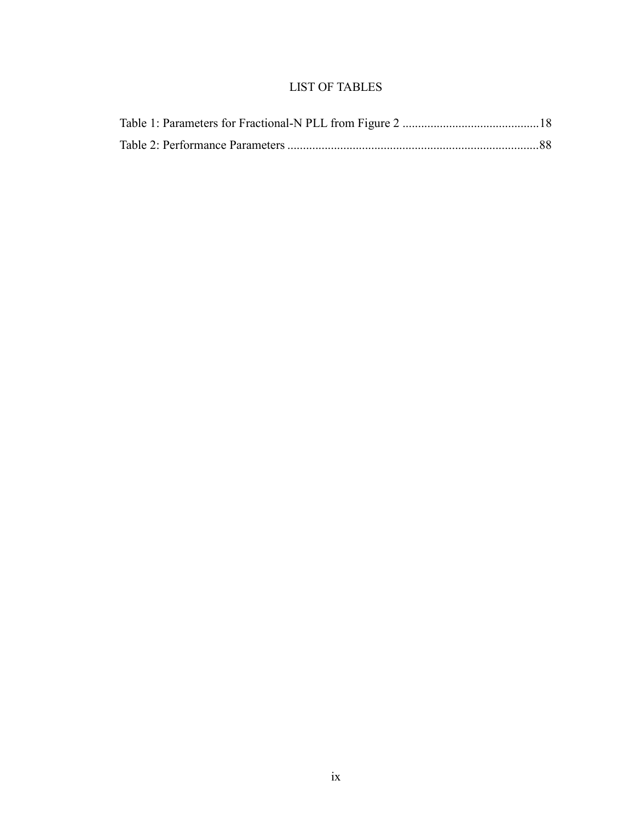#### LIST OF TABLES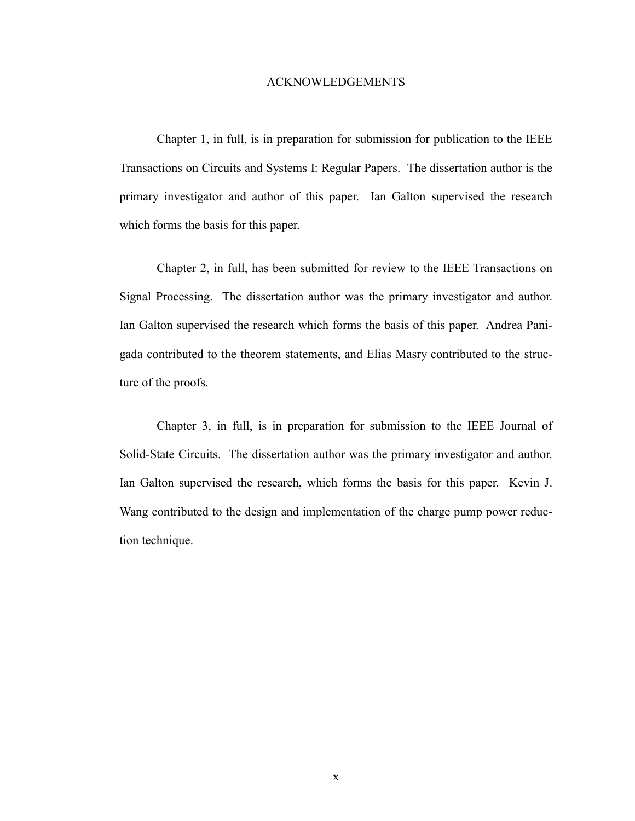#### ACKNOWLEDGEMENTS

Chapter 1, in full, is in preparation for submission for publication to the IEEE Transactions on Circuits and Systems I: Regular Papers. The dissertation author is the primary investigator and author of this paper. Ian Galton supervised the research which forms the basis for this paper.

Chapter 2, in full, has been submitted for review to the IEEE Transactions on Signal Processing. The dissertation author was the primary investigator and author. Ian Galton supervised the research which forms the basis of this paper. Andrea Panigada contributed to the theorem statements, and Elias Masry contributed to the structure of the proofs.

Chapter 3, in full, is in preparation for submission to the IEEE Journal of Solid-State Circuits. The dissertation author was the primary investigator and author. Ian Galton supervised the research, which forms the basis for this paper. Kevin J. Wang contributed to the design and implementation of the charge pump power reduction technique.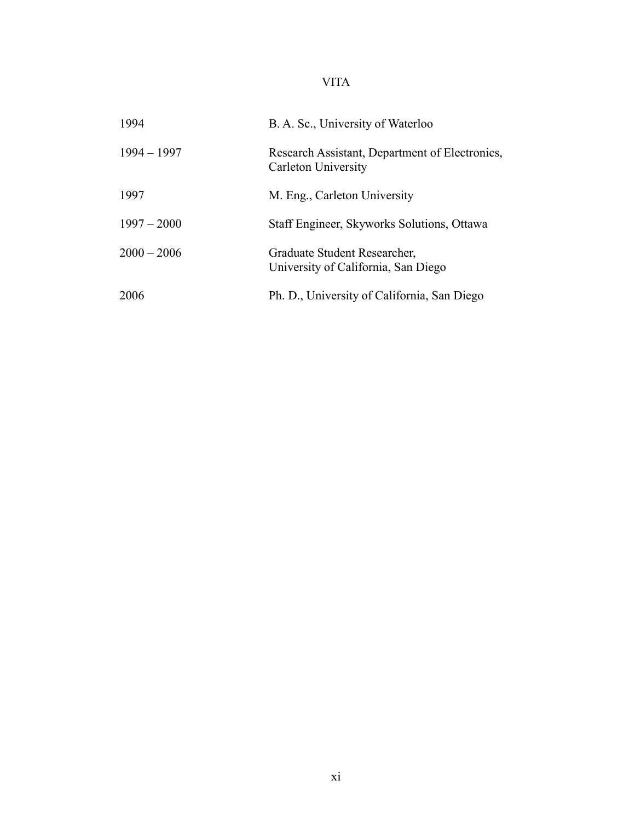## VITA

| 1994          | B. A. Sc., University of Waterloo                                            |  |
|---------------|------------------------------------------------------------------------------|--|
| $1994 - 1997$ | Research Assistant, Department of Electronics,<br><b>Carleton University</b> |  |
| 1997          | M. Eng., Carleton University                                                 |  |
| $1997 - 2000$ | Staff Engineer, Skyworks Solutions, Ottawa                                   |  |
| $2000 - 2006$ | Graduate Student Researcher,<br>University of California, San Diego          |  |
| 2006          | Ph. D., University of California, San Diego                                  |  |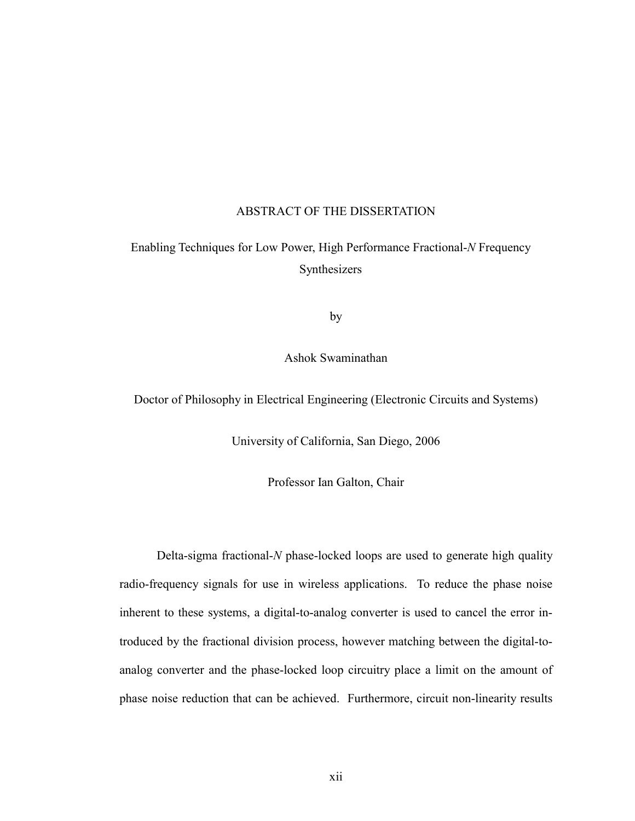#### ABSTRACT OF THE DISSERTATION

### Enabling Techniques for Low Power, High Performance Fractional-*N* Frequency Synthesizers

by

Ashok Swaminathan

Doctor of Philosophy in Electrical Engineering (Electronic Circuits and Systems)

University of California, San Diego, 2006

Professor Ian Galton, Chair

Delta-sigma fractional-*N* phase-locked loops are used to generate high quality radio-frequency signals for use in wireless applications. To reduce the phase noise inherent to these systems, a digital-to-analog converter is used to cancel the error introduced by the fractional division process, however matching between the digital-toanalog converter and the phase-locked loop circuitry place a limit on the amount of phase noise reduction that can be achieved. Furthermore, circuit non-linearity results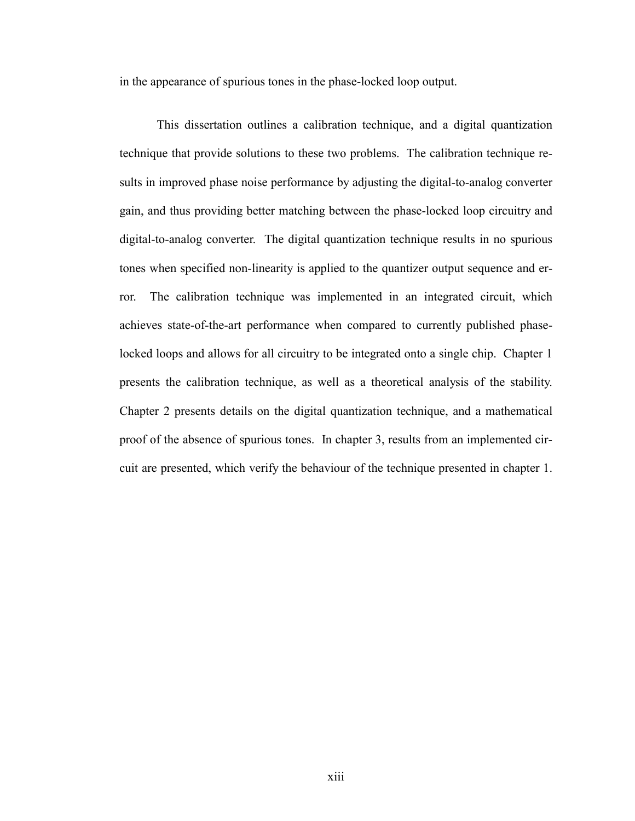in the appearance of spurious tones in the phase-locked loop output.

This dissertation outlines a calibration technique, and a digital quantization technique that provide solutions to these two problems. The calibration technique results in improved phase noise performance by adjusting the digital-to-analog converter gain, and thus providing better matching between the phase-locked loop circuitry and digital-to-analog converter. The digital quantization technique results in no spurious tones when specified non-linearity is applied to the quantizer output sequence and error. The calibration technique was implemented in an integrated circuit, which achieves state-of-the-art performance when compared to currently published phaselocked loops and allows for all circuitry to be integrated onto a single chip. Chapter 1 presents the calibration technique, as well as a theoretical analysis of the stability. Chapter 2 presents details on the digital quantization technique, and a mathematical proof of the absence of spurious tones. In chapter 3, results from an implemented circuit are presented, which verify the behaviour of the technique presented in chapter 1.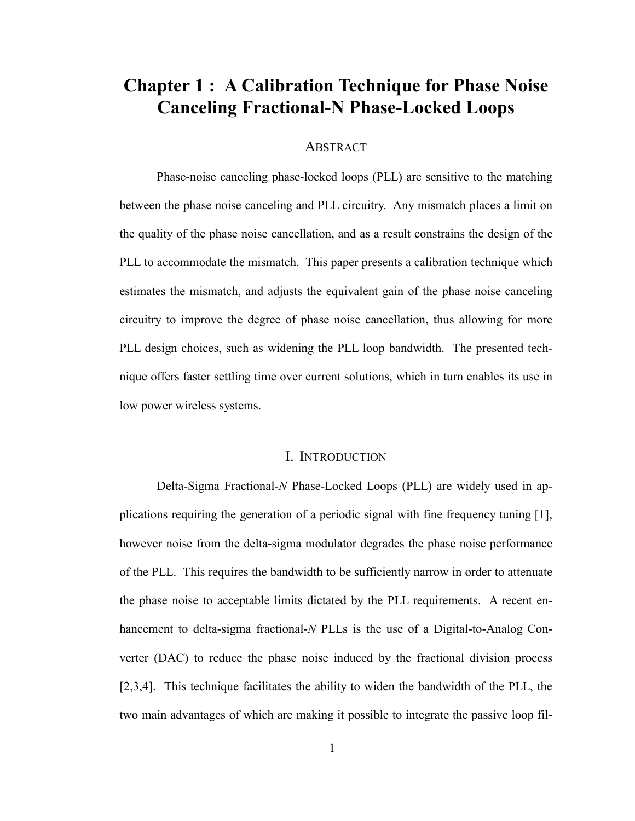# **Chapter 1 : A Calibration Technique for Phase Noise Canceling Fractional-N Phase-Locked Loops**

#### ABSTRACT

Phase-noise canceling phase-locked loops (PLL) are sensitive to the matching between the phase noise canceling and PLL circuitry. Any mismatch places a limit on the quality of the phase noise cancellation, and as a result constrains the design of the PLL to accommodate the mismatch. This paper presents a calibration technique which estimates the mismatch, and adjusts the equivalent gain of the phase noise canceling circuitry to improve the degree of phase noise cancellation, thus allowing for more PLL design choices, such as widening the PLL loop bandwidth. The presented technique offers faster settling time over current solutions, which in turn enables its use in low power wireless systems.

#### I. INTRODUCTION

Delta-Sigma Fractional-*N* Phase-Locked Loops (PLL) are widely used in applications requiring the generation of a periodic signal with fine frequency tuning [1], however noise from the delta-sigma modulator degrades the phase noise performance of the PLL. This requires the bandwidth to be sufficiently narrow in order to attenuate the phase noise to acceptable limits dictated by the PLL requirements. A recent enhancement to delta-sigma fractional-*N* PLLs is the use of a Digital-to-Analog Converter (DAC) to reduce the phase noise induced by the fractional division process [2,3,4]. This technique facilitates the ability to widen the bandwidth of the PLL, the two main advantages of which are making it possible to integrate the passive loop fil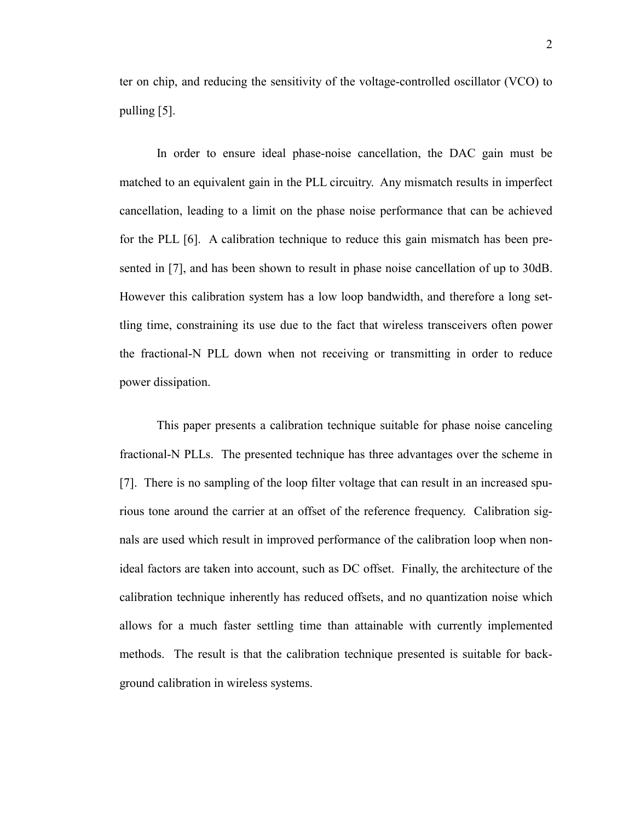ter on chip, and reducing the sensitivity of the voltage-controlled oscillator (VCO) to pulling [5].

In order to ensure ideal phase-noise cancellation, the DAC gain must be matched to an equivalent gain in the PLL circuitry. Any mismatch results in imperfect cancellation, leading to a limit on the phase noise performance that can be achieved for the PLL [6]. A calibration technique to reduce this gain mismatch has been presented in [7], and has been shown to result in phase noise cancellation of up to 30dB. However this calibration system has a low loop bandwidth, and therefore a long settling time, constraining its use due to the fact that wireless transceivers often power the fractional-N PLL down when not receiving or transmitting in order to reduce power dissipation.

This paper presents a calibration technique suitable for phase noise canceling fractional-N PLLs. The presented technique has three advantages over the scheme in [7]. There is no sampling of the loop filter voltage that can result in an increased spurious tone around the carrier at an offset of the reference frequency. Calibration signals are used which result in improved performance of the calibration loop when nonideal factors are taken into account, such as DC offset. Finally, the architecture of the calibration technique inherently has reduced offsets, and no quantization noise which allows for a much faster settling time than attainable with currently implemented methods. The result is that the calibration technique presented is suitable for background calibration in wireless systems.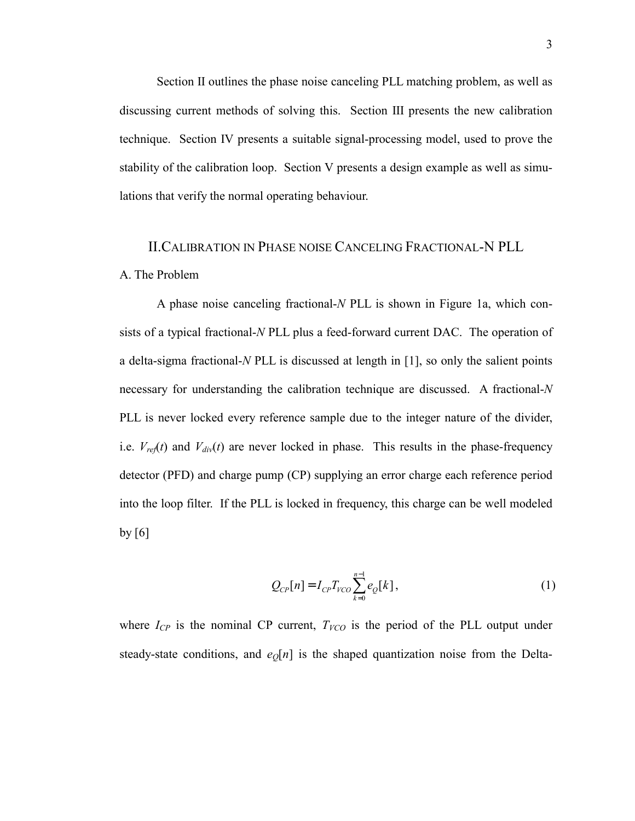Section II outlines the phase noise canceling PLL matching problem, as well as discussing current methods of solving this. Section III presents the new calibration technique. Section IV presents a suitable signal-processing model, used to prove the stability of the calibration loop. Section V presents a design example as well as simulations that verify the normal operating behaviour.

## II.CALIBRATION IN PHASE NOISE CANCELING FRACTIONAL-N PLL A. The Problem

A phase noise canceling fractional-*N* PLL is shown in Figure 1a, which consists of a typical fractional-*N* PLL plus a feed-forward current DAC. The operation of a delta-sigma fractional-*N* PLL is discussed at length in [1], so only the salient points necessary for understanding the calibration technique are discussed. A fractional-*N* PLL is never locked every reference sample due to the integer nature of the divider, i.e.  $V_{ref}(t)$  and  $V_{div}(t)$  are never locked in phase. This results in the phase-frequency detector (PFD) and charge pump (CP) supplying an error charge each reference period into the loop filter. If the PLL is locked in frequency, this charge can be well modeled by  $[6]$ 

$$
Q_{CP}[n] = I_{CP} T_{VCO} \sum_{k=0}^{n-1} e_Q[k],
$$
 (1)

where  $I_{CP}$  is the nominal CP current,  $T_{VCO}$  is the period of the PLL output under steady-state conditions, and  $e_0[n]$  is the shaped quantization noise from the Delta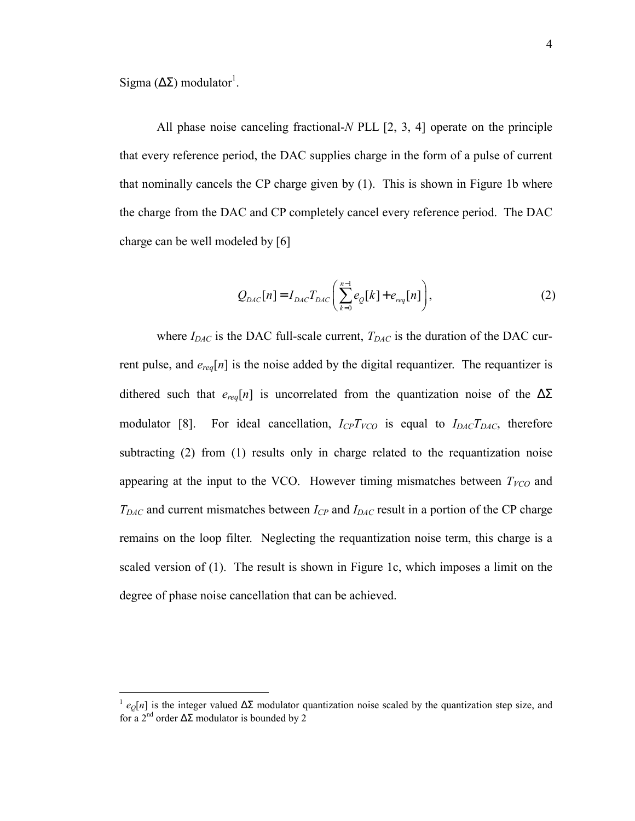Sigma ( $ΔΣ$ ) modulator<sup>1</sup>.

 $\overline{a}$ 

All phase noise canceling fractional-*N* PLL [2, 3, 4] operate on the principle that every reference period, the DAC supplies charge in the form of a pulse of current that nominally cancels the CP charge given by (1). This is shown in Figure 1b where the charge from the DAC and CP completely cancel every reference period. The DAC charge can be well modeled by [6]

$$
Q_{DAC}[n] = I_{DAC}T_{DAC}\left(\sum_{k=0}^{n-1}e_{Q}[k] + e_{req}[n]\right),
$$
\n(2)

where  $I_{DAC}$  is the DAC full-scale current,  $T_{DAC}$  is the duration of the DAC current pulse, and  $e_{req}[n]$  is the noise added by the digital requantizer. The requantizer is dithered such that  $e_{req}[n]$  is uncorrelated from the quantization noise of the  $\Delta\Sigma$ modulator [8]. For ideal cancellation,  $I_{CP}T_{VCO}$  is equal to  $I_{DAC}T_{DAC}$ , therefore subtracting (2) from (1) results only in charge related to the requantization noise appearing at the input to the VCO. However timing mismatches between  $T_{VCO}$  and *TDAC* and current mismatches between *ICP* and *IDAC* result in a portion of the CP charge remains on the loop filter. Neglecting the requantization noise term, this charge is a scaled version of (1). The result is shown in Figure 1c, which imposes a limit on the degree of phase noise cancellation that can be achieved.

<sup>&</sup>lt;sup>1</sup>  $e_0[n]$  is the integer valued  $\Delta\Sigma$  modulator quantization noise scaled by the quantization step size, and for a 2<sup>nd</sup> order  $\Delta \Sigma$  modulator is bounded by 2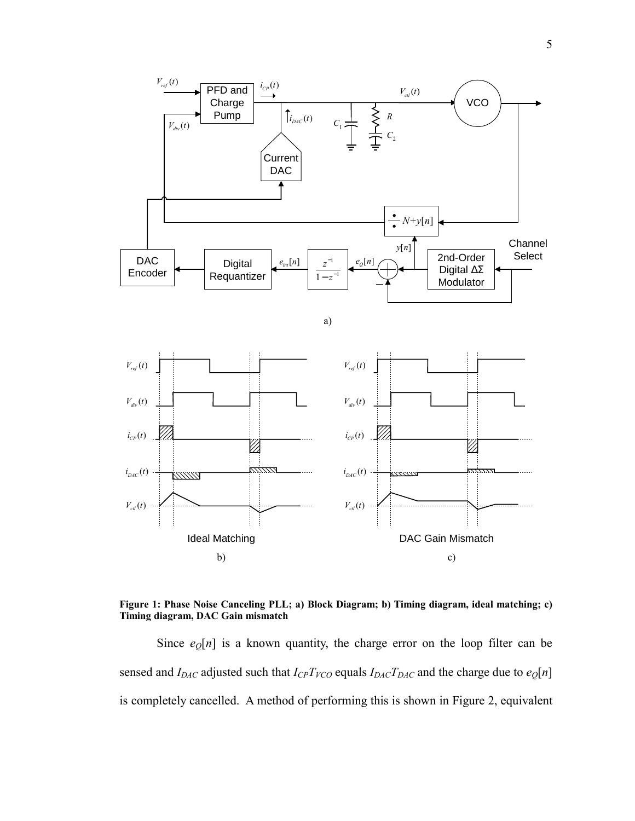

**Figure 1: Phase Noise Canceling PLL; a) Block Diagram; b) Timing diagram, ideal matching; c) Timing diagram, DAC Gain mismatch** 

Since  $e_0[n]$  is a known quantity, the charge error on the loop filter can be sensed and *I<sub>DAC</sub>* adjusted such that *I<sub>CP</sub>T<sub>VCO</sub>* equals *I<sub>DAC</sub>T<sub>DAC</sub>* and the charge due to  $e_Q[n]$ is completely cancelled. A method of performing this is shown in Figure 2, equivalent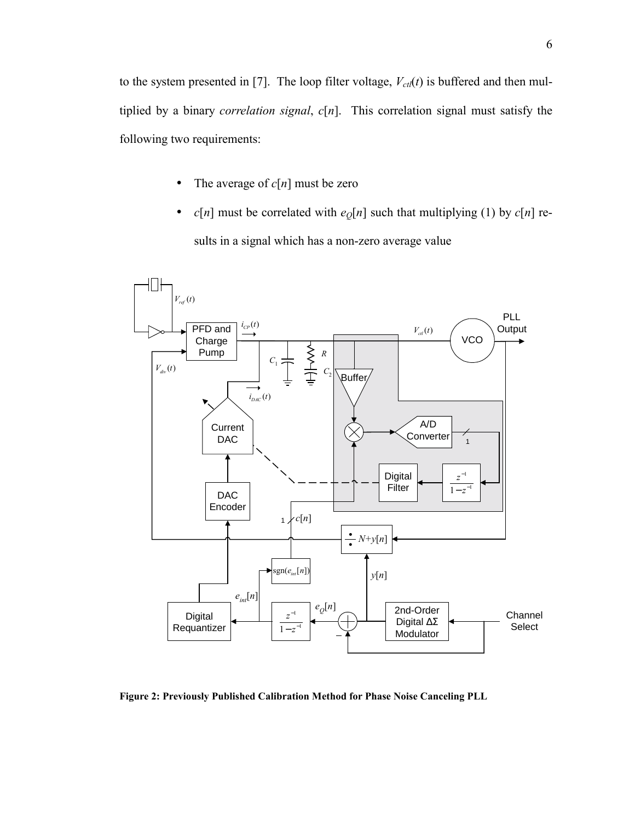to the system presented in [7]. The loop filter voltage,  $V_{\text{ctl}}(t)$  is buffered and then multiplied by a binary *correlation signal*, *c*[*n*]. This correlation signal must satisfy the following two requirements:

- The average of  $c[n]$  must be zero
- *c*[*n*] must be correlated with  $e_0[n]$  such that multiplying (1) by *c*[*n*] results in a signal which has a non-zero average value



**Figure 2: Previously Published Calibration Method for Phase Noise Canceling PLL**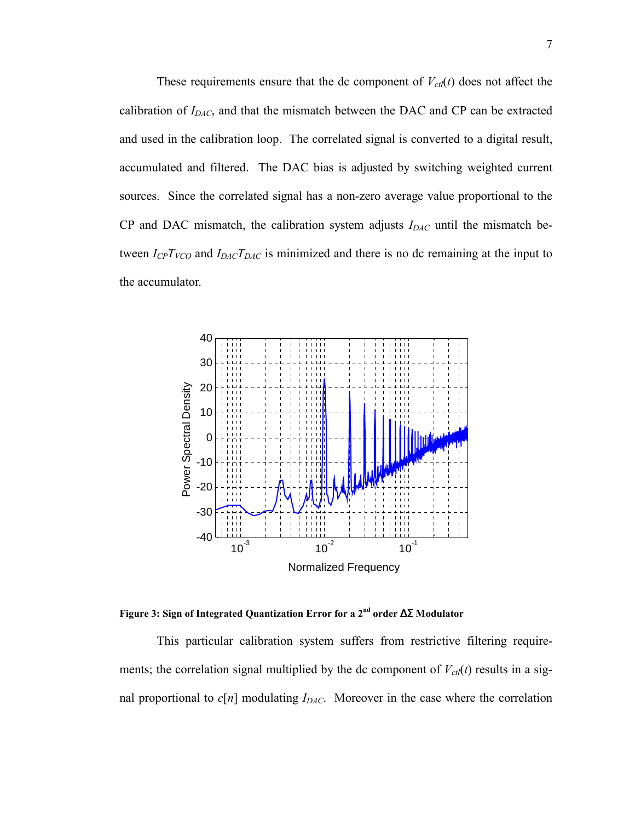These requirements ensure that the dc component of  $V_{\text{ct}}(t)$  does not affect the calibration of *IDAC*, and that the mismatch between the DAC and CP can be extracted and used in the calibration loop. The correlated signal is converted to a digital result, accumulated and filtered. The DAC bias is adjusted by switching weighted current sources. Since the correlated signal has a non-zero average value proportional to the CP and DAC mismatch, the calibration system adjusts  $I_{DAC}$  until the mismatch between  $I_{CP}T_{VCO}$  and  $I_{DAC}T_{DAC}$  is minimized and there is no dc remaining at the input to the accumulator.



**Figure 3: Sign of Integrated Quantization Error for a 2nd order** ∆Σ **Modulator** 

This particular calibration system suffers from restrictive filtering requirements; the correlation signal multiplied by the dc component of  $V_{\text{ctl}}(t)$  results in a signal proportional to  $c[n]$  modulating  $I_{DAC}$ . Moreover in the case where the correlation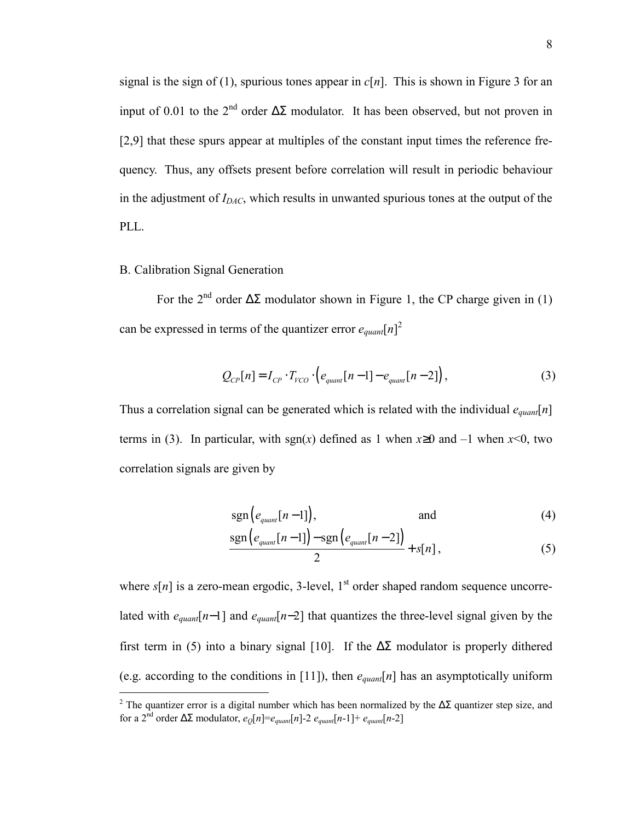signal is the sign of (1), spurious tones appear in  $c[n]$ . This is shown in Figure 3 for an input of 0.01 to the 2<sup>nd</sup> order  $\Delta \Sigma$  modulator. It has been observed, but not proven in [2,9] that these spurs appear at multiples of the constant input times the reference frequency. Thus, any offsets present before correlation will result in periodic behaviour in the adjustment of  $I_{DAC}$ , which results in unwanted spurious tones at the output of the PLL.

#### B. Calibration Signal Generation

For the 2<sup>nd</sup> order  $\Delta \Sigma$  modulator shown in Figure 1, the CP charge given in (1) can be expressed in terms of the quantizer error  $e_{quant}[n]^2$ 

$$
Q_{CP}[n] = I_{CP} \cdot T_{VCO} \cdot \left(e_{quant}[n-1] - e_{quant}[n-2]\right),\tag{3}
$$

Thus a correlation signal can be generated which is related with the individual *equant*[*n*] terms in (3). In particular, with sgn(*x*) defined as 1 when  $x \ge 0$  and  $-1$  when  $x \le 0$ , two correlation signals are given by

$$
\text{sgn}\left(e_{\text{quant}}[n-1]\right),\tag{4}
$$

$$
\frac{\operatorname{sgn}\left(e_{\text{quant}}[n-1]\right)-\operatorname{sgn}\left(e_{\text{quant}}[n-2]\right)}{2}+s[n],\tag{5}
$$

where  $s[n]$  is a zero-mean ergodic, 3-level, 1<sup>st</sup> order shaped random sequence uncorrelated with *equant*[*n*−1] and *equant*[*n*−2] that quantizes the three-level signal given by the first term in (5) into a binary signal [10]. If the  $\Delta\Sigma$  modulator is properly dithered (e.g. according to the conditions in [11]), then *equant*[*n*] has an asymptotically uniform

<sup>&</sup>lt;sup>2</sup> The quantizer error is a digital number which has been normalized by the  $ΔΣ$  quantizer step size, and for a 2<sup>nd</sup> order  $\Delta \Sigma$  modulator,  $e_{\Omega}[n] = e_{quant}[n] - 2 e_{quant}[n-1] + e_{quant}[n-2]$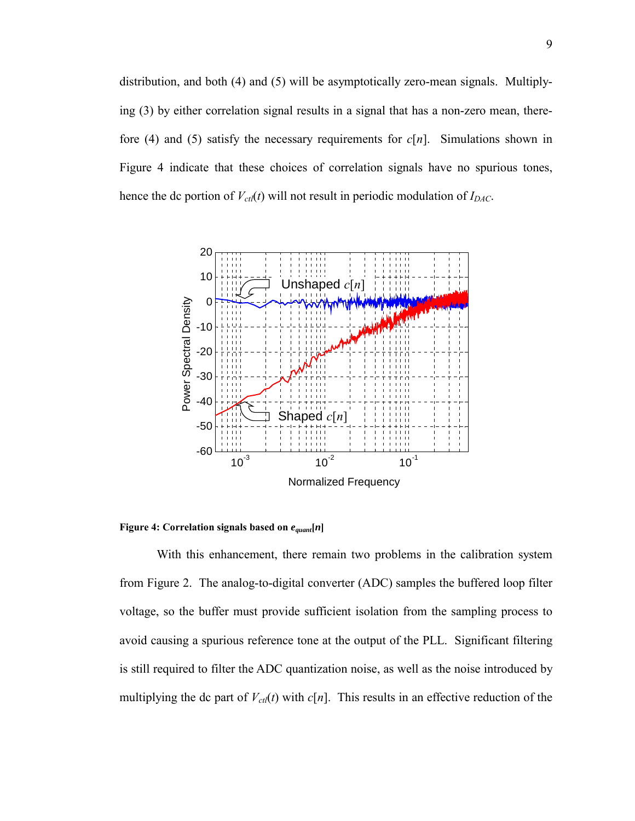distribution, and both (4) and (5) will be asymptotically zero-mean signals. Multiplying (3) by either correlation signal results in a signal that has a non-zero mean, therefore (4) and (5) satisfy the necessary requirements for *c*[*n*]. Simulations shown in Figure 4 indicate that these choices of correlation signals have no spurious tones, hence the dc portion of  $V_{\text{ct}}(t)$  will not result in periodic modulation of  $I_{DAC}$ .



**Figure 4: Correlation signals based on** *equant***[***n***]** 

With this enhancement, there remain two problems in the calibration system from Figure 2. The analog-to-digital converter (ADC) samples the buffered loop filter voltage, so the buffer must provide sufficient isolation from the sampling process to avoid causing a spurious reference tone at the output of the PLL. Significant filtering is still required to filter the ADC quantization noise, as well as the noise introduced by multiplying the dc part of  $V_{\text{ct}}(t)$  with  $c[n]$ . This results in an effective reduction of the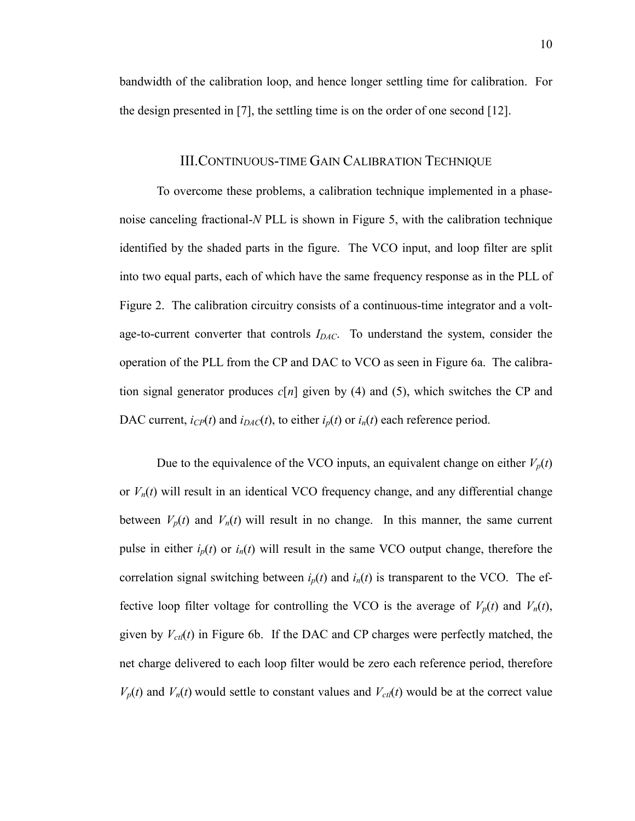bandwidth of the calibration loop, and hence longer settling time for calibration. For the design presented in [7], the settling time is on the order of one second [12].

#### III.CONTINUOUS-TIME GAIN CALIBRATION TECHNIQUE

To overcome these problems, a calibration technique implemented in a phasenoise canceling fractional-*N* PLL is shown in Figure 5, with the calibration technique identified by the shaded parts in the figure. The VCO input, and loop filter are split into two equal parts, each of which have the same frequency response as in the PLL of Figure 2. The calibration circuitry consists of a continuous-time integrator and a voltage-to-current converter that controls  $I_{DAC}$ . To understand the system, consider the operation of the PLL from the CP and DAC to VCO as seen in Figure 6a. The calibration signal generator produces  $c[n]$  given by (4) and (5), which switches the CP and DAC current,  $i_{CP}(t)$  and  $i_{DAC}(t)$ , to either  $i_p(t)$  or  $i_n(t)$  each reference period.

Due to the equivalence of the VCO inputs, an equivalent change on either  $V_p(t)$ or  $V_n(t)$  will result in an identical VCO frequency change, and any differential change between  $V_p(t)$  and  $V_n(t)$  will result in no change. In this manner, the same current pulse in either  $i_p(t)$  or  $i_n(t)$  will result in the same VCO output change, therefore the correlation signal switching between  $i_p(t)$  and  $i_p(t)$  is transparent to the VCO. The effective loop filter voltage for controlling the VCO is the average of  $V_p(t)$  and  $V_n(t)$ , given by  $V_{\text{ct}}(t)$  in Figure 6b. If the DAC and CP charges were perfectly matched, the net charge delivered to each loop filter would be zero each reference period, therefore  $V_p(t)$  and  $V_n(t)$  would settle to constant values and  $V_{\text{ct}}(t)$  would be at the correct value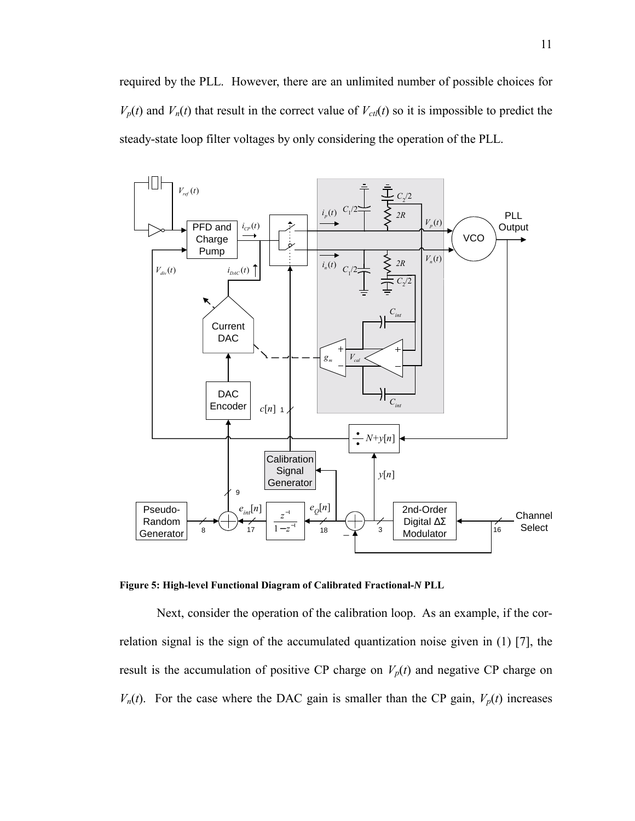required by the PLL. However, there are an unlimited number of possible choices for  $V_p(t)$  and  $V_n(t)$  that result in the correct value of  $V_{\text{ct}}(t)$  so it is impossible to predict the steady-state loop filter voltages by only considering the operation of the PLL.



**Figure 5: High-level Functional Diagram of Calibrated Fractional-***N* **PLL** 

Next, consider the operation of the calibration loop. As an example, if the correlation signal is the sign of the accumulated quantization noise given in (1) [7], the result is the accumulation of positive CP charge on  $V_p(t)$  and negative CP charge on  $V_n(t)$ . For the case where the DAC gain is smaller than the CP gain,  $V_p(t)$  increases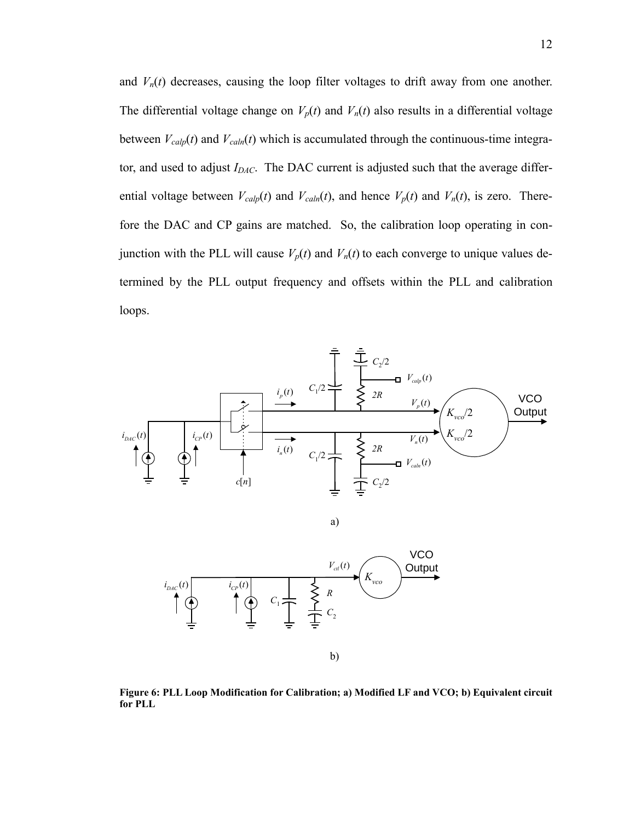and  $V_n(t)$  decreases, causing the loop filter voltages to drift away from one another. The differential voltage change on  $V_p(t)$  and  $V_n(t)$  also results in a differential voltage between  $V_{cal}(t)$  and  $V_{cal}(t)$  which is accumulated through the continuous-time integrator, and used to adjust *I<sub>DAC</sub>*. The DAC current is adjusted such that the average differential voltage between  $V_{cal}(t)$  and  $V_{cal}(t)$ , and hence  $V_p(t)$  and  $V_n(t)$ , is zero. Therefore the DAC and CP gains are matched. So, the calibration loop operating in conjunction with the PLL will cause  $V_p(t)$  and  $V_n(t)$  to each converge to unique values determined by the PLL output frequency and offsets within the PLL and calibration loops.



a)



**Figure 6: PLL Loop Modification for Calibration; a) Modified LF and VCO; b) Equivalent circuit for PLL**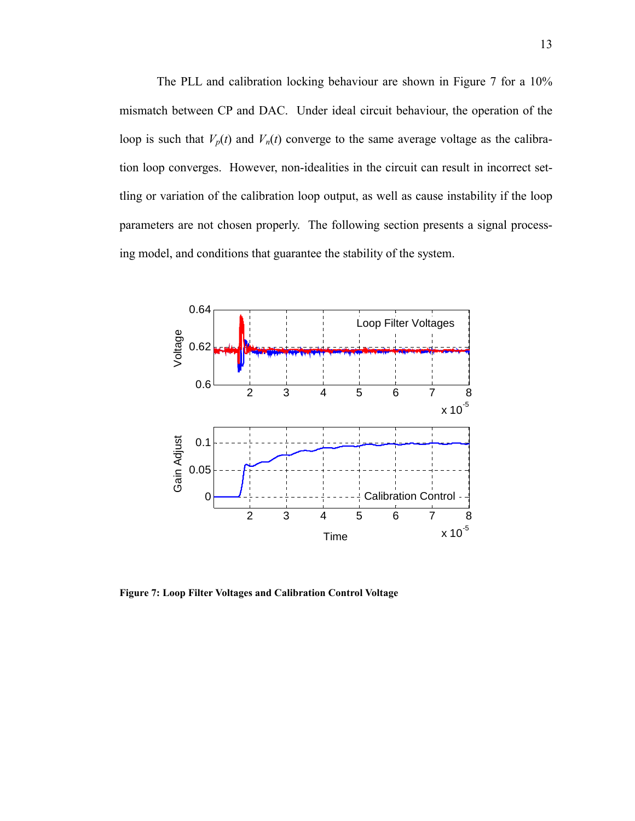The PLL and calibration locking behaviour are shown in Figure 7 for a 10% mismatch between CP and DAC. Under ideal circuit behaviour, the operation of the loop is such that  $V_p(t)$  and  $V_n(t)$  converge to the same average voltage as the calibration loop converges. However, non-idealities in the circuit can result in incorrect settling or variation of the calibration loop output, as well as cause instability if the loop parameters are not chosen properly. The following section presents a signal processing model, and conditions that guarantee the stability of the system.



**Figure 7: Loop Filter Voltages and Calibration Control Voltage**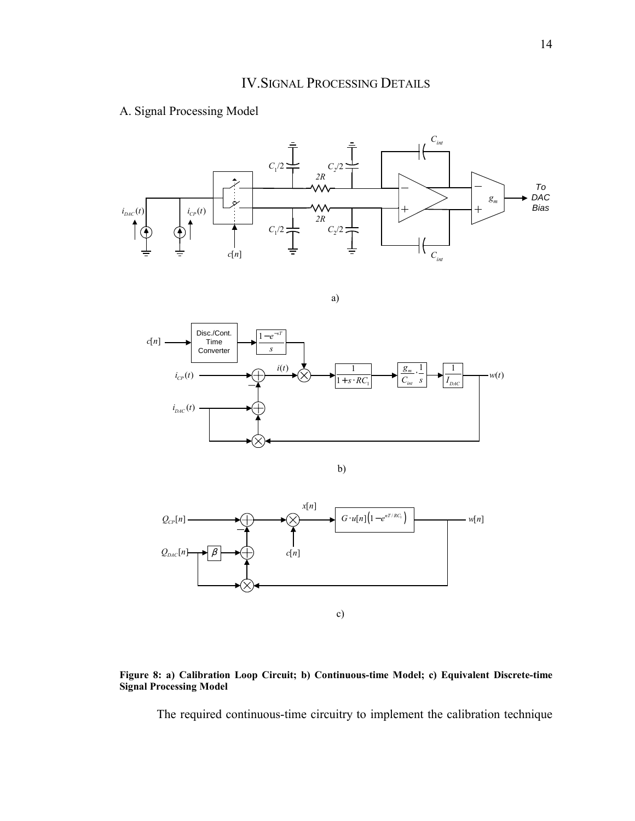#### A. Signal Processing Model



a)









The required continuous-time circuitry to implement the calibration technique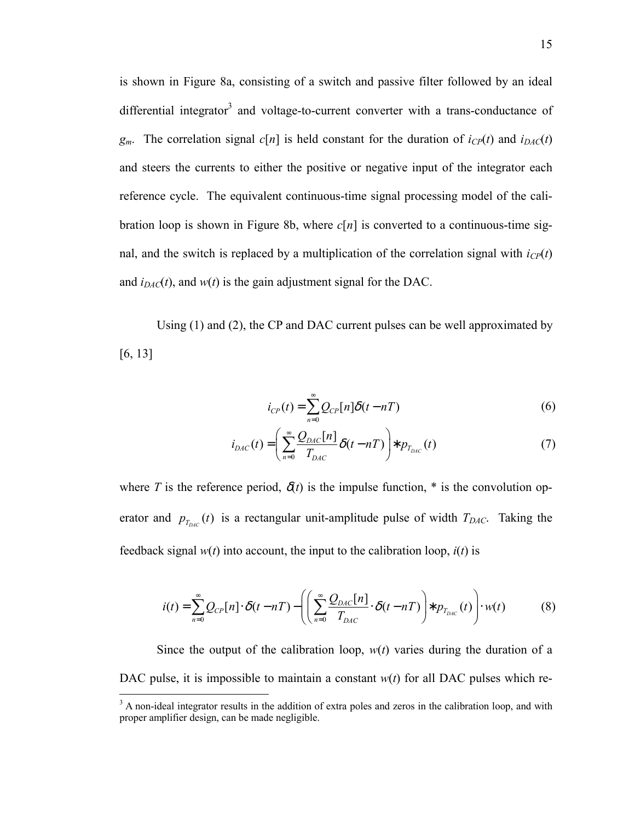is shown in Figure 8a, consisting of a switch and passive filter followed by an ideal differential integrator<sup>3</sup> and voltage-to-current converter with a trans-conductance of  $g_m$ . The correlation signal  $c[n]$  is held constant for the duration of  $i_{CP}(t)$  and  $i_{DAC}(t)$ and steers the currents to either the positive or negative input of the integrator each reference cycle. The equivalent continuous-time signal processing model of the calibration loop is shown in Figure 8b, where  $c[n]$  is converted to a continuous-time signal, and the switch is replaced by a multiplication of the correlation signal with  $i_{CP}(t)$ and  $i_{DAC}(t)$ , and  $w(t)$  is the gain adjustment signal for the DAC.

Using (1) and (2), the CP and DAC current pulses can be well approximated by [6, 13]

$$
i_{CP}(t) = \sum_{n=0}^{\infty} Q_{CP}[n]\delta(t - nT)
$$
\n(6)

$$
i_{DAC}(t) = \left(\sum_{n=0}^{\infty} \frac{Q_{DAC}[n]}{T_{DAC}} \delta(t - nT)\right) * p_{T_{DAC}}(t)
$$
\n(7)

where *T* is the reference period,  $\delta(t)$  is the impulse function,  $*$  is the convolution operator and  $p_{T_{DAC}}(t)$  is a rectangular unit-amplitude pulse of width  $T_{DAC}$ . Taking the feedback signal  $w(t)$  into account, the input to the calibration loop,  $i(t)$  is

$$
i(t) = \sum_{n=0}^{\infty} Q_{CP}[n] \cdot \delta(t - nT) - \left( \left( \sum_{n=0}^{\infty} \frac{Q_{DAC}[n]}{T_{DAC}} \cdot \delta(t - nT) \right) * p_{T_{DAC}}(t) \right) \cdot w(t)
$$
(8)

Since the output of the calibration loop,  $w(t)$  varies during the duration of a DAC pulse, it is impossible to maintain a constant *w*(*t*) for all DAC pulses which re-

<sup>&</sup>lt;sup>3</sup> A non-ideal integrator results in the addition of extra poles and zeros in the calibration loop, and with proper amplifier design, can be made negligible.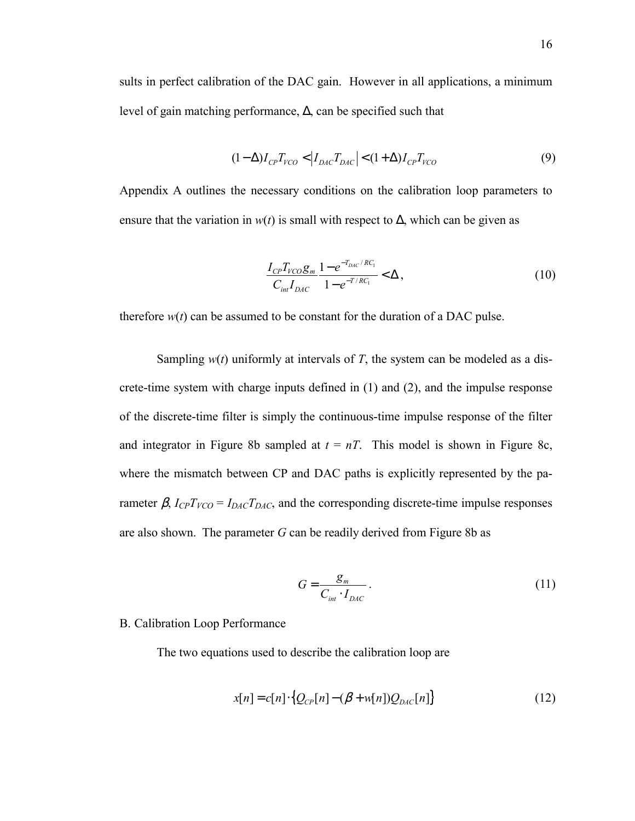sults in perfect calibration of the DAC gain. However in all applications, a minimum level of gain matching performance, ∆, can be specified such that

$$
(1 - \Delta)I_{CP}T_{VCO} < |I_{DAC}T_{DAC}| < (1 + \Delta)I_{CP}T_{VCO}
$$
\n(9)

Appendix A outlines the necessary conditions on the calibration loop parameters to ensure that the variation in  $w(t)$  is small with respect to  $\Delta$ , which can be given as

$$
\frac{I_{CP}T_{VCO}g_m}{C_{int}I_{DAC}} \frac{1 - e^{-T_{DAC}/RC_1}}{1 - e^{-T/RC_1}} < \Delta,
$$
\n(10)

therefore  $w(t)$  can be assumed to be constant for the duration of a DAC pulse.

Sampling  $w(t)$  uniformly at intervals of *T*, the system can be modeled as a discrete-time system with charge inputs defined in (1) and (2), and the impulse response of the discrete-time filter is simply the continuous-time impulse response of the filter and integrator in Figure 8b sampled at  $t = nT$ . This model is shown in Figure 8c, where the mismatch between CP and DAC paths is explicitly represented by the parameter  $\beta$ ,  $I_{CP}T_{VCO} = I_{DAC}T_{DAC}$ , and the corresponding discrete-time impulse responses are also shown. The parameter *G* can be readily derived from Figure 8b as

$$
G = \frac{g_m}{C_{int} \cdot I_{DAC}}.
$$
\n(11)

#### B. Calibration Loop Performance

The two equations used to describe the calibration loop are

$$
x[n] = c[n] \cdot \{Q_{CP}[n] - (\beta + w[n])Q_{DAC}[n]\}
$$
\n(12)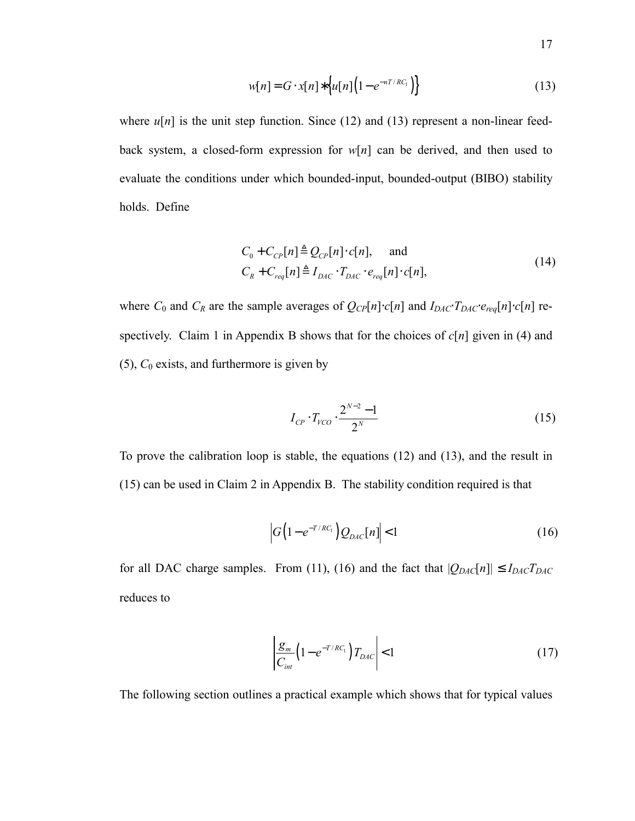$$
w[n] = G \cdot x[n] * \left\{ u[n] \left( 1 - e^{-nT/RC_1} \right) \right\} \tag{13}
$$

where  $u[n]$  is the unit step function. Since (12) and (13) represent a non-linear feedback system, a closed-form expression for  $w[n]$  can be derived, and then used to evaluate the conditions under which bounded-input, bounded-output (BIBO) stability holds. Define

$$
C_0 + C_{CP}[n] \triangleq Q_{CP}[n] \cdot c[n], \quad \text{and}
$$
  
\n
$$
C_R + C_{req}[n] \triangleq I_{DAC} \cdot T_{DAC} \cdot e_{req}[n] \cdot c[n],
$$
\n(14)

where  $C_0$  and  $C_R$  are the sample averages of  $Q_{CP}[n] \cdot c[n]$  and  $I_{DAC} \cdot T_{DAC} \cdot e_{req}[n] \cdot c[n]$  respectively. Claim 1 in Appendix B shows that for the choices of *c*[*n*] given in (4) and (5), *C*0 exists, and furthermore is given by

$$
I_{CP} \cdot T_{VCO} \cdot \frac{2^{N-2} - 1}{2^N} \tag{15}
$$

To prove the calibration loop is stable, the equations (12) and (13), and the result in (15) can be used in Claim 2 in Appendix B. The stability condition required is that

$$
\left| G \left( 1 - e^{-T/RC_1} \right) Q_{DAC}[n] \right| < 1 \tag{16}
$$

for all DAC charge samples. From (11), (16) and the fact that  $|Q_{DAC}[n]| \le I_{DAC}T_{DAC}$ reduces to

$$
\left| \frac{\mathcal{g}_m}{C_{int}} \left( 1 - e^{-T/RC_1} \right) T_{DAC} \right| < 1 \tag{17}
$$

The following section outlines a practical example which shows that for typical values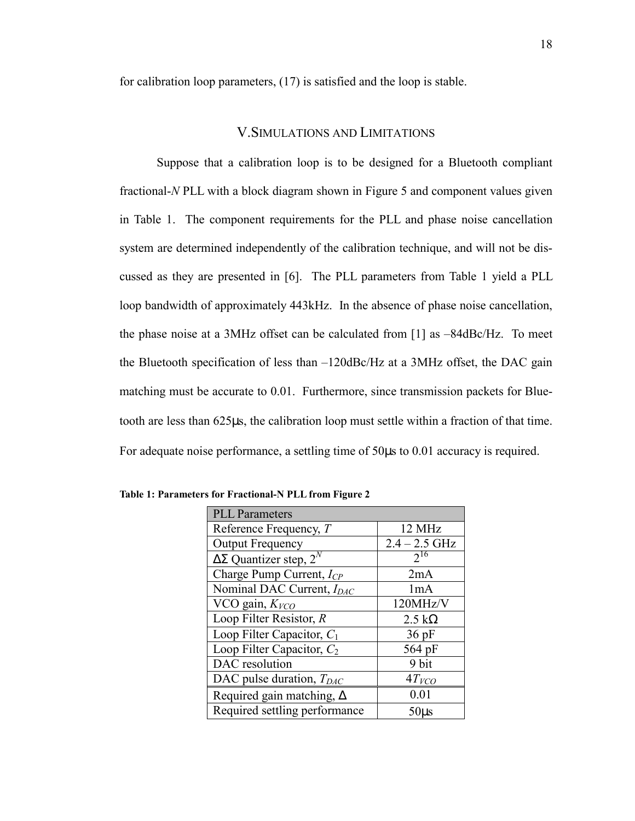for calibration loop parameters, (17) is satisfied and the loop is stable.

#### V.SIMULATIONS AND LIMITATIONS

Suppose that a calibration loop is to be designed for a Bluetooth compliant fractional-*N* PLL with a block diagram shown in Figure 5 and component values given in Table 1. The component requirements for the PLL and phase noise cancellation system are determined independently of the calibration technique, and will not be discussed as they are presented in [6]. The PLL parameters from Table 1 yield a PLL loop bandwidth of approximately 443kHz. In the absence of phase noise cancellation, the phase noise at a 3MHz offset can be calculated from [1] as –84dBc/Hz. To meet the Bluetooth specification of less than –120dBc/Hz at a 3MHz offset, the DAC gain matching must be accurate to 0.01. Furthermore, since transmission packets for Bluetooth are less than 625µs, the calibration loop must settle within a fraction of that time. For adequate noise performance, a settling time of 50µs to 0.01 accuracy is required.

| <b>PLL Parameters</b>                |                       |  |
|--------------------------------------|-----------------------|--|
| Reference Frequency, T               | 12 MHz                |  |
| <b>Output Frequency</b>              | $2.4 - 2.5$ GHz       |  |
| $\Delta\Sigma$ Quantizer step, $2^N$ | $2^{16}$              |  |
| Charge Pump Current, $I_{CP}$        | 2mA                   |  |
| Nominal DAC Current, $I_{DAC}$       | 1mA                   |  |
| VCO gain, $KVCO$                     | 120MHz/V              |  |
| Loop Filter Resistor, $R$            | $2.5 \text{ k}\Omega$ |  |
| Loop Filter Capacitor, $C_1$         | $36$ pF               |  |
| Loop Filter Capacitor, $C_2$         | 564 pF                |  |
| DAC resolution                       | 9 bit                 |  |
| DAC pulse duration, $T_{DAC}$        | 4T <sub>VCO</sub>     |  |
| Required gain matching, $\Delta$     | 0.01                  |  |
| Required settling performance        | $50\mu s$             |  |

**Table 1: Parameters for Fractional-N PLL from Figure 2**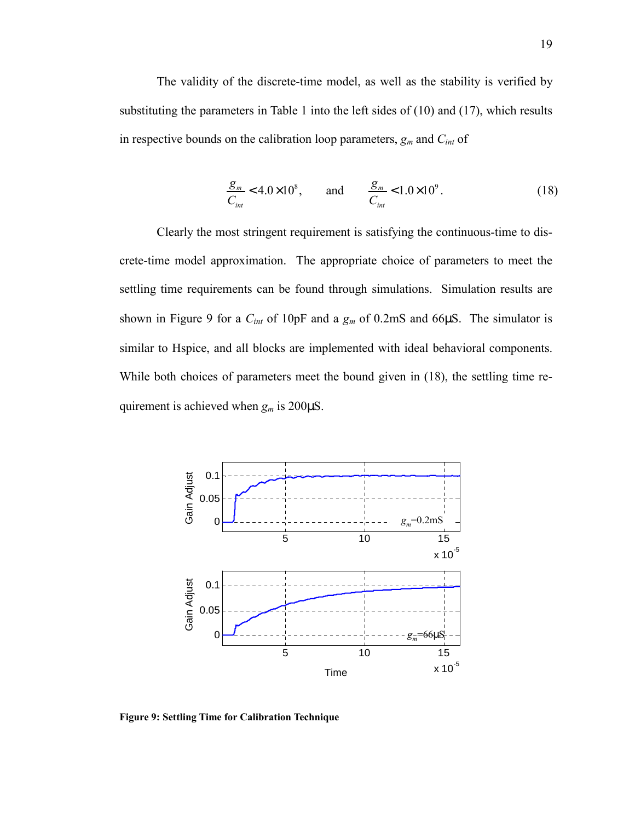The validity of the discrete-time model, as well as the stability is verified by substituting the parameters in Table 1 into the left sides of (10) and (17), which results in respective bounds on the calibration loop parameters, *gm* and *Cint* of

$$
\frac{g_m}{C_{int}} < 4.0 \times 10^8, \qquad \text{and} \qquad \frac{g_m}{C_{int}} < 1.0 \times 10^9. \tag{18}
$$

Clearly the most stringent requirement is satisfying the continuous-time to discrete-time model approximation. The appropriate choice of parameters to meet the settling time requirements can be found through simulations. Simulation results are shown in Figure 9 for a *Cint* of 10pF and a *gm* of 0.2mS and 66µS. The simulator is similar to Hspice, and all blocks are implemented with ideal behavioral components. While both choices of parameters meet the bound given in (18), the settling time requirement is achieved when *gm* is 200µS.



**Figure 9: Settling Time for Calibration Technique**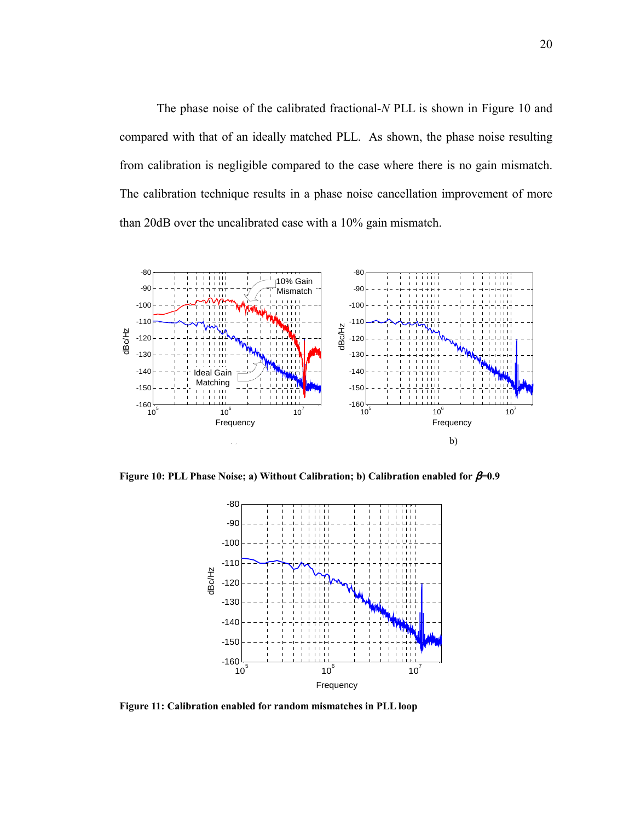The phase noise of the calibrated fractional-*N* PLL is shown in Figure 10 and compared with that of an ideally matched PLL. As shown, the phase noise resulting from calibration is negligible compared to the case where there is no gain mismatch. The calibration technique results in a phase noise cancellation improvement of more than 20dB over the uncalibrated case with a 10% gain mismatch.



**Figure 10: PLL Phase Noise; a) Without Calibration; b) Calibration enabled for** β**=0.9** 



**Figure 11: Calibration enabled for random mismatches in PLL loop**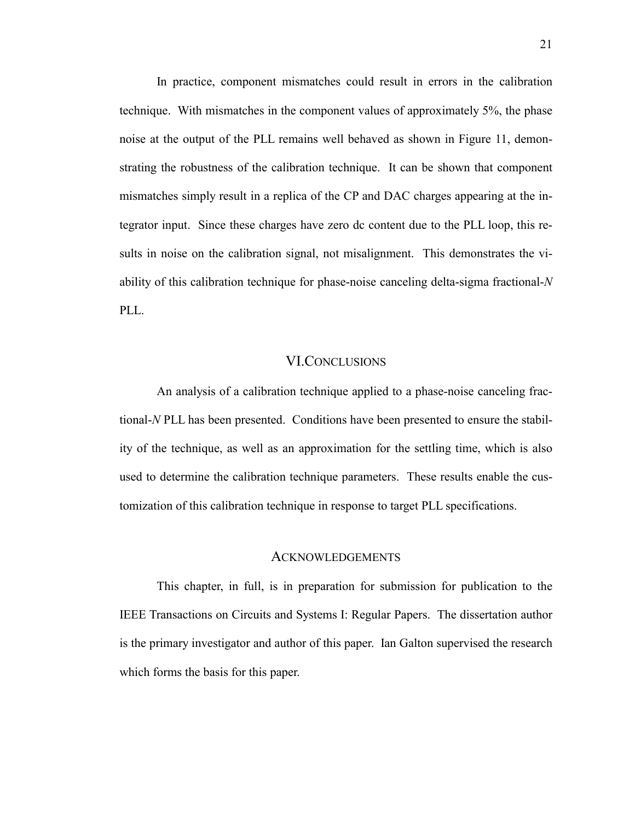In practice, component mismatches could result in errors in the calibration technique. With mismatches in the component values of approximately 5%, the phase noise at the output of the PLL remains well behaved as shown in Figure 11, demonstrating the robustness of the calibration technique. It can be shown that component mismatches simply result in a replica of the CP and DAC charges appearing at the integrator input. Since these charges have zero dc content due to the PLL loop, this results in noise on the calibration signal, not misalignment. This demonstrates the viability of this calibration technique for phase-noise canceling delta-sigma fractional-*N* PLL.

#### VI.CONCLUSIONS

An analysis of a calibration technique applied to a phase-noise canceling fractional-*N* PLL has been presented. Conditions have been presented to ensure the stability of the technique, as well as an approximation for the settling time, which is also used to determine the calibration technique parameters. These results enable the customization of this calibration technique in response to target PLL specifications.

#### ACKNOWLEDGEMENTS

This chapter, in full, is in preparation for submission for publication to the IEEE Transactions on Circuits and Systems I: Regular Papers. The dissertation author is the primary investigator and author of this paper. Ian Galton supervised the research which forms the basis for this paper.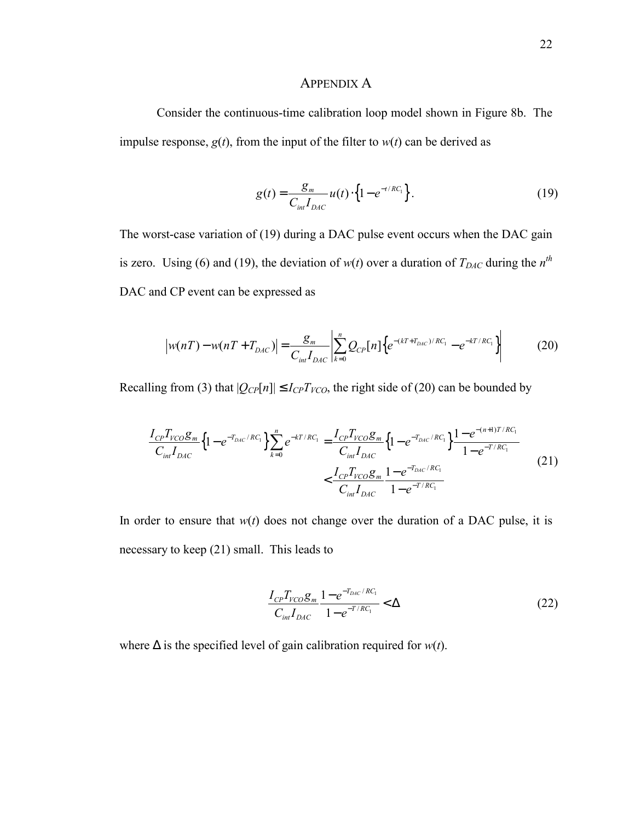#### APPENDIX A

Consider the continuous-time calibration loop model shown in Figure 8b. The impulse response,  $g(t)$ , from the input of the filter to  $w(t)$  can be derived as

$$
g(t) = \frac{g_m}{C_{int} I_{DAC}} u(t) \cdot \left\{ 1 - e^{-t/RC_1} \right\}.
$$
 (19)

The worst-case variation of (19) during a DAC pulse event occurs when the DAC gain is zero. Using (6) and (19), the deviation of  $w(t)$  over a duration of  $T_{DAC}$  during the  $n<sup>th</sup>$ DAC and CP event can be expressed as

$$
\left| w(nT) - w(nT + T_{DAC}) \right| = \frac{g_m}{C_{int} I_{DAC}} \left| \sum_{k=0}^{n} Q_{CP}[n] \left\{ e^{-(kT + T_{DAC})/RC_1} - e^{-kT/RC_1} \right\} \right| \tag{20}
$$

Recalling from (3) that  $|Q_{CP}[n]| \leq I_{CP}T_{VCO}$ , the right side of (20) can be bounded by

$$
\frac{I_{CP}T_{VCO}g_m}{C_{int}I_{DAC}}\left\{1-e^{-T_{DAC}/RC_{1}}\right\}\sum_{k=0}^{n}e^{-kT/RC_{1}} = \frac{I_{CP}T_{VCO}g_m}{C_{int}I_{DAC}}\left\{1-e^{-T_{DAC}/RC_{1}}\right\}\frac{1-e^{-(n+1)T/RC_{1}}}{1-e^{-T/RC_{1}}} \frac{1-e^{-T/RC_{1}}}{1-e^{-T/RC_{1}}} \tag{21}
$$

In order to ensure that  $w(t)$  does not change over the duration of a DAC pulse, it is necessary to keep (21) small. This leads to

$$
\frac{I_{CP}T_{VCO}g_m}{C_{int}I_{DAC}} \frac{1 - e^{-T_{DAC}/RC_1}}{1 - e^{-T/RC_1}} < \Delta
$$
\n(22)

where ∆ is the specified level of gain calibration required for *w*(*t*).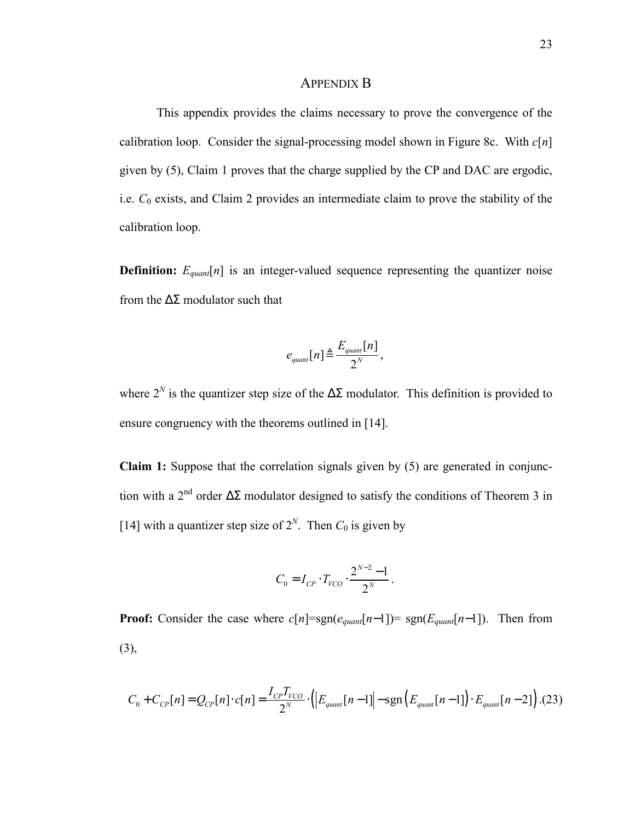#### APPENDIX B

This appendix provides the claims necessary to prove the convergence of the calibration loop. Consider the signal-processing model shown in Figure 8c. With *c*[*n*] given by (5), Claim 1 proves that the charge supplied by the CP and DAC are ergodic, i.e. *C*0 exists, and Claim 2 provides an intermediate claim to prove the stability of the calibration loop.

**Definition:**  $E_{quant}[n]$  is an integer-valued sequence representing the quantizer noise from the  $\Delta\Sigma$  modulator such that

$$
e_{quant}[n] \triangleq \frac{E_{quant}[n]}{2^N},
$$

where  $2^N$  is the quantizer step size of the  $\Delta \Sigma$  modulator. This definition is provided to ensure congruency with the theorems outlined in [14].

**Claim 1:** Suppose that the correlation signals given by (5) are generated in conjunction with a 2<sup>nd</sup> order  $\Delta\Sigma$  modulator designed to satisfy the conditions of Theorem 3 in [14] with a quantizer step size of  $2^N$ . Then  $C_0$  is given by

$$
C_0 = I_{CP} \cdot T_{VCO} \cdot \frac{2^{N-2} - 1}{2^N}.
$$

**Proof:** Consider the case where  $c[n] = sgn(e_{quant}[n-1]) = sgn(E_{quant}[n-1])$ . Then from (3),

$$
C_0 + C_{CP}[n] = Q_{CP}[n] \cdot c[n] = \frac{I_{CP}T_{VCO}}{2^N} \cdot (|E_{quant}[n-1]| - \text{sgn}(E_{quant}[n-1]) \cdot E_{quant}[n-2]) \tag{23}
$$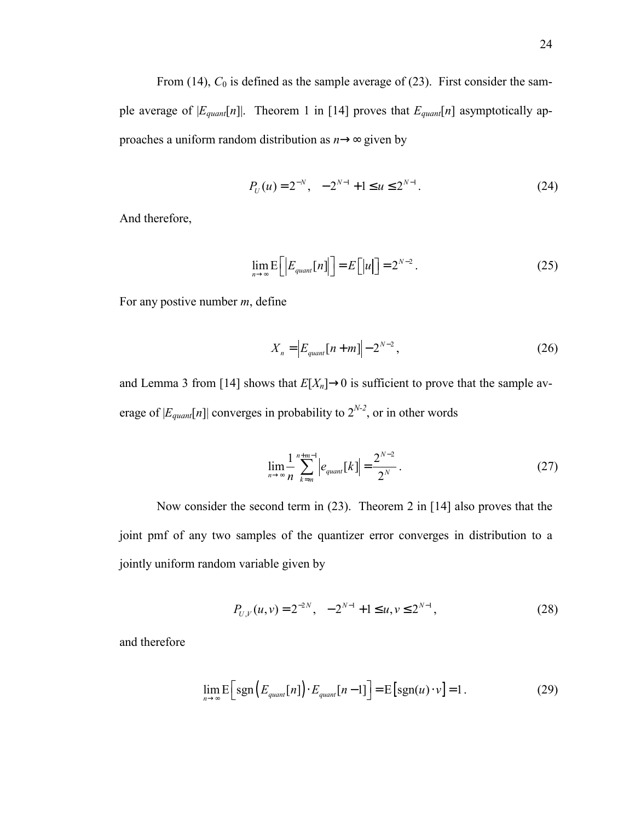From  $(14)$ ,  $C_0$  is defined as the sample average of  $(23)$ . First consider the sample average of  $|E_{quant}[n]|$ . Theorem 1 in [14] proves that  $E_{quant}[n]$  asymptotically approaches a uniform random distribution as *n*→∞ given by

$$
P_U(u) = 2^{-N}, \quad -2^{N-1} + 1 \le u \le 2^{N-1}.
$$
 (24)

And therefore,

$$
\lim_{n \to \infty} E\Big[\Big|E_{\text{quant}}[n]\Big|\Big] = E\Big[\Big|u\Big|\Big] = 2^{N-2} \,. \tag{25}
$$

For any postive number *m*, define

$$
X_n = \left| E_{quant}[n+m] \right| - 2^{N-2}, \tag{26}
$$

and Lemma 3 from [14] shows that  $E[X_n] \to 0$  is sufficient to prove that the sample average of  $|E_{quant}[n]|$  converges in probability to  $2^{N-2}$ , or in other words

$$
\lim_{n \to \infty} \frac{1}{n} \sum_{k=m}^{n+m-1} \left| e_{quant}[k] \right| = \frac{2^{N-2}}{2^N}.
$$
 (27)

Now consider the second term in (23). Theorem 2 in [14] also proves that the joint pmf of any two samples of the quantizer error converges in distribution to a jointly uniform random variable given by

$$
P_{U,V}(u,v) = 2^{-2N}, \quad -2^{N-1} + 1 \le u, v \le 2^{N-1}, \tag{28}
$$

and therefore

$$
\lim_{n \to \infty} E\Big[ sgn\Big( E_{quant}[n] \Big) \cdot E_{quant}[n-1] \Big] = E\Big[ sgn(u) \cdot v \Big] = 1. \tag{29}
$$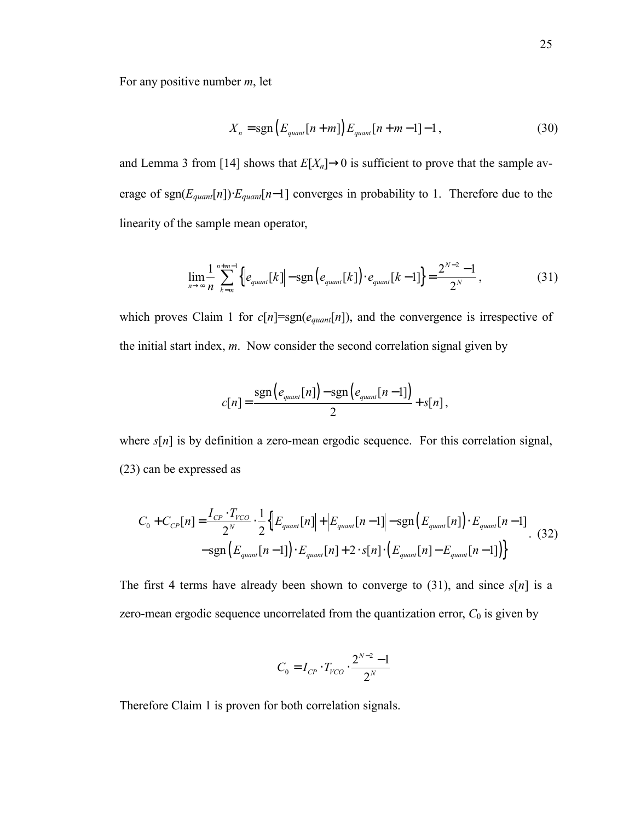For any positive number *m*, let

$$
X_n = \text{sgn}\left(E_{\text{quant}}[n+m]\right)E_{\text{quant}}[n+m-1]-1,\tag{30}
$$

and Lemma 3 from [14] shows that  $E[X_n] \to 0$  is sufficient to prove that the sample average of sgn(*Equant*[*n*])⋅*Equant*[*n*−1] converges in probability to 1. Therefore due to the linearity of the sample mean operator,

$$
\lim_{n \to \infty} \frac{1}{n} \sum_{k=m}^{n+m-1} \left\{ \left| e_{quant}[k] \right| - \text{sgn} \left( e_{quant}[k] \right) \cdot e_{quant}[k-1] \right\} = \frac{2^{N-2} - 1}{2^N},\tag{31}
$$

which proves Claim 1 for  $c[n] = sgn(e_{quant}[n])$ , and the convergence is irrespective of the initial start index, *m*. Now consider the second correlation signal given by

$$
c[n] = \frac{\text{sgn}\left(e_{\text{quant}}[n]\right) - \text{sgn}\left(e_{\text{quant}}[n-1]\right)}{2} + s[n],
$$

where  $s[n]$  is by definition a zero-mean ergodic sequence. For this correlation signal, (23) can be expressed as

$$
C_0 + C_{CP}[n] = \frac{I_{CP} \cdot T_{VCO}}{2^N} \cdot \frac{1}{2} \left\{ \left| E_{quant}[n] \right| + \left| E_{quant}[n-1] \right| - \text{sgn} \left( E_{quant}[n] \right) \cdot E_{quant}[n-1] \right\}
$$
(32)  
-sgn  $\left( E_{quant}[n-1] \right) \cdot E_{quant}[n] + 2 \cdot s[n] \cdot \left( E_{quant}[n] - E_{quant}[n-1] \right) \right\}$ 

The first 4 terms have already been shown to converge to (31), and since *s*[*n*] is a zero-mean ergodic sequence uncorrelated from the quantization error,  $C_0$  is given by

$$
C_0 = I_{CP} \cdot T_{VCO} \cdot \frac{2^{N-2} - 1}{2^N}
$$

Therefore Claim 1 is proven for both correlation signals.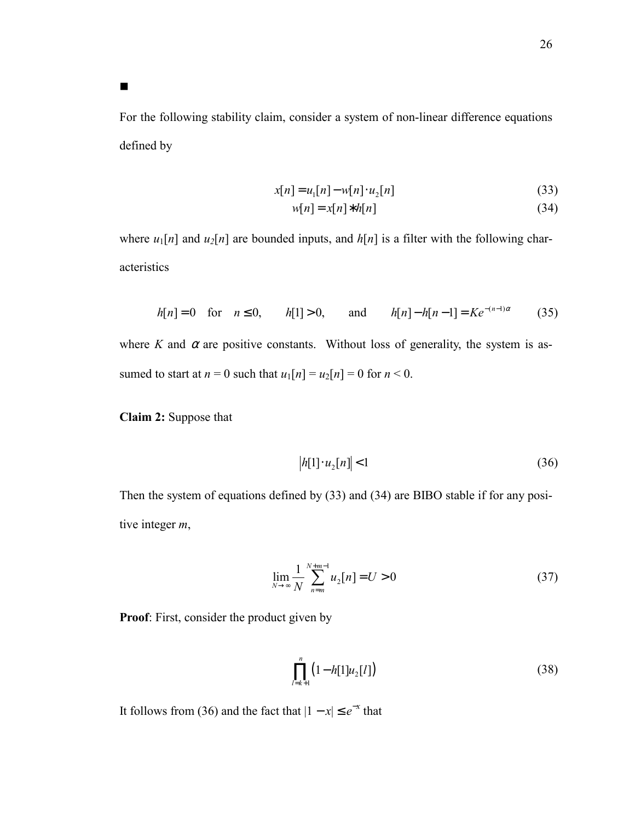For the following stability claim, consider a system of non-linear difference equations defined by

$$
x[n] = u_1[n] - w[n] \cdot u_2[n] \tag{33}
$$

$$
w[n] = x[n] * h[n] \tag{34}
$$

where  $u_1[n]$  and  $u_2[n]$  are bounded inputs, and  $h[n]$  is a filter with the following characteristics

$$
h[n] = 0 \quad \text{for} \quad n \le 0, \qquad h[1] > 0, \qquad \text{and} \qquad h[n] - h[n-1] = Ke^{-(n-1)\alpha} \tag{35}
$$

where *K* and  $\alpha$  are positive constants. Without loss of generality, the system is assumed to start at  $n = 0$  such that  $u_1[n] = u_2[n] = 0$  for  $n < 0$ .

**Claim 2:** Suppose that

 $\blacksquare$ 

$$
|h[1] \cdot u_2[n]| < 1 \tag{36}
$$

Then the system of equations defined by (33) and (34) are BIBO stable if for any positive integer *m*,

$$
\lim_{N \to \infty} \frac{1}{N} \sum_{n=m}^{N+m-1} u_2[n] = U > 0
$$
\n(37)

**Proof**: First, consider the product given by

$$
\prod_{l=k+1}^{n} (1 - h[1]u_2[l]) \tag{38}
$$

It follows from (36) and the fact that  $|1 - x| \le e^{-x}$  that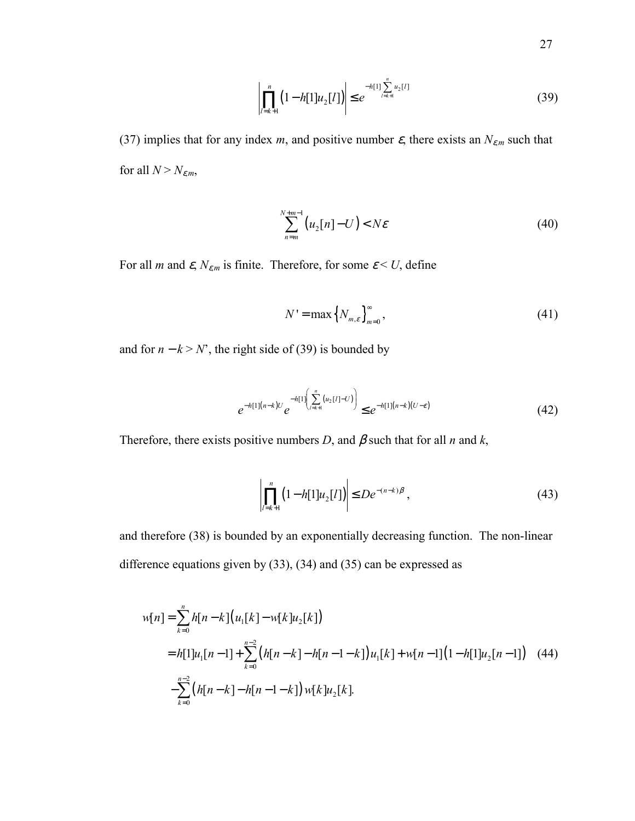$$
\left| \prod_{l=k+1}^{n} \left( 1 - h[1] u_2[l] \right) \right| \le e^{-h[1] \sum_{l=k+1}^{n} u_2[l]} \tag{39}
$$

(37) implies that for any index *m*, and positive number  $\varepsilon$ , there exists an  $N_{\varepsilon,m}$  such that for all  $N > N_{\varepsilon,m}$ ,

$$
\sum_{n=m}^{N+m-1} \left( u_2[n] - U \right) < N\varepsilon \tag{40}
$$

For all *m* and  $\varepsilon$ ,  $N_{\varepsilon,m}$  is finite. Therefore, for some  $\varepsilon$  < *U*, define

$$
N' = \max\left\{N_{m,\varepsilon}\right\}_{m=0}^{\infty},\tag{41}
$$

and for  $n - k > N$ , the right side of (39) is bounded by

$$
e^{-h[1](n-k)U}e^{-h[1]\left(\sum_{l=k+1}^{n}(u_2[l]-U)\right)} \leq e^{-h[1](n-k)(U-\varepsilon)}
$$
(42)

Therefore, there exists positive numbers *D*, and  $\beta$  such that for all *n* and *k*,

$$
\left| \prod_{l=k+1}^{n} \left( 1 - h[1] u_2[l] \right) \right| \leq D e^{-(n-k)\beta}, \tag{43}
$$

and therefore (38) is bounded by an exponentially decreasing function. The non-linear difference equations given by (33), (34) and (35) can be expressed as

$$
w[n] = \sum_{k=0}^{n} h[n-k] (u_1[k] - w[k]u_2[k])
$$
  
=  $h[1]u_1[n-1] + \sum_{k=0}^{n-2} (h[n-k] - h[n-1-k])u_1[k] + w[n-1] (1-h[1]u_2[n-1])$  (44)  
 $-\sum_{k=0}^{n-2} (h[n-k] - h[n-1-k])w[k]u_2[k].$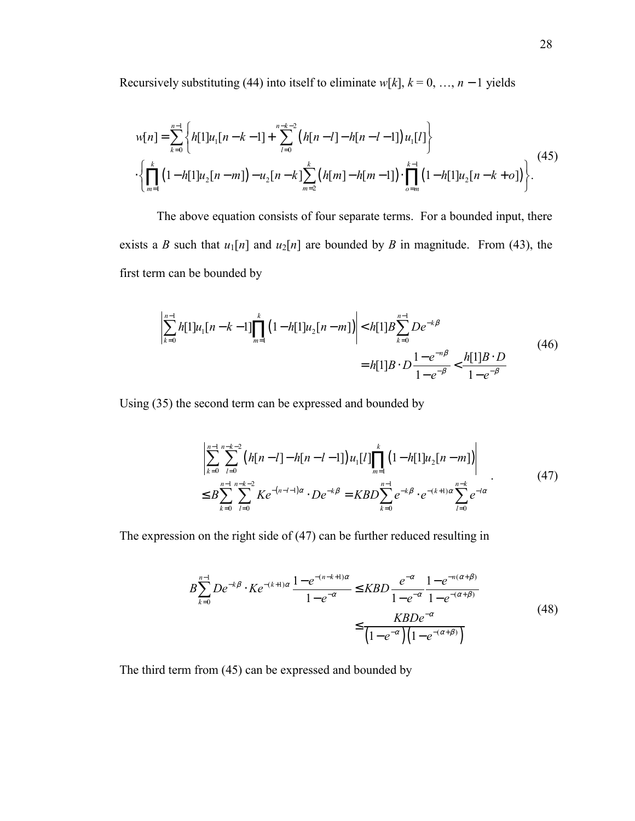Recursively substituting (44) into itself to eliminate  $w[k]$ ,  $k = 0, ..., n - 1$  yields

$$
w[n] = \sum_{k=0}^{n-1} \left\{ h[1]u_1[n-k-1] + \sum_{l=0}^{n-k-2} (h[n-l]-h[n-l-1])u_1[l] \right\}
$$
  
 
$$
\cdot \left\{ \prod_{m=1}^{k} (1-h[1]u_2[n-m]) - u_2[n-k] \sum_{m=2}^{k} (h[m]-h[m-1]) \cdot \prod_{o=m}^{k-1} (1-h[1]u_2[n-k+o]) \right\}.
$$
 (45)

The above equation consists of four separate terms. For a bounded input, there exists a *B* such that  $u_1[n]$  and  $u_2[n]$  are bounded by *B* in magnitude. From (43), the first term can be bounded by

$$
\left| \sum_{k=0}^{n-1} h[1]u_1[n-k-1] \prod_{m=1}^k (1-h[1]u_2[n-m]) \right| < h[1]B \sum_{k=0}^{n-1} De^{-k\beta}
$$
  
=  $h[1]B \cdot D \frac{1-e^{-n\beta}}{1-e^{-\beta}} < \frac{h[1]B \cdot D}{1-e^{-\beta}}$  (46)

Using (35) the second term can be expressed and bounded by

$$
\left| \sum_{k=0}^{n-1} \sum_{l=0}^{n-k-2} \left( h[n-l] - h[n-l-1] \right) u_1[l] \prod_{m=1}^k \left( 1 - h[1] u_2[n-m] \right) \right|
$$
  
\n
$$
\leq B \sum_{k=0}^{n-1} \sum_{l=0}^{n-k-2} K e^{-(n-l-1)\alpha} \cdot De^{-k\beta} = KBD \sum_{k=0}^{n-1} e^{-k\beta} \cdot e^{-(k+1)\alpha} \sum_{l=0}^{n-k} e^{-l\alpha}
$$
 (47)

The expression on the right side of (47) can be further reduced resulting in

$$
B\sum_{k=0}^{n-1} De^{-k\beta} \cdot Ke^{-(k+1)\alpha} \frac{1 - e^{-(n-k+1)\alpha}}{1 - e^{-\alpha}} \le KBD \frac{e^{-\alpha}}{1 - e^{-\alpha}} \frac{1 - e^{-n(\alpha + \beta)}}{1 - e^{-(\alpha + \beta)}}
$$
  

$$
\le \frac{KBDe^{-\alpha}}{(1 - e^{-\alpha})(1 - e^{-(\alpha + \beta)})}
$$
(48)

The third term from (45) can be expressed and bounded by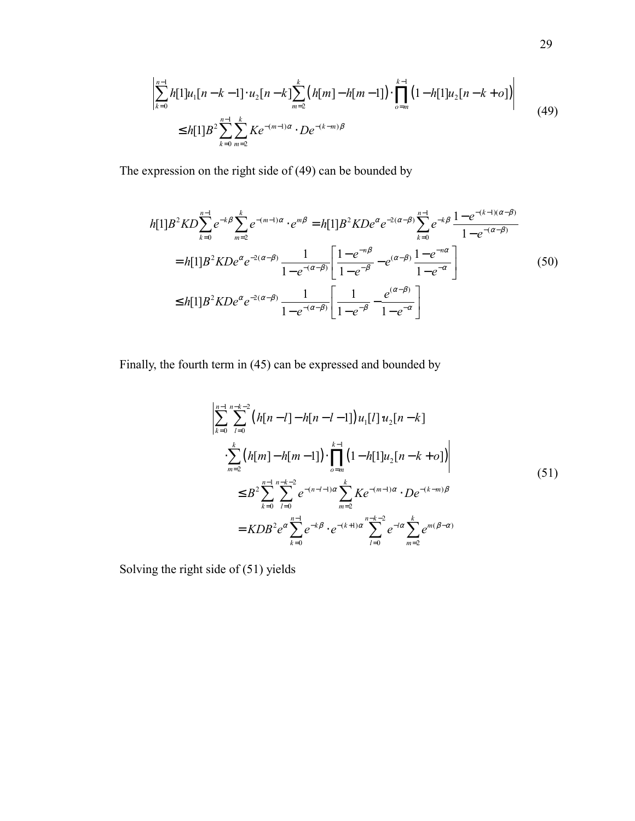$$
\left| \sum_{k=0}^{n-1} h[1]u_1[n-k-1] \cdot u_2[n-k] \sum_{m=2}^k (h[m]-h[m-1]) \cdot \prod_{o=m}^{k-1} (1-h[1]u_2[n-k+o]) \right|
$$
  
\n
$$
\leq h[1]B^2 \sum_{k=0}^{n-1} \sum_{m=2}^k K e^{-(m-1)\alpha} \cdot De^{-(k-m)\beta}
$$
\n(49)

The expression on the right side of (49) can be bounded by

$$
h[1]B^2KD\sum_{k=0}^{n-1}e^{-k\beta}\sum_{m=2}^{k}e^{-(m-1)\alpha} \cdot e^{m\beta} = h[1]B^2KDe^{\alpha}e^{-2(\alpha-\beta)}\sum_{k=0}^{n-1}e^{-k\beta}\frac{1-e^{-(k-1)(\alpha-\beta)}}{1-e^{-(\alpha-\beta)}}
$$
  
=  $h[1]B^2KDe^{\alpha}e^{-2(\alpha-\beta)}\frac{1}{1-e^{-(\alpha-\beta)}}\left[\frac{1-e^{-n\beta}}{1-e^{-\beta}}-e^{(\alpha-\beta)}\frac{1-e^{-n\alpha}}{1-e^{-\alpha}}\right]$  (50)  
 $\leq h[1]B^2KDe^{\alpha}e^{-2(\alpha-\beta)}\frac{1}{1-e^{-(\alpha-\beta)}}\left[\frac{1}{1-e^{-\beta}}-\frac{e^{(\alpha-\beta)}}{1-e^{-\alpha}}\right]$ 

Finally, the fourth term in (45) can be expressed and bounded by

$$
\sum_{k=0}^{n-1} \sum_{l=0}^{n-k-2} (h[n-l]-h[n-l-1]) u_1[l] u_2[n-k]
$$
  
\n
$$
\sum_{m=2}^{k} (h[m]-h[m-1]) \cdot \prod_{o=m}^{k-1} (1-h[1] u_2[n-k+o])
$$
  
\n
$$
\leq B^2 \sum_{k=0}^{n-1} \sum_{l=0}^{n-k-2} e^{-(n-l-1)\alpha} \sum_{m=2}^{k} K e^{-(m-l)\alpha} \cdot De^{-(k-m)\beta}
$$
  
\n
$$
= KDB^2 e^{\alpha} \sum_{k=0}^{n-1} e^{-k\beta} \cdot e^{-(k+1)\alpha} \sum_{l=0}^{n-k-2} e^{-l\alpha} \sum_{m=2}^{k} e^{m(\beta-\alpha)}
$$
  
\n(51)

Solving the right side of (51) yields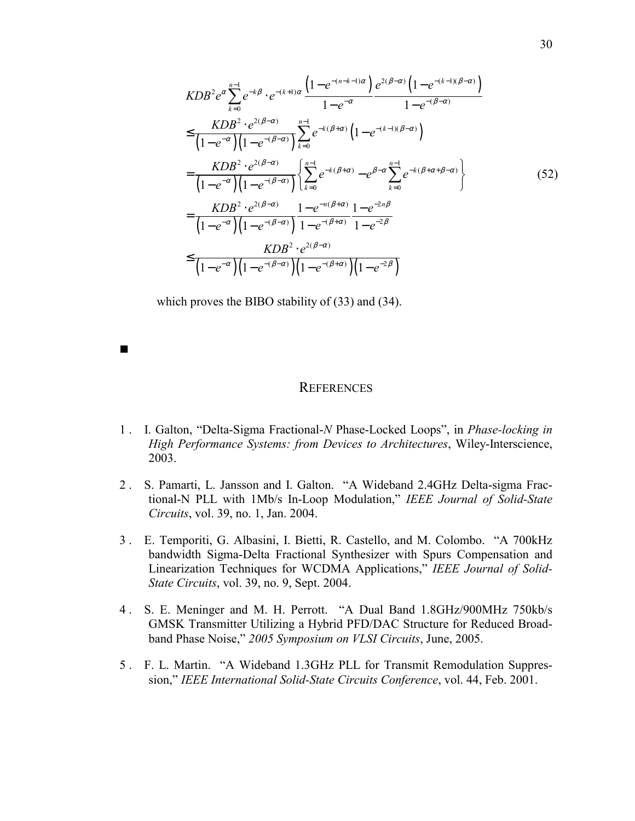$$
KDB^{2}e^{\alpha} \sum_{k=0}^{n-1} e^{-k\beta} \cdot e^{-(k+1)\alpha} \frac{\left(1 - e^{-(n-k-1)\alpha}\right)}{1 - e^{-\alpha}} \frac{e^{2(\beta-\alpha)} \left(1 - e^{-(k-1)(\beta-\alpha)}\right)}{1 - e^{-(\beta-\alpha)}}
$$
\n
$$
\leq \frac{KDB^{2} \cdot e^{2(\beta-\alpha)}}{\left(1 - e^{-\alpha}\right)\left(1 - e^{-(\beta-\alpha)}\right)} \sum_{k=0}^{n-1} e^{-k(\beta+\alpha)} \left(1 - e^{-(k-1)(\beta-\alpha)}\right)
$$
\n
$$
= \frac{KDB^{2} \cdot e^{2(\beta-\alpha)}}{\left(1 - e^{-\alpha}\right)\left(1 - e^{-(\beta-\alpha)}\right)} \left\{\sum_{k=0}^{n-1} e^{-k(\beta+\alpha)} - e^{\beta-\alpha} \sum_{k=0}^{n-1} e^{-k(\beta+\alpha+\beta-\alpha)}\right\}
$$
\n
$$
= \frac{KDB^{2} \cdot e^{2(\beta-\alpha)}}{\left(1 - e^{-\alpha}\right)\left(1 - e^{-(\beta-\alpha)}\right)} \frac{1 - e^{-n(\beta+\alpha)}}{1 - e^{-(\beta+\alpha)}} \frac{1 - e^{-2n\beta}}{1 - e^{-2\beta}}
$$
\n
$$
\leq \frac{KDB^{2} \cdot e^{2(\beta-\alpha)}}{\left(1 - e^{-\alpha}\right)\left(1 - e^{-(\beta-\alpha)}\right)\left(1 - e^{-(\beta+\alpha)}\right)\left(1 - e^{-2\beta}\right)} \tag{52}
$$

which proves the BIBO stability of (33) and (34).

 $\blacksquare$ 

## **REFERENCES**

- 1 . I. Galton, "Delta-Sigma Fractional-*N* Phase-Locked Loops", in *Phase-locking in High Performance Systems: from Devices to Architectures*, Wiley-Interscience, 2003.
- 2 . S. Pamarti, L. Jansson and I. Galton. "A Wideband 2.4GHz Delta-sigma Fractional-N PLL with 1Mb/s In-Loop Modulation," *IEEE Journal of Solid-State Circuits*, vol. 39, no. 1, Jan. 2004.
- 3 . E. Temporiti, G. Albasini, I. Bietti, R. Castello, and M. Colombo. "A 700kHz bandwidth Sigma-Delta Fractional Synthesizer with Spurs Compensation and Linearization Techniques for WCDMA Applications," *IEEE Journal of Solid-State Circuits*, vol. 39, no. 9, Sept. 2004.
- 4 . S. E. Meninger and M. H. Perrott. "A Dual Band 1.8GHz/900MHz 750kb/s GMSK Transmitter Utilizing a Hybrid PFD/DAC Structure for Reduced Broadband Phase Noise," *2005 Symposium on VLSI Circuits*, June, 2005.
- 5 . F. L. Martin. "A Wideband 1.3GHz PLL for Transmit Remodulation Suppression," *IEEE International Solid-State Circuits Conference*, vol. 44, Feb. 2001.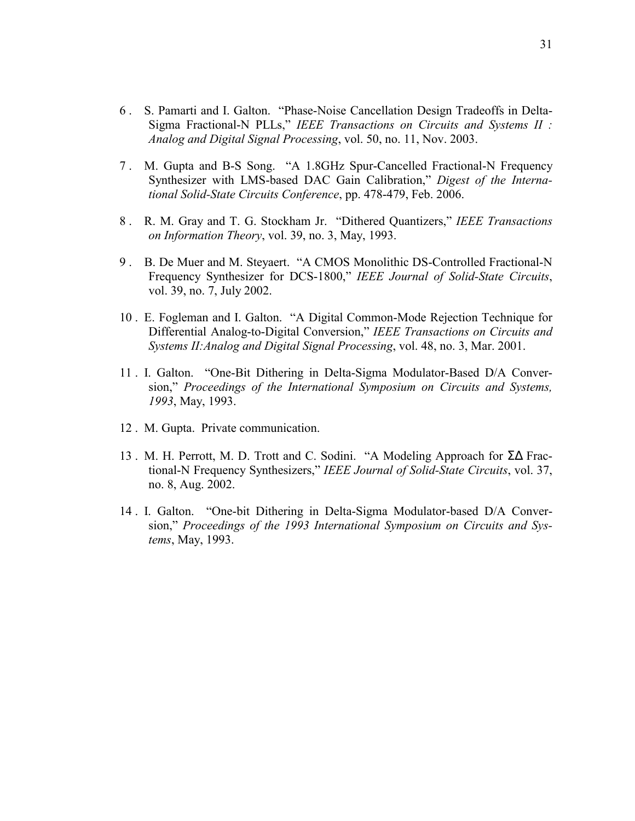- 6 . S. Pamarti and I. Galton. "Phase-Noise Cancellation Design Tradeoffs in Delta-Sigma Fractional-N PLLs," *IEEE Transactions on Circuits and Systems II : Analog and Digital Signal Processing*, vol. 50, no. 11, Nov. 2003.
- 7 . M. Gupta and B-S Song. "A 1.8GHz Spur-Cancelled Fractional-N Frequency Synthesizer with LMS-based DAC Gain Calibration," *Digest of the International Solid-State Circuits Conference*, pp. 478-479, Feb. 2006.
- 8 . R. M. Gray and T. G. Stockham Jr. "Dithered Quantizers," *IEEE Transactions on Information Theory*, vol. 39, no. 3, May, 1993.
- 9 . B. De Muer and M. Steyaert. "A CMOS Monolithic DS-Controlled Fractional-N Frequency Synthesizer for DCS-1800," *IEEE Journal of Solid-State Circuits*, vol. 39, no. 7, July 2002.
- 10 . E. Fogleman and I. Galton. "A Digital Common-Mode Rejection Technique for Differential Analog-to-Digital Conversion," *IEEE Transactions on Circuits and Systems II:Analog and Digital Signal Processing*, vol. 48, no. 3, Mar. 2001.
- 11 . I. Galton. "One-Bit Dithering in Delta-Sigma Modulator-Based D/A Conversion," *Proceedings of the International Symposium on Circuits and Systems, 1993*, May, 1993.
- 12 . M. Gupta. Private communication.
- 13 . M. H. Perrott, M. D. Trott and C. Sodini. "A Modeling Approach for Σ∆ Fractional-N Frequency Synthesizers," *IEEE Journal of Solid-State Circuits*, vol. 37, no. 8, Aug. 2002.
- 14 . I. Galton. "One-bit Dithering in Delta-Sigma Modulator-based D/A Conversion," *Proceedings of the 1993 International Symposium on Circuits and Systems*, May, 1993.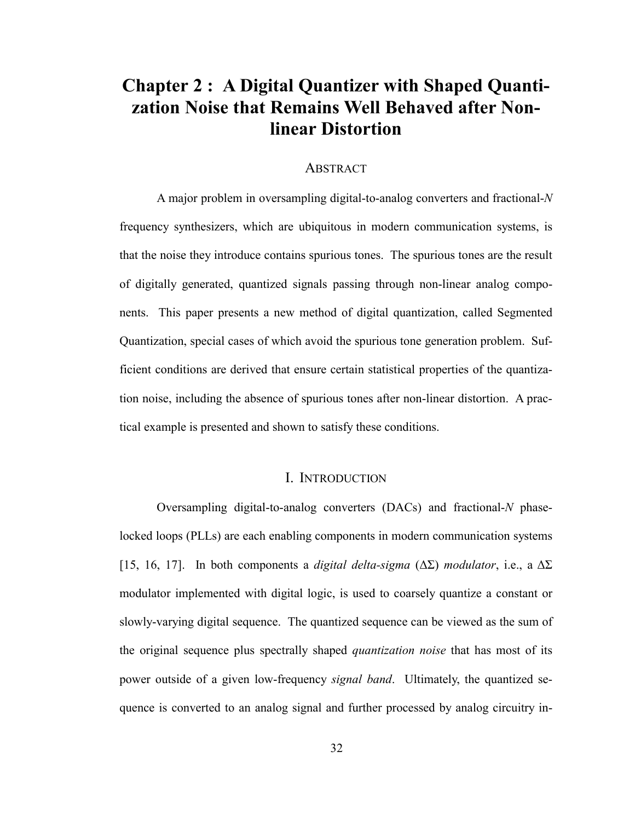## **Chapter 2 : A Digital Quantizer with Shaped Quantization Noise that Remains Well Behaved after Nonlinear Distortion**

#### ABSTRACT

A major problem in oversampling digital-to-analog converters and fractional-*N* frequency synthesizers, which are ubiquitous in modern communication systems, is that the noise they introduce contains spurious tones. The spurious tones are the result of digitally generated, quantized signals passing through non-linear analog components. This paper presents a new method of digital quantization, called Segmented Quantization, special cases of which avoid the spurious tone generation problem. Sufficient conditions are derived that ensure certain statistical properties of the quantization noise, including the absence of spurious tones after non-linear distortion. A practical example is presented and shown to satisfy these conditions.

## I. INTRODUCTION

Oversampling digital-to-analog converters (DACs) and fractional-*N* phaselocked loops (PLLs) are each enabling components in modern communication systems [15, 16, 17]. In both components a *digital delta-sigma* (∆Σ) *modulator*, i.e., a ∆Σ modulator implemented with digital logic, is used to coarsely quantize a constant or slowly-varying digital sequence. The quantized sequence can be viewed as the sum of the original sequence plus spectrally shaped *quantization noise* that has most of its power outside of a given low-frequency *signal band*. Ultimately, the quantized sequence is converted to an analog signal and further processed by analog circuitry in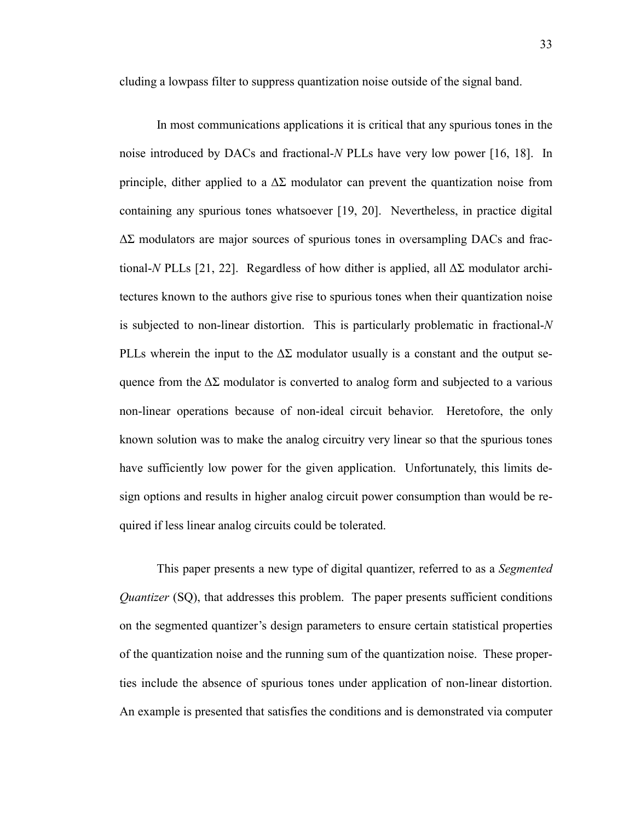cluding a lowpass filter to suppress quantization noise outside of the signal band.

In most communications applications it is critical that any spurious tones in the noise introduced by DACs and fractional-*N* PLLs have very low power [16, 18]. In principle, dither applied to a  $\Delta \Sigma$  modulator can prevent the quantization noise from containing any spurious tones whatsoever [19, 20]. Nevertheless, in practice digital ∆Σ modulators are major sources of spurious tones in oversampling DACs and fractional-*N* PLLs [21, 22]. Regardless of how dither is applied, all ∆Σ modulator architectures known to the authors give rise to spurious tones when their quantization noise is subjected to non-linear distortion. This is particularly problematic in fractional-*N* PLLs wherein the input to the  $\Delta\Sigma$  modulator usually is a constant and the output sequence from the  $\Delta\Sigma$  modulator is converted to analog form and subjected to a various non-linear operations because of non-ideal circuit behavior. Heretofore, the only known solution was to make the analog circuitry very linear so that the spurious tones have sufficiently low power for the given application. Unfortunately, this limits design options and results in higher analog circuit power consumption than would be required if less linear analog circuits could be tolerated.

This paper presents a new type of digital quantizer, referred to as a *Segmented Quantizer* (SQ), that addresses this problem. The paper presents sufficient conditions on the segmented quantizer's design parameters to ensure certain statistical properties of the quantization noise and the running sum of the quantization noise. These properties include the absence of spurious tones under application of non-linear distortion. An example is presented that satisfies the conditions and is demonstrated via computer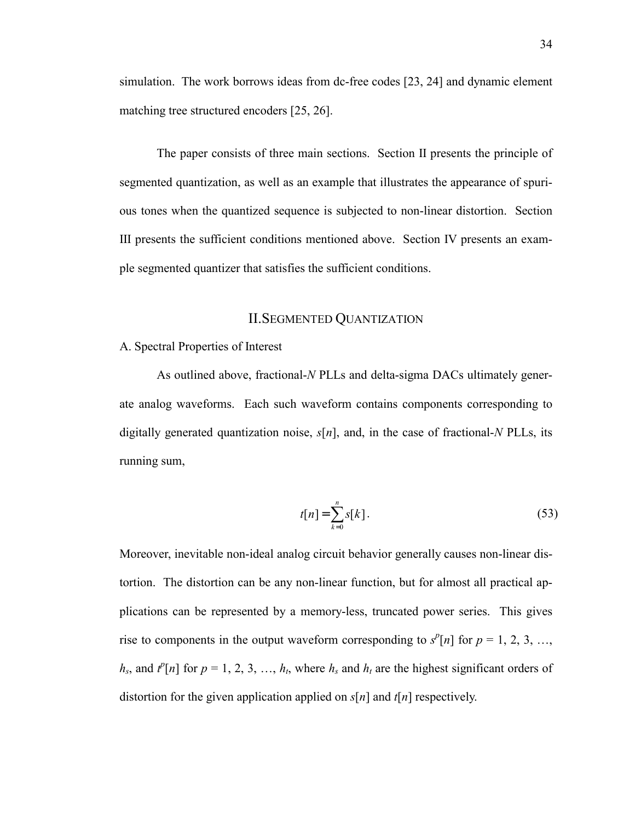simulation. The work borrows ideas from dc-free codes [23, 24] and dynamic element matching tree structured encoders [25, 26].

The paper consists of three main sections. Section II presents the principle of segmented quantization, as well as an example that illustrates the appearance of spurious tones when the quantized sequence is subjected to non-linear distortion. Section III presents the sufficient conditions mentioned above. Section IV presents an example segmented quantizer that satisfies the sufficient conditions.

### II.SEGMENTED QUANTIZATION

#### A. Spectral Properties of Interest

As outlined above, fractional-*N* PLLs and delta-sigma DACs ultimately generate analog waveforms. Each such waveform contains components corresponding to digitally generated quantization noise, *s*[*n*], and, in the case of fractional-*N* PLLs, its running sum,

$$
t[n] = \sum_{k=0}^{n} s[k].
$$
 (53)

Moreover, inevitable non-ideal analog circuit behavior generally causes non-linear distortion. The distortion can be any non-linear function, but for almost all practical applications can be represented by a memory-less, truncated power series. This gives rise to components in the output waveform corresponding to  $s^p[n]$  for  $p = 1, 2, 3, ...$ ,  $h_s$ , and  $t^p[n]$  for  $p = 1, 2, 3, ..., h_t$ , where  $h_s$  and  $h_t$  are the highest significant orders of distortion for the given application applied on *s*[*n*] and *t*[*n*] respectively.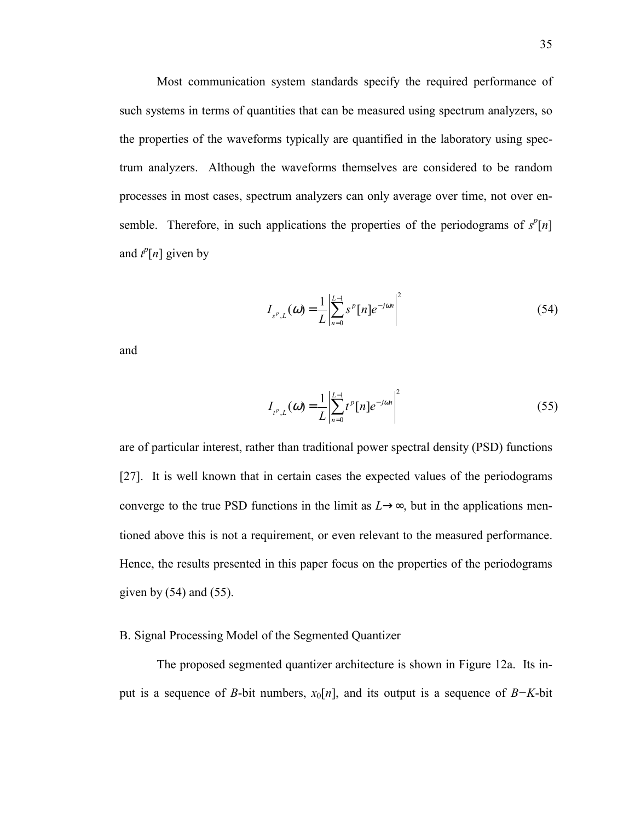Most communication system standards specify the required performance of such systems in terms of quantities that can be measured using spectrum analyzers, so the properties of the waveforms typically are quantified in the laboratory using spectrum analyzers. Although the waveforms themselves are considered to be random processes in most cases, spectrum analyzers can only average over time, not over ensemble. Therefore, in such applications the properties of the periodograms of  $s^p[n]$ and  $t^p[n]$  given by

$$
I_{s^p, L}(\omega) = \frac{1}{L} \left| \sum_{n=0}^{L-1} s^p [n] e^{-j\omega n} \right|^2 \tag{54}
$$

and

$$
I_{t^p, L}(\omega) = \frac{1}{L} \left| \sum_{n=0}^{L-1} t^p [n] e^{-j\omega n} \right|^2
$$
 (55)

are of particular interest, rather than traditional power spectral density (PSD) functions [27]. It is well known that in certain cases the expected values of the periodograms converge to the true PSD functions in the limit as  $L \rightarrow \infty$ , but in the applications mentioned above this is not a requirement, or even relevant to the measured performance. Hence, the results presented in this paper focus on the properties of the periodograms given by  $(54)$  and  $(55)$ .

#### B. Signal Processing Model of the Segmented Quantizer

The proposed segmented quantizer architecture is shown in Figure 12a. Its input is a sequence of *B*-bit numbers, *x*0[*n*], and its output is a sequence of *B−K*-bit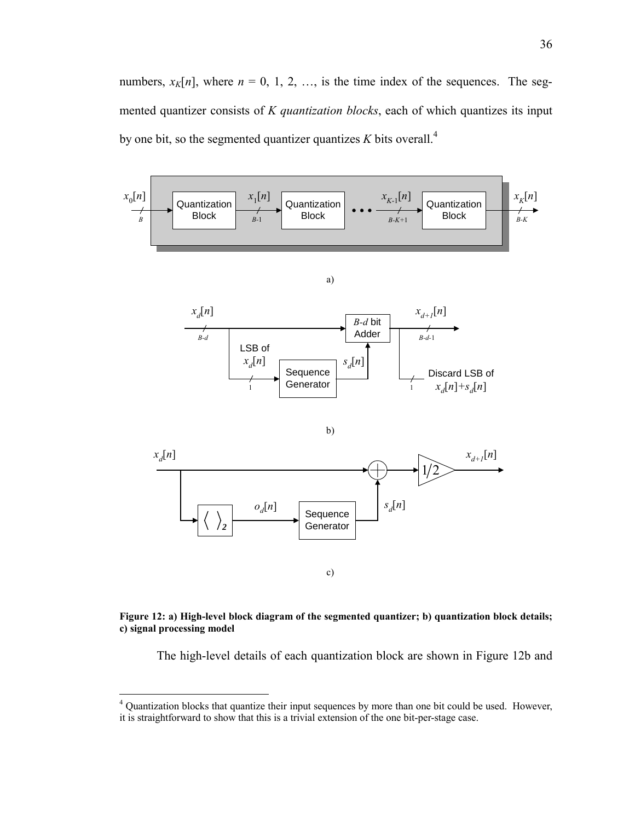numbers,  $x_K[n]$ , where  $n = 0, 1, 2, \ldots$ , is the time index of the sequences. The segmented quantizer consists of *K quantization blocks*, each of which quantizes its input by one bit, so the segmented quantizer quantizes  $K$  bits overall.<sup>4</sup>



#### **Figure 12: a) High-level block diagram of the segmented quantizer; b) quantization block details; c) signal processing model**

The high-level details of each quantization block are shown in Figure 12b and

 4 Quantization blocks that quantize their input sequences by more than one bit could be used. However, it is straightforward to show that this is a trivial extension of the one bit-per-stage case.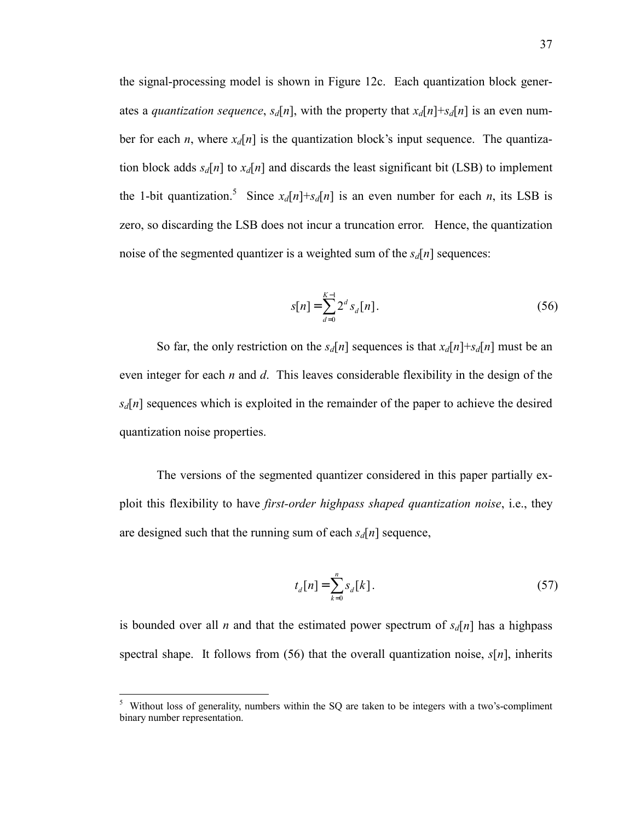the signal-processing model is shown in Figure 12c. Each quantization block generates a *quantization sequence*,  $s_d[n]$ , with the property that  $x_d[n]+s_d[n]$  is an even number for each *n*, where  $x_d[n]$  is the quantization block's input sequence. The quantization block adds  $s_d[n]$  to  $x_d[n]$  and discards the least significant bit (LSB) to implement the 1-bit quantization.<sup>5</sup> Since  $x_d[n]+s_d[n]$  is an even number for each *n*, its LSB is zero, so discarding the LSB does not incur a truncation error. Hence, the quantization noise of the segmented quantizer is a weighted sum of the  $s_d[n]$  sequences:

$$
s[n] = \sum_{d=0}^{K-1} 2^d s_d[n].
$$
 (56)

So far, the only restriction on the  $s_d[n]$  sequences is that  $x_d[n]+s_d[n]$  must be an even integer for each *n* and *d*. This leaves considerable flexibility in the design of the  $s_d[n]$  sequences which is exploited in the remainder of the paper to achieve the desired quantization noise properties.

The versions of the segmented quantizer considered in this paper partially exploit this flexibility to have *first-order highpass shaped quantization noise*, i.e., they are designed such that the running sum of each  $s_d[n]$  sequence,

$$
t_d[n] = \sum_{k=0}^{n} s_d[k].
$$
 (57)

is bounded over all *n* and that the estimated power spectrum of  $s_d[n]$  has a highpass spectral shape. It follows from (56) that the overall quantization noise, *s*[*n*], inherits

 5 Without loss of generality, numbers within the SQ are taken to be integers with a two's-compliment binary number representation.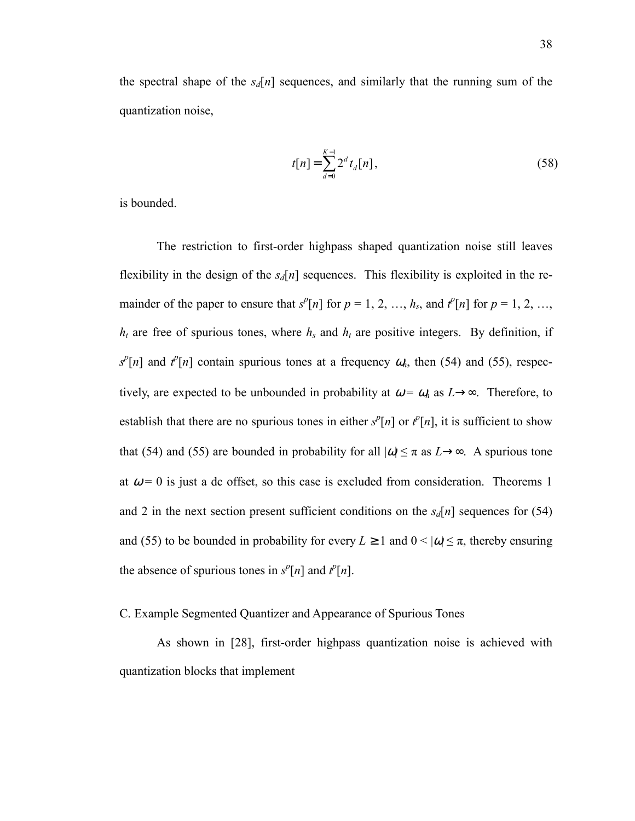the spectral shape of the  $s_d[n]$  sequences, and similarly that the running sum of the quantization noise,

$$
t[n] = \sum_{d=0}^{K-1} 2^d t_d[n],
$$
\n(58)

is bounded.

The restriction to first-order highpass shaped quantization noise still leaves flexibility in the design of the  $s_d[n]$  sequences. This flexibility is exploited in the remainder of the paper to ensure that  $s^p[n]$  for  $p = 1, 2, ..., h_s$ , and  $t^p[n]$  for  $p = 1, 2, ...,$  $h_t$  are free of spurious tones, where  $h_s$  and  $h_t$  are positive integers. By definition, if  $s^p[n]$  and  $t^p[n]$  contain spurious tones at a frequency  $\omega_n$ , then (54) and (55), respectively, are expected to be unbounded in probability at  $\omega = \omega_n$  as  $L \rightarrow \infty$ . Therefore, to establish that there are no spurious tones in either  $s^p[n]$  or  $t^p[n]$ , it is sufficient to show that (54) and (55) are bounded in probability for all  $|\omega| \leq \pi$  as  $L \rightarrow \infty$ . A spurious tone at  $\omega = 0$  is just a dc offset, so this case is excluded from consideration. Theorems 1 and 2 in the next section present sufficient conditions on the  $s_d[n]$  sequences for (54) and (55) to be bounded in probability for every  $L \ge 1$  and  $0 < |\omega| \le \pi$ , thereby ensuring the absence of spurious tones in  $s^p[n]$  and  $t^p[n]$ .

C. Example Segmented Quantizer and Appearance of Spurious Tones

As shown in [28], first-order highpass quantization noise is achieved with quantization blocks that implement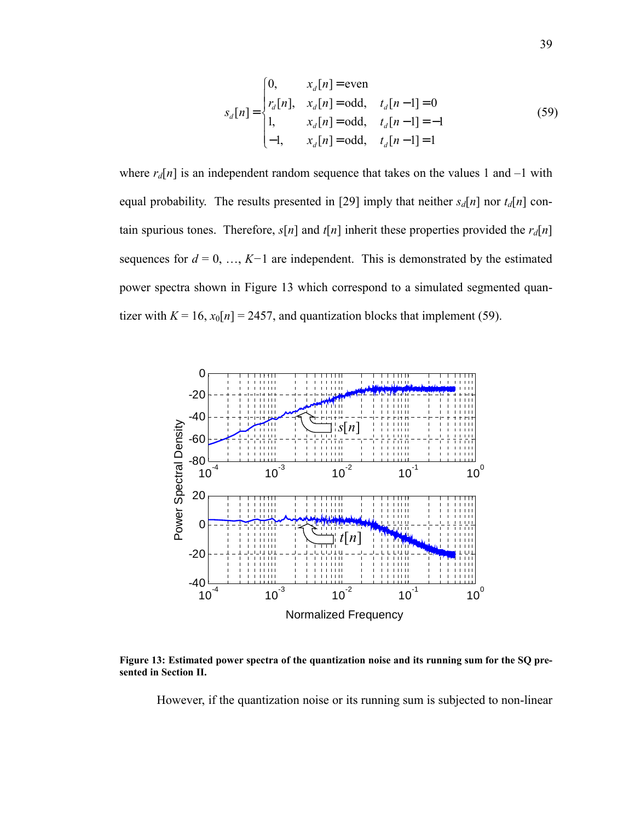$$
s_d[n] = \begin{cases} 0, & x_d[n] = \text{even} \\ r_d[n], & x_d[n] = \text{odd}, & t_d[n-1] = 0 \\ 1, & x_d[n] = \text{odd}, & t_d[n-1] = -1 \\ -1, & x_d[n] = \text{odd}, & t_d[n-1] = 1 \end{cases}
$$
(59)

where  $r_d[n]$  is an independent random sequence that takes on the values 1 and  $-1$  with equal probability. The results presented in [29] imply that neither  $s_d[n]$  nor  $t_d[n]$  contain spurious tones. Therefore,  $s[n]$  and  $t[n]$  inherit these properties provided the  $r_d[n]$ sequences for  $d = 0, ..., K-1$  are independent. This is demonstrated by the estimated power spectra shown in Figure 13 which correspond to a simulated segmented quantizer with  $K = 16$ ,  $x_0[n] = 2457$ , and quantization blocks that implement (59).



**Figure 13: Estimated power spectra of the quantization noise and its running sum for the SQ presented in Section II.** 

However, if the quantization noise or its running sum is subjected to non-linear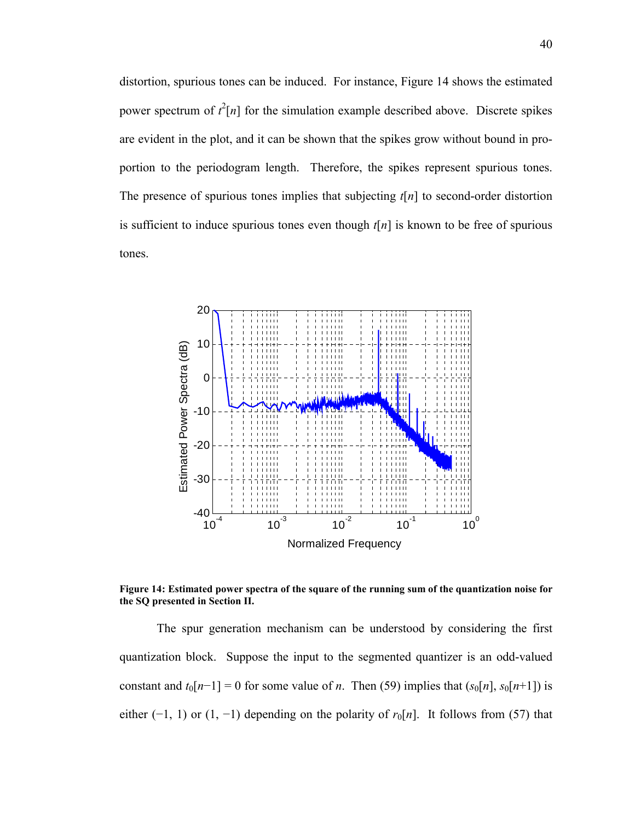distortion, spurious tones can be induced. For instance, Figure 14 shows the estimated power spectrum of  $t^2[n]$  for the simulation example described above. Discrete spikes are evident in the plot, and it can be shown that the spikes grow without bound in proportion to the periodogram length. Therefore, the spikes represent spurious tones. The presence of spurious tones implies that subjecting *t*[*n*] to second-order distortion is sufficient to induce spurious tones even though  $t[n]$  is known to be free of spurious tones.



**Figure 14: Estimated power spectra of the square of the running sum of the quantization noise for the SQ presented in Section II.** 

The spur generation mechanism can be understood by considering the first quantization block. Suppose the input to the segmented quantizer is an odd-valued constant and  $t_0[n-1] = 0$  for some value of *n*. Then (59) implies that  $(s_0[n], s_0[n+1])$  is either (−1, 1) or (1, −1) depending on the polarity of  $r_0[n]$ . It follows from (57) that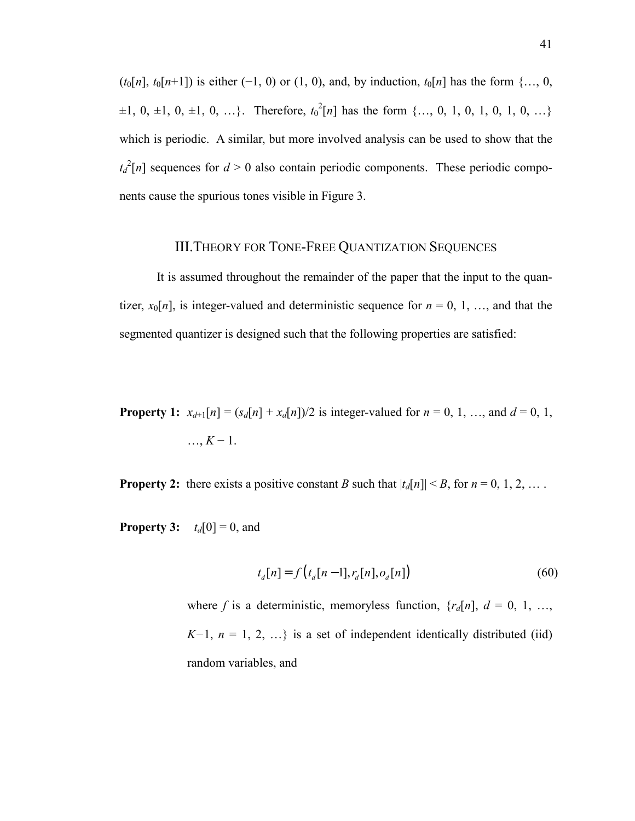$(t_0[n], t_0[n+1])$  is either (−1, 0) or (1, 0), and, by induction,  $t_0[n]$  has the form {…, 0,  $\pm 1, 0, \pm 1, 0, \pm 1, 0, \ldots$ }. Therefore,  $t_0^2[n]$  has the form {..., 0, 1, 0, 1, 0, 1, 0, ...} which is periodic. A similar, but more involved analysis can be used to show that the  $t_d^2[n]$  sequences for  $d > 0$  also contain periodic components. These periodic components cause the spurious tones visible in Figure 3.

## III.THEORY FOR TONE-FREE QUANTIZATION SEQUENCES

It is assumed throughout the remainder of the paper that the input to the quantizer,  $x_0[n]$ , is integer-valued and deterministic sequence for  $n = 0, 1, \ldots$ , and that the segmented quantizer is designed such that the following properties are satisfied:

**Property 1:**  $x_{d+1}[n] = (s_d[n] + x_d[n])/2$  is integer-valued for  $n = 0, 1, ...,$  and  $d = 0, 1,$ …, *K* − 1.

**Property 2:** there exists a positive constant *B* such that  $|t_d[n]| \leq B$ , for  $n = 0, 1, 2, ...$ .

**Property 3:**  $t_d[0] = 0$ , and

$$
t_d[n] = f(t_d[n-1], r_d[n], o_d[n])
$$
\n(60)

where *f* is a deterministic, memoryless function,  $\{r_d[n], d = 0, 1, \ldots,$ *K*−1,  $n = 1, 2, ...$ } is a set of independent identically distributed (iid) random variables, and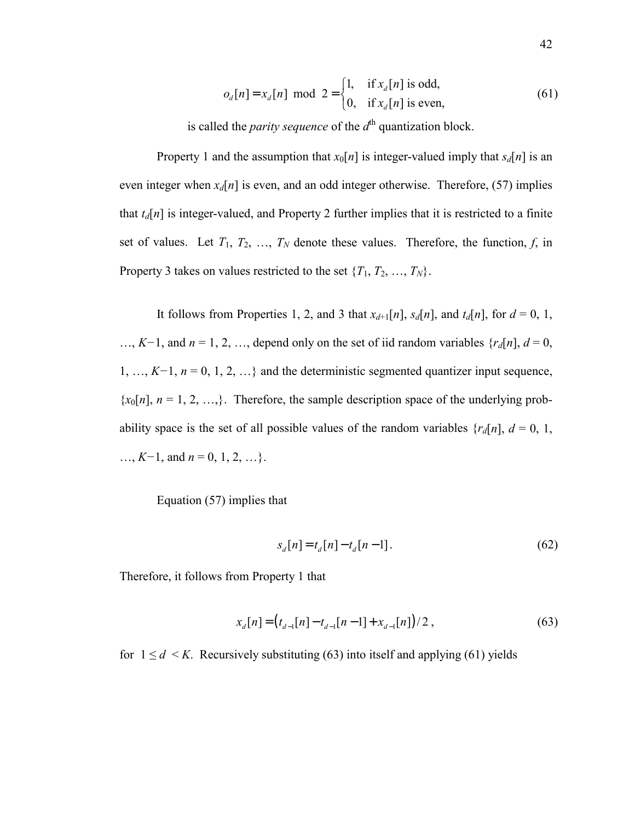$$
o_d[n] = x_d[n] \text{ mod } 2 = \begin{cases} 1, & \text{if } x_d[n] \text{ is odd,} \\ 0, & \text{if } x_d[n] \text{ is even,} \end{cases}
$$
(61)

is called the *parity sequence* of the  $d<sup>th</sup>$  quantization block.

Property 1 and the assumption that  $x_0[n]$  is integer-valued imply that  $s_d[n]$  is an even integer when  $x_d[n]$  is even, and an odd integer otherwise. Therefore, (57) implies that  $t_d[n]$  is integer-valued, and Property 2 further implies that it is restricted to a finite set of values. Let  $T_1, T_2, ..., T_N$  denote these values. Therefore, the function,  $f$ , in Property 3 takes on values restricted to the set  $\{T_1, T_2, ..., T_N\}$ .

It follows from Properties 1, 2, and 3 that  $x_{d+1}[n]$ ,  $s_d[n]$ , and  $t_d[n]$ , for  $d = 0, 1$ , …, *K−*1, and *n* = 1, 2, …, depend only on the set of iid random variables {*rd*[*n*], *d* = 0, 1, …, *K−*1, *n* = 0, 1, 2, …} and the deterministic segmented quantizer input sequence,  ${x<sub>0</sub>[n]$ ,  $n = 1, 2, ...,$ . Therefore, the sample description space of the underlying probability space is the set of all possible values of the random variables  $\{r_d[n], d = 0, 1,$ …, *K−*1, and *n* = 0, 1, 2, …}.

Equation (57) implies that

$$
s_d[n] = t_d[n] - t_d[n-1].
$$
 (62)

Therefore, it follows from Property 1 that

$$
x_d[n] = (t_{d-1}[n] - t_{d-1}[n-1] + x_{d-1}[n])/2,
$$
\n(63)

for  $1 \le d \le K$ . Recursively substituting (63) into itself and applying (61) yields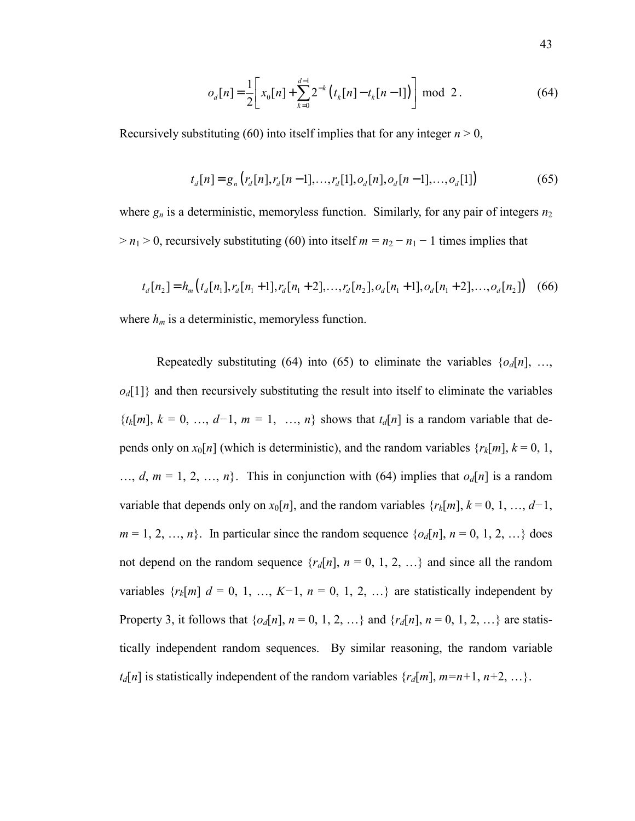$$
o_d[n] = \frac{1}{2} \left[ x_0[n] + \sum_{k=0}^{d-1} 2^{-k} \left( t_k[n] - t_k[n-1] \right) \right] \bmod 2.
$$
 (64)

Recursively substituting (60) into itself implies that for any integer  $n > 0$ ,

$$
t_d[n] = g_n(r_d[n], r_d[n-1], \dots, r_d[1], o_d[n], o_d[n-1], \dots, o_d[1])
$$
\n(65)

where  $g_n$  is a deterministic, memoryless function. Similarly, for any pair of integers  $n_2$  $> n_1 > 0$ , recursively substituting (60) into itself  $m = n_2 - n_1 - 1$  times implies that

$$
t_d[n_2] = h_m(t_d[n_1], r_d[n_1+1], r_d[n_1+2], \dots, r_d[n_2], o_d[n_1+1], o_d[n_1+2], \dots, o_d[n_2]) \quad (66)
$$

where  $h_m$  is a deterministic, memoryless function.

Repeatedly substituting (64) into (65) to eliminate the variables  $\{o_d[n], \ldots,$  $o_d[1]$ } and then recursively substituting the result into itself to eliminate the variables  ${t_k[m], k = 0, ..., d-1, m = 1, ..., n}$  shows that  $t_d[n]$  is a random variable that depends only on  $x_0[n]$  (which is deterministic), and the random variables  $\{r_k[m], k = 0, 1, \ldots, n\}$ ..., *d*,  $m = 1, 2, ..., n$ . This in conjunction with (64) implies that  $o_d[n]$  is a random variable that depends only on  $x_0[n]$ , and the random variables  $\{r_k[m], k = 0, 1, ..., d-1\}$ ,  $m = 1, 2, ..., n$ . In particular since the random sequence  $\{o_d[n], n = 0, 1, 2, ...\}$  does not depend on the random sequence  $\{r_d[n], n = 0, 1, 2, ...\}$  and since all the random variables  $\{r_k[m]$   $d = 0, 1, ..., K-1, n = 0, 1, 2, ...\}$  are statistically independent by Property 3, it follows that  $\{o_d[n], n = 0, 1, 2, \ldots\}$  and  $\{r_d[n], n = 0, 1, 2, \ldots\}$  are statistically independent random sequences. By similar reasoning, the random variable  $t_d[n]$  is statistically independent of the random variables  $\{r_d[m], m=n+1, n+2, \ldots\}$ .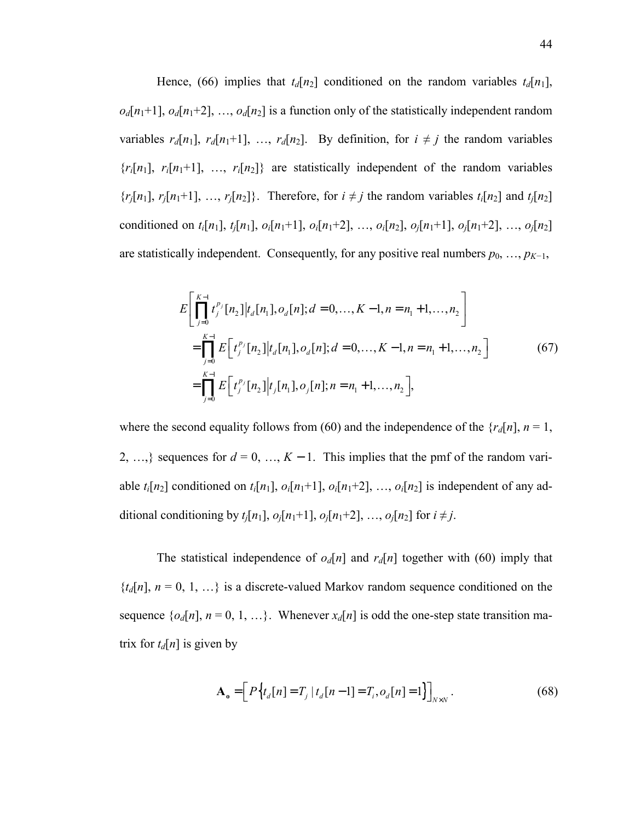Hence, (66) implies that  $t_d[n_2]$  conditioned on the random variables  $t_d[n_1]$ ,  $o_d[n_1+1]$ ,  $o_d[n_1+2]$ , ...,  $o_d[n_2]$  is a function only of the statistically independent random variables  $r_d[n_1], r_d[n_1+1], \ldots, r_d[n_2]$ . By definition, for  $i \neq j$  the random variables  ${r_i[n_1], r_i[n_1+1], ..., r_i[n_2]}$  are statistically independent of the random variables  $\{r_j[n_1], r_j[n_1+1], \ldots, r_j[n_2]\}$ . Therefore, for  $i \neq j$  the random variables  $t_i[n_2]$  and  $t_j[n_2]$ conditioned on  $t_i[n_1]$ ,  $t_j[n_1]$ ,  $o_i[n_1+1]$ ,  $o_i[n_1+2]$ , …,  $o_i[n_2]$ ,  $o_j[n_1+1]$ ,  $o_j[n_1+2]$ , …,  $o_j[n_2]$ are statistically independent. Consequently, for any positive real numbers  $p_0, \ldots, p_{K-1}$ ,

$$
E\left[\prod_{j=0}^{K-1} t_j^{p_j}[n_2]|t_d[n_1], o_d[n]; d = 0, ..., K-1, n = n_1 + 1, ..., n_2\right]
$$
  
\n
$$
= \prod_{j=0}^{K-1} E\left[t_j^{p_j}[n_2]|t_d[n_1], o_d[n]; d = 0, ..., K-1, n = n_1 + 1, ..., n_2\right]
$$
  
\n
$$
= \prod_{j=0}^{K-1} E\left[t_j^{p_j}[n_2]|t_j[n_1], o_j[n]; n = n_1 + 1, ..., n_2\right],
$$
\n(67)

where the second equality follows from (60) and the independence of the  $\{r_d[n], n = 1,$ 2, …, sequences for  $d = 0, ..., K - 1$ . This implies that the pmf of the random variable  $t_i[n_2]$  conditioned on  $t_i[n_1]$ ,  $o_i[n_1+1]$ ,  $o_i[n_1+2]$ , ...,  $o_i[n_2]$  is independent of any additional conditioning by  $t_i[n_1], o_i[n_1+1], o_i[n_1+2], ..., o_i[n_2]$  for  $i \neq j$ .

The statistical independence of  $o_d[n]$  and  $r_d[n]$  together with (60) imply that  ${t_d[n]}$ ,  $n = 0, 1, ...$  is a discrete-valued Markov random sequence conditioned on the sequence  $\{o_d[n], n = 0, 1, ...\}$ . Whenever  $x_d[n]$  is odd the one-step state transition matrix for  $t_d[n]$  is given by

$$
\mathbf{A}_{o} = \left[ P \left\{ t_{d}[n] = T_{j} \mid t_{d}[n-1] = T_{i}, o_{d}[n] = 1 \right\} \right]_{N \times N} . \tag{68}
$$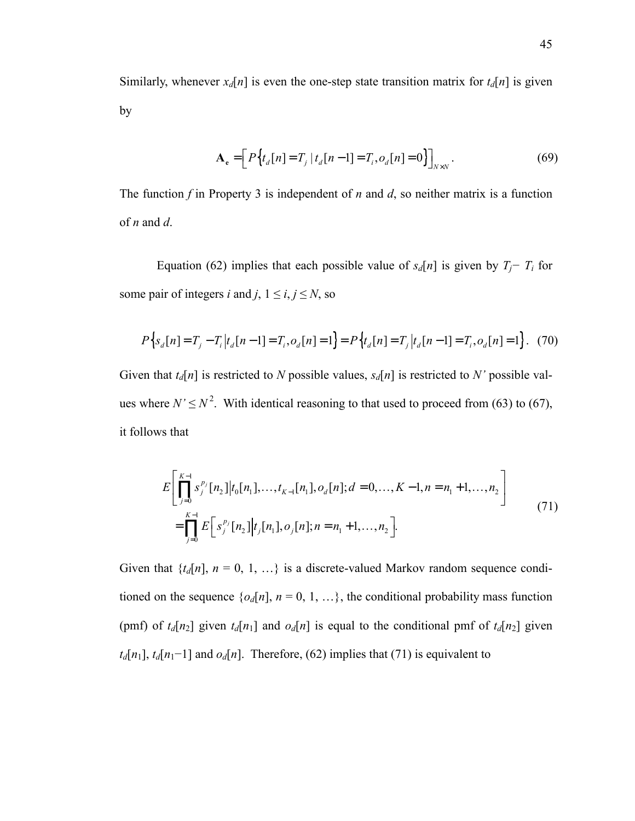Similarly, whenever  $x_d[n]$  is even the one-step state transition matrix for  $t_d[n]$  is given by

$$
\mathbf{A}_{e} = \left[ P \left\{ t_{d} [n] = T_{j} \mid t_{d} [n-1] = T_{i}, o_{d} [n] = 0 \right\} \right]_{N \times N} . \tag{69}
$$

The function *f* in Property 3 is independent of *n* and *d*, so neither matrix is a function of *n* and *d*.

Equation (62) implies that each possible value of  $s_d[n]$  is given by  $T_j - T_i$  for some pair of integers *i* and *j*,  $1 \le i, j \le N$ , so

$$
P\left\{s_d[n] = T_j - T_i | t_d[n-1] = T_i, o_d[n] = 1\right\} = P\left\{t_d[n] = T_j | t_d[n-1] = T_i, o_d[n] = 1\right\}.
$$
 (70)

Given that  $t_d[n]$  is restricted to *N* possible values,  $s_d[n]$  is restricted to *N'* possible values where  $N' \le N^2$ . With identical reasoning to that used to proceed from (63) to (67), it follows that

$$
E\left[\prod_{j=0}^{K-1} s_j^{p_j}[n_2]|t_0[n_1],\ldots,t_{K-1}[n_1],o_d[n];d=0,\ldots,K-1,n=n_1+1,\ldots,n_2\right]
$$
  
= 
$$
\prod_{j=0}^{K-1} E\left[s_j^{p_j}[n_2]|t_j[n_1],o_j[n];n=n_1+1,\ldots,n_2\right].
$$
 (71)

Given that  $\{t_d[n], n = 0, 1, ...\}$  is a discrete-valued Markov random sequence conditioned on the sequence  $\{o_d[n], n = 0, 1, ...\}$ , the conditional probability mass function (pmf) of  $t_d[n_2]$  given  $t_d[n_1]$  and  $o_d[n]$  is equal to the conditional pmf of  $t_d[n_2]$  given  $t_d[n_1]$ ,  $t_d[n_1-1]$  and  $o_d[n]$ . Therefore, (62) implies that (71) is equivalent to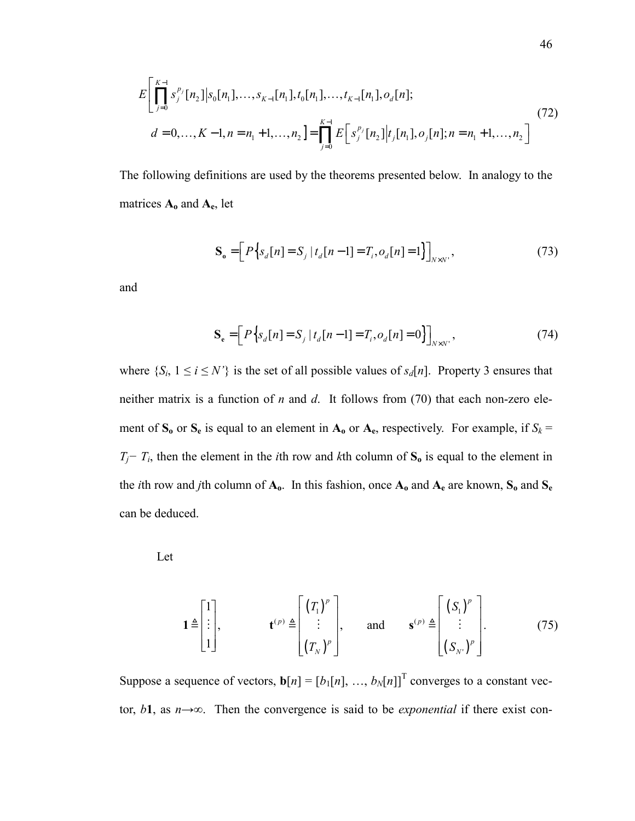$$
E\left[\prod_{j=0}^{K-1} s_j^{p_j}[n_2]|s_0[n_1],\ldots,s_{K-1}[n_1],t_0[n_1],\ldots,t_{K-1}[n_1],o_d[n];\right]
$$
  
\n
$$
d=0,\ldots,K-1,n=n_1+1,\ldots,n_2\right]=\prod_{j=0}^{K-1} E\left[s_j^{p_j}[n_2]|t_j[n_1],o_j[n];n=n_1+1,\ldots,n_2\right]
$$
\n(72)

The following definitions are used by the theorems presented below. In analogy to the matrices **Ao** and **Ae**, let

$$
\mathbf{S}_{o} = \left[ P \left\{ s_d[n] = S_j \mid t_d[n-1] = T_i, o_d[n] = 1 \right\} \right]_{N \times N'} , \tag{73}
$$

and

$$
\mathbf{S}_{e} = \left[ P \left\{ s_d[n] = S_j \middle| t_d[n-1] = T_i, o_d[n] = 0 \right\} \right]_{N \times N'}, \tag{74}
$$

where  $\{S_i, 1 \le i \le N'\}$  is the set of all possible values of  $s_d[n]$ . Property 3 ensures that neither matrix is a function of *n* and *d*. It follows from (70) that each non-zero element of  $S_0$  or  $S_e$  is equal to an element in  $A_0$  or  $A_e$ , respectively. For example, if  $S_k$  =  $T_j - T_i$ , then the element in the *i*th row and *k*th column of  $S_0$  is equal to the element in the *i*th row and *j*th column of **Ao**. In this fashion, once **Ao** and **Ae** are known, **So** and **Se** can be deduced.

Let

$$
\mathbf{1} \triangleq \begin{bmatrix} 1 \\ \vdots \\ 1 \end{bmatrix}, \qquad \mathbf{t}^{(p)} \triangleq \begin{bmatrix} (T_1)^p \\ \vdots \\ (T_N)^p \end{bmatrix}, \qquad \text{and} \qquad \mathbf{s}^{(p)} \triangleq \begin{bmatrix} (S_1)^p \\ \vdots \\ (S_N)^p \end{bmatrix}. \tag{75}
$$

Suppose a sequence of vectors,  $\mathbf{b}[n] = [b_1[n], ..., b_N[n]]^T$  converges to a constant vector, *b***1**, as *n*→∞. Then the convergence is said to be *exponential* if there exist con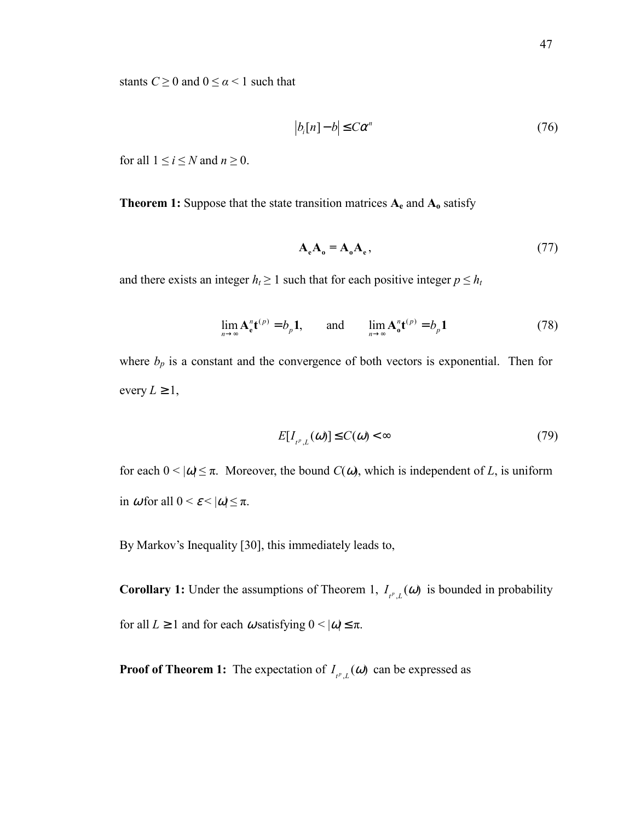stants  $C \ge 0$  and  $0 \le \alpha < 1$  such that

$$
|b_i[n] - b| \le C\alpha^n \tag{76}
$$

for all  $1 \le i \le N$  and  $n \ge 0$ .

**Theorem 1:** Suppose that the state transition matrices  $A_e$  and  $A_o$  satisfy

$$
\mathbf{A}_{\mathbf{e}}\mathbf{A}_{\mathbf{0}} = \mathbf{A}_{\mathbf{0}}\mathbf{A}_{\mathbf{e}},\tag{77}
$$

and there exists an integer  $h_t \geq 1$  such that for each positive integer  $p \leq h_t$ 

$$
\lim_{n \to \infty} \mathbf{A}_{\mathbf{e}}^n \mathbf{t}^{(p)} = b_p \mathbf{1}, \quad \text{and} \quad \lim_{n \to \infty} \mathbf{A}_{\mathbf{e}}^n \mathbf{t}^{(p)} = b_p \mathbf{1}
$$
 (78)

where  $b_p$  is a constant and the convergence of both vectors is exponential. Then for every  $L \geq 1$ ,

$$
E[I_{t^p,L}(\omega)] \le C(\omega) < \infty \tag{79}
$$

for each  $0 < |\omega| \le \pi$ . Moreover, the bound *C*( $\omega$ ), which is independent of *L*, is uniform in  $\omega$  for all  $0 \leq \varepsilon \leq |\omega| \leq \pi$ .

By Markov's Inequality [30], this immediately leads to,

**Corollary 1:** Under the assumptions of Theorem 1,  $I_{t^p, L}(\omega)$  is bounded in probability for all  $L \ge 1$  and for each  $\omega$  satisfying  $0 \le |\omega| \le \pi$ .

**Proof of Theorem 1:** The expectation of  $I_{t^p, L}(\omega)$  can be expressed as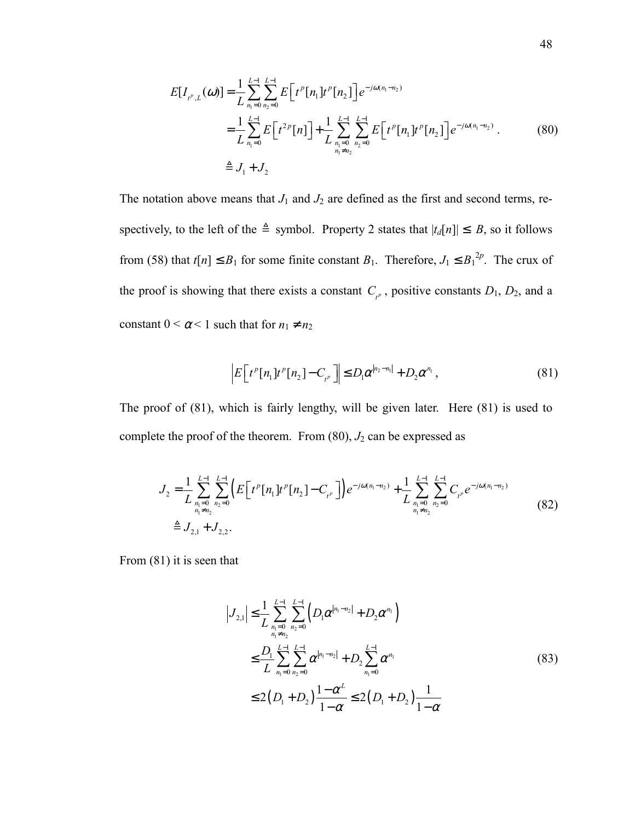$$
E[I_{t^p,L}(\omega)] = \frac{1}{L} \sum_{n_1=0}^{L-1} \sum_{n_2=0}^{L-1} E[t^p[n_1]t^p[n_2]] e^{-j\omega(n_1 - n_2)}
$$
  
\n
$$
= \frac{1}{L} \sum_{n_1=0}^{L-1} E[t^{2p}[n]] + \frac{1}{L} \sum_{n_1=0}^{L-1} \sum_{n_2=0}^{L-1} E[t^p[n_1]t^p[n_2]] e^{-j\omega(n_1 - n_2)}.
$$
 (80)  
\n
$$
\triangleq J_1 + J_2
$$

The notation above means that  $J_1$  and  $J_2$  are defined as the first and second terms, respectively, to the left of the  $\triangleq$  symbol. Property 2 states that  $|t_d[n]| \leq B$ , so it follows from (58) that  $t[n] \leq B_1$  for some finite constant  $B_1$ . Therefore,  $J_1 \leq B_1^{2p}$ . The crux of the proof is showing that there exists a constant  $C_{\mu}$ , positive constants  $D_1$ ,  $D_2$ , and a constant  $0 < \alpha < 1$  such that for  $n_1 \neq n_2$ 

$$
\left| E\left[t^p[n_1]t^p[n_2] - C_{t^p}\right] \right| \le D_1 \alpha^{|n_2 - n_1|} + D_2 \alpha^{n_1},\tag{81}
$$

The proof of (81), which is fairly lengthy, will be given later. Here (81) is used to complete the proof of the theorem. From  $(80)$ ,  $J_2$  can be expressed as

$$
J_2 = \frac{1}{L} \sum_{\substack{n_1=0 \ n_1 \neq n_2}}^{L-1} \sum_{n_2=0}^{L-1} \left( E \left[ t^p [n_1] t^p [n_2] - C_{t^p} \right] \right) e^{-j\omega(n_1 - n_2)} + \frac{1}{L} \sum_{\substack{n_1=0 \ n_1 \neq n_2}}^{L-1} \sum_{n_2=0}^{L-1} C_{t^p} e^{-j\omega(n_1 - n_2)} \n\triangleq J_{2,1} + J_{2,2}.
$$
\n(82)

From (81) it is seen that

$$
|J_{2,1}| \leq \frac{1}{L} \sum_{\substack{n_1=0 \ n_1 \neq n_2}}^{L-1} \sum_{\substack{n_2=0 \ n_1 \neq n_2}}^{L-1} \left( D_1 \alpha^{|n_1 - n_2|} + D_2 \alpha^{n_1} \right)
$$
  

$$
\leq \frac{D_1}{L} \sum_{\substack{n_1=0 \ n_2=0}}^{L-1} \sum_{n_2=0}^{L-1} \alpha^{|n_1 - n_2|} + D_2 \sum_{n_1=0}^{L-1} \alpha^{n_1}
$$
  

$$
\leq 2 \left( D_1 + D_2 \right) \frac{1 - \alpha^L}{1 - \alpha} \leq 2 \left( D_1 + D_2 \right) \frac{1}{1 - \alpha}
$$
 (83)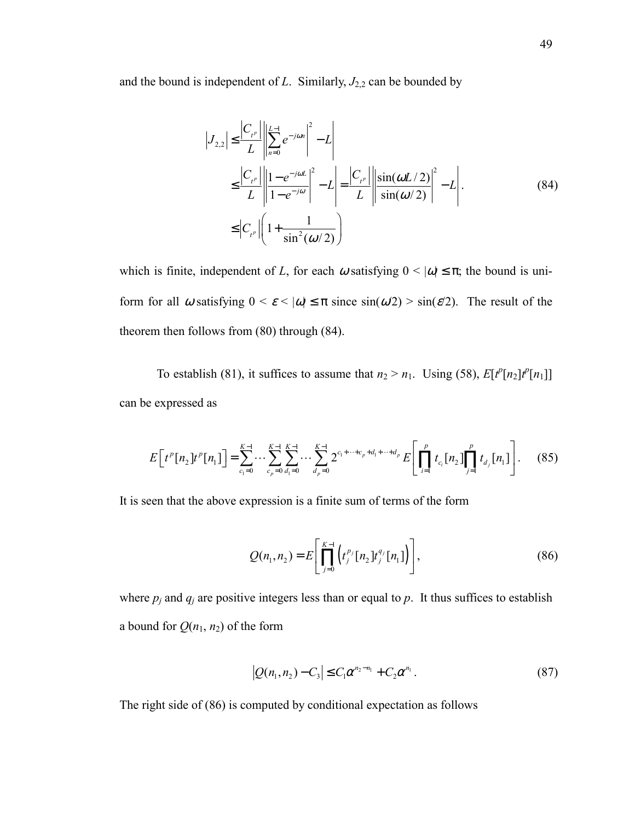and the bound is independent of  $L$ . Similarly,  $J_{2,2}$  can be bounded by

$$
|J_{2,2}| \leq \frac{|C_{t^p}|}{L} \left\| \sum_{n=0}^{L-1} e^{-j\omega n} \right\|^2 - L \right\|
$$
  
\n
$$
\leq \frac{|C_{t^p}|}{L} \left\| \frac{1 - e^{-j\omega L}}{1 - e^{-j\omega}} \right\|^2 - L \left\| = \frac{|C_{t^p}|}{L} \left\| \frac{\sin(\omega L/2)}{\sin(\omega/2)} \right\|^2 - L \right\|.
$$
  
\n
$$
\leq |C_{t^p}| \left( 1 + \frac{1}{\sin^2(\omega/2)} \right).
$$
 (84)

which is finite, independent of *L*, for each  $\omega$  satisfying  $0 < |\omega| \le \pi$ ; the bound is uniform for all  $\omega$  satisfying  $0 \le \varepsilon \le |\omega| \le \pi$  since  $\sin(\omega/2) > \sin(\varepsilon/2)$ . The result of the theorem then follows from (80) through (84).

To establish (81), it suffices to assume that  $n_2 > n_1$ . Using (58),  $E[t^p[n_2]t^p[n_1]]$ can be expressed as

$$
E\left[t^{p}[n_{2}]t^{p}[n_{1}]\right] = \sum_{c_{1}=0}^{K-1} \cdots \sum_{c_{p}=0}^{K-1} \sum_{d_{1}=0}^{K-1} \cdots \sum_{d_{p}=0}^{K-1} 2^{c_{1}+\cdots+c_{p}+d_{1}+\cdots+d_{p}} E\left[\prod_{i=1}^{p} t_{c_{i}}[n_{2}]\prod_{j=1}^{p} t_{d_{j}}[n_{1}]\right].
$$
 (85)

It is seen that the above expression is a finite sum of terms of the form

$$
Q(n_1, n_2) = E\left[\prod_{j=0}^{K-1} \left(t_j^{p_j}[n_2]t_j^{q_j}[n_1]\right)\right],
$$
\n(86)

where  $p_j$  and  $q_j$  are positive integers less than or equal to  $p$ . It thus suffices to establish a bound for  $Q(n_1, n_2)$  of the form

$$
|Q(n_1, n_2) - C_3| \le C_1 \alpha^{n_2 - n_1} + C_2 \alpha^{n_1} .
$$
 (87)

The right side of (86) is computed by conditional expectation as follows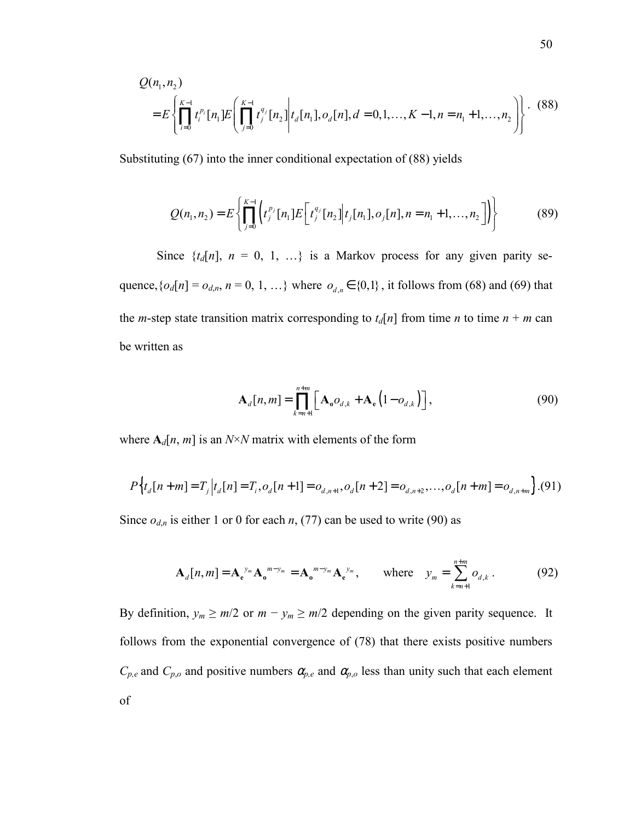$$
Q(n_1, n_2)
$$
  
=  $E\left\{\prod_{i=0}^{K-1} t_i^{p_i} [n_1] E\left(\prod_{j=0}^{K-1} t_j^{q_j} [n_2] \Big| t_a[n_1], o_a[n], d = 0, 1, ..., K-1, n = n_1 + 1, ..., n_2\right)\right\}.$  (88)

Substituting (67) into the inner conditional expectation of (88) yields

$$
Q(n_1, n_2) = E\left\{ \prod_{j=0}^{K-1} \left( t_j^{p_j} [n_1] E\left[ t_j^{q_j} [n_2] \middle| t_j [n_1], o_j[n], n = n_1 + 1, \dots, n_2 \right] \right) \right\}
$$
(89)

Since  $\{t_d[n], n = 0, 1, ...\}$  is a Markov process for any given parity sequence,  $\{o_d[n] = o_{d,n}, n = 0, 1, \ldots\}$  where  $o_{d,n} \in \{0,1\}$ , it follows from (68) and (69) that the *m*-step state transition matrix corresponding to  $t_d[n]$  from time *n* to time  $n + m$  can be written as

$$
\mathbf{A}_d[n,m] = \prod_{k=n+1}^{n+m} \left[ \mathbf{A}_o o_{d,k} + \mathbf{A}_e \left( 1 - o_{d,k} \right) \right],\tag{90}
$$

where  $A_d[n, m]$  is an *N*×*N* matrix with elements of the form

$$
P\left\{t_d[n+m] = T_j \Big| t_d[n] = T_i, o_d[n+1] = o_{d,n+1}, o_d[n+2] = o_{d,n+2}, \dots, o_d[n+m] = o_{d,n+m} \right\}.
$$
 (91)

Since  $o_{d,n}$  is either 1 or 0 for each *n*, (77) can be used to write (90) as

$$
\mathbf{A}_{d}[n,m] = \mathbf{A}_{e}^{y_{m}} \mathbf{A}_{o}^{m-y_{m}} = \mathbf{A}_{o}^{m-y_{m}} \mathbf{A}_{e}^{y_{m}}, \quad \text{where} \quad y_{m} = \sum_{k=n+1}^{n+m} o_{d,k}. \quad (92)
$$

By definition,  $y_m \ge m/2$  or  $m - y_m \ge m/2$  depending on the given parity sequence. It follows from the exponential convergence of (78) that there exists positive numbers  $C_{p,e}$  and  $C_{p,o}$  and positive numbers  $\alpha_{p,e}$  and  $\alpha_{p,o}$  less than unity such that each element of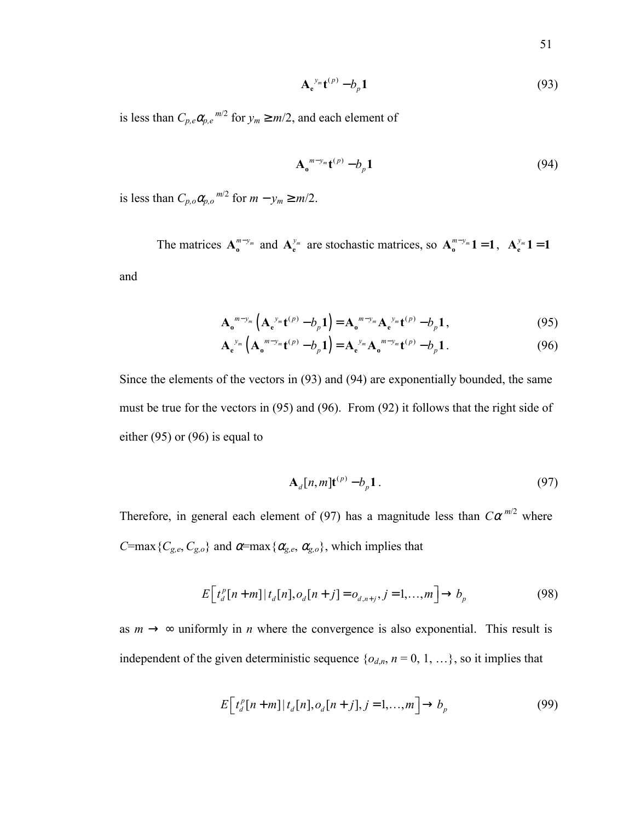$$
\mathbf{A}_{e}^{y_{m}}\mathbf{t}^{(p)}-b_{p}\mathbf{1}
$$
 (93)

is less than  $C_{p,e} \alpha_{p,e}^{m/2}$  for  $y_m \ge m/2$ , and each element of

$$
\mathbf{A}_{o}^{m-y_{m}}\mathbf{t}^{(p)}-b_{p}\mathbf{1}
$$
 (94)

is less than  $C_{p,o}\alpha_{p,o}^{m/2}$  for  $m - y_m \ge m/2$ .

The matrices  $A_0^{m-y_m}$  and  $A_e^{y_m}$  are stochastic matrices, so  $A_0^{m-y_m}1 = 1$ ,  $A_e^{y_m}1 = 1$ and

$$
\mathbf{A}_{\mathbf{o}}^{m-y_m} \left( \mathbf{A}_{\mathbf{e}}^{y_m} \mathbf{t}^{(p)} - b_p \mathbf{1} \right) = \mathbf{A}_{\mathbf{o}}^{m-y_m} \mathbf{A}_{\mathbf{e}}^{y_m} \mathbf{t}^{(p)} - b_p \mathbf{1},\tag{95}
$$

$$
\mathbf{A}_{e}^{y_{m}}\left(\mathbf{A}_{o}^{m-y_{m}}\mathbf{t}^{(p)}-b_{p}\mathbf{1}\right)=\mathbf{A}_{e}^{y_{m}}\mathbf{A}_{o}^{m-y_{m}}\mathbf{t}^{(p)}-b_{p}\mathbf{1}.
$$
 (96)

Since the elements of the vectors in (93) and (94) are exponentially bounded, the same must be true for the vectors in (95) and (96). From (92) it follows that the right side of either (95) or (96) is equal to

$$
\mathbf{A}_d[n,m]\mathbf{t}^{(p)} - b_p \mathbf{1} \,. \tag{97}
$$

Therefore, in general each element of (97) has a magnitude less than  $C\alpha^{m/2}$  where *C*=max { $C_{g,e}$ ,  $C_{g,o}$ } and  $\alpha$ =max { $\alpha_{g,e}$ ,  $\alpha_{g,o}$ }, which implies that

$$
E[t_d^p[n+m]|t_d[n], o_d[n+j] = o_{d,n+j}, j = 1,...,m] \to b_p
$$
\n(98)

as  $m \to \infty$  uniformly in *n* where the convergence is also exponential. This result is independent of the given deterministic sequence  $\{o_{d,n}, n = 0, 1, ...\}$ , so it implies that

$$
E\left[t_d^p[n+m]|t_d[n], o_d[n+j], j=1,\ldots,m\right] \to b_p \tag{99}
$$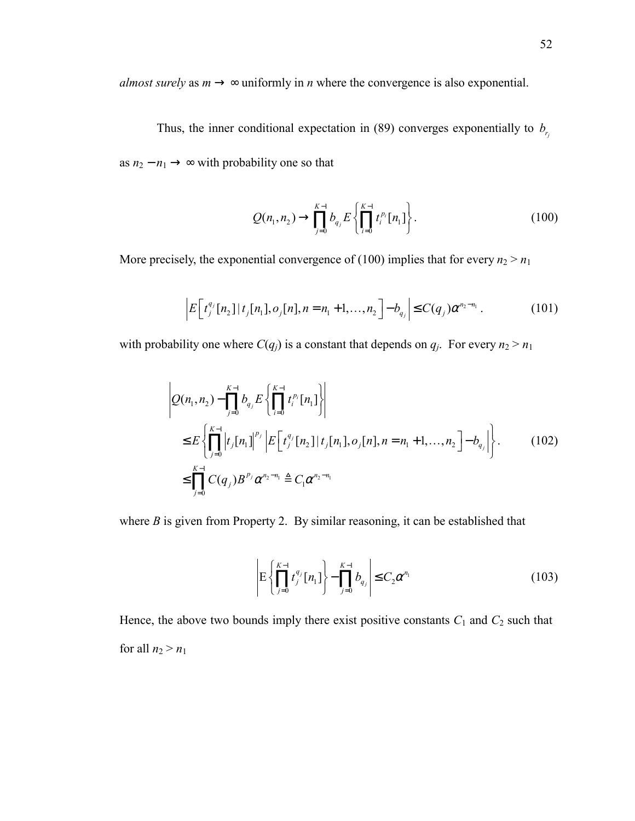*almost surely* as  $m \rightarrow \infty$  uniformly in *n* where the convergence is also exponential.

Thus, the inner conditional expectation in (89) converges exponentially to  $b_{r_i}$ as  $n_2 - n_1 \rightarrow \infty$  with probability one so that

$$
Q(n_1, n_2) \to \prod_{j=0}^{K-1} b_{q_j} E\left\{\prod_{i=0}^{K-1} t_i^{p_i} [n_1]\right\}.
$$
 (100)

More precisely, the exponential convergence of (100) implies that for every  $n_2 > n_1$ 

$$
\left| E\left[t_j^{q_j}[n_2] | t_j[n_1], o_j[n], n = n_1 + 1, \dots, n_2\right] - b_{q_j} \right| \le C(q_j) \alpha^{n_2 - n_1} \,. \tag{101}
$$

with probability one where  $C(q_j)$  is a constant that depends on  $q_j$ . For every  $n_2 > n_1$ 

$$
\left| Q(n_1, n_2) - \prod_{j=0}^{K-1} b_{q_j} E\left\{ \prod_{i=0}^{K-1} t_i^{p_i} [n_1] \right\} \right|
$$
  
\n
$$
\leq E \left\{ \prod_{j=0}^{K-1} \left| t_j [n_1] \right|^{p_j} \left| E\left[ t_j^{q_j} [n_2] \right] | t_j [n_1], o_j [n], n = n_1 + 1, ..., n_2 \right] - b_{q_j} \right| \right\}.
$$
  
\n
$$
\leq \prod_{j=0}^{K-1} C(q_j) B^{p_j} \alpha^{n_2 - n_1} \triangleq C_1 \alpha^{n_2 - n_1}
$$
 (102)

where *B* is given from Property 2. By similar reasoning, it can be established that

$$
\left| \mathcal{E} \left\{ \prod_{j=0}^{K-1} t_j^{q_j} [n_1] \right\} - \prod_{j=0}^{K-1} b_{q_j} \right| \le C_2 \alpha^{n_1} \tag{103}
$$

Hence, the above two bounds imply there exist positive constants  $C_1$  and  $C_2$  such that for all  $n_2 > n_1$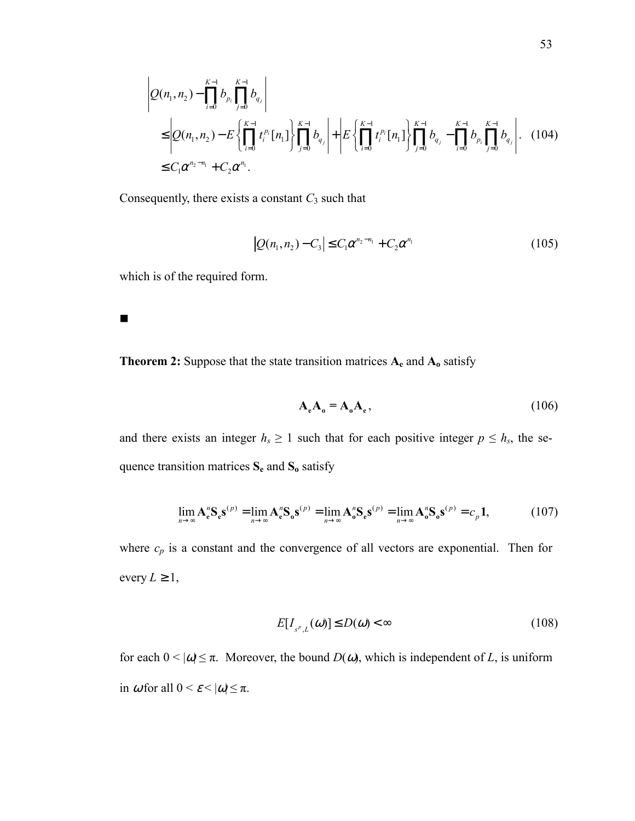$$
\left| Q(n_1, n_2) - \prod_{i=0}^{K-1} b_{p_i} \prod_{j=0}^{K-1} b_{q_j} \right|
$$
\n
$$
\leq \left| Q(n_1, n_2) - E \left\{ \prod_{i=0}^{K-1} t_i^{p_i} [n_1] \right\} \prod_{j=0}^{K-1} b_{q_j} \right| + \left| E \left\{ \prod_{i=0}^{K-1} t_i^{p_i} [n_1] \right\} \prod_{j=0}^{K-1} b_{q_j} - \prod_{i=0}^{K-1} b_{p_i} \prod_{j=0}^{K-1} b_{q_j} \right|.
$$
\n(104)

Consequently, there exists a constant *C*3 such that

$$
|Q(n_1, n_2) - C_3| \le C_1 \alpha^{n_2 - n_1} + C_2 \alpha^{n_1}
$$
 (105)

which is of the required form.

 $\blacksquare$ 

**Theorem 2:** Suppose that the state transition matrices **Ae** and **Ao** satisfy

$$
\mathbf{A}_{\mathbf{e}}\mathbf{A}_{\mathbf{0}} = \mathbf{A}_{\mathbf{0}}\mathbf{A}_{\mathbf{e}},\tag{106}
$$

and there exists an integer  $h_s \geq 1$  such that for each positive integer  $p \leq h_s$ , the sequence transition matrices **Se** and **So** satisfy

$$
\lim_{n \to \infty} \mathbf{A}_{e}^{n} \mathbf{S}_{e} \mathbf{s}^{(p)} = \lim_{n \to \infty} \mathbf{A}_{e}^{n} \mathbf{S}_{o} \mathbf{s}^{(p)} = \lim_{n \to \infty} \mathbf{A}_{o}^{n} \mathbf{S}_{e} \mathbf{s}^{(p)} = \lim_{n \to \infty} \mathbf{A}_{o}^{n} \mathbf{S}_{o} \mathbf{s}^{(p)} = c_{p} \mathbf{1},
$$
\n(107)

where  $c_p$  is a constant and the convergence of all vectors are exponential. Then for every  $L \geq 1$ ,

$$
E[I_{s^p,L}(\omega)] \le D(\omega) < \infty \tag{108}
$$

for each  $0 < |\omega| \le \pi$ . Moreover, the bound  $D(\omega)$ , which is independent of *L*, is uniform in  $\omega$  for all  $0 \leq \varepsilon \leq |\omega| \leq \pi$ .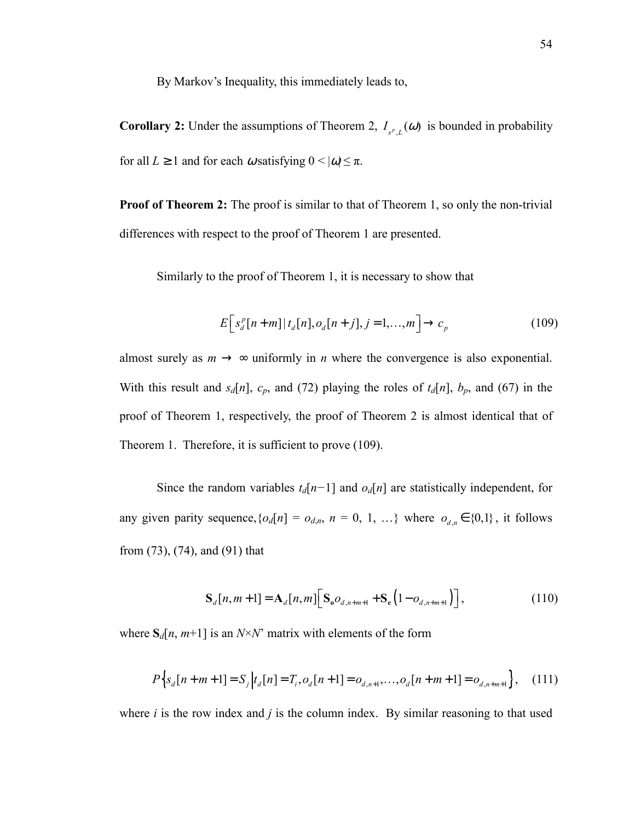By Markov's Inequality, this immediately leads to,

**Corollary 2:** Under the assumptions of Theorem 2,  $I_{s^p,L}(\omega)$  is bounded in probability for all  $L \ge 1$  and for each  $\omega$  satisfying  $0 \le |\omega| \le \pi$ .

**Proof of Theorem 2:** The proof is similar to that of Theorem 1, so only the non-trivial differences with respect to the proof of Theorem 1 are presented.

Similarly to the proof of Theorem 1, it is necessary to show that

$$
E\Big[s_d^p[n+m]|t_d[n], o_d[n+j], j=1,\ldots,m\Big] \to c_p
$$
\n(109)

almost surely as  $m \to \infty$  uniformly in *n* where the convergence is also exponential. With this result and  $s_d[n]$ ,  $c_p$ , and (72) playing the roles of  $t_d[n]$ ,  $b_p$ , and (67) in the proof of Theorem 1, respectively, the proof of Theorem 2 is almost identical that of Theorem 1. Therefore, it is sufficient to prove (109).

Since the random variables  $t_d[n-1]$  and  $o_d[n]$  are statistically independent, for any given parity sequence,  $\{o_d[n] = o_{d,n}, n = 0, 1, \ldots\}$  where  $o_{d,n} \in \{0,1\}$ , it follows from (73), (74), and (91) that

$$
S_{d}[n, m+1] = A_{d}[n, m] \Big[ S_{o} o_{d, n+m+1} + S_{e} \Big( 1 - o_{d, n+m+1} \Big) \Big], \tag{110}
$$

where  $S_d[n, m+1]$  is an  $N \times N'$  matrix with elements of the form

$$
P\Big\{s_d[n+m+1] = S_j\Big|t_d[n] = T_i, o_d[n+1] = o_{d,n+1}, \dots, o_d[n+m+1] = o_{d,n+m+1}\Big\}, \quad (111)
$$

where  $i$  is the row index and  $j$  is the column index. By similar reasoning to that used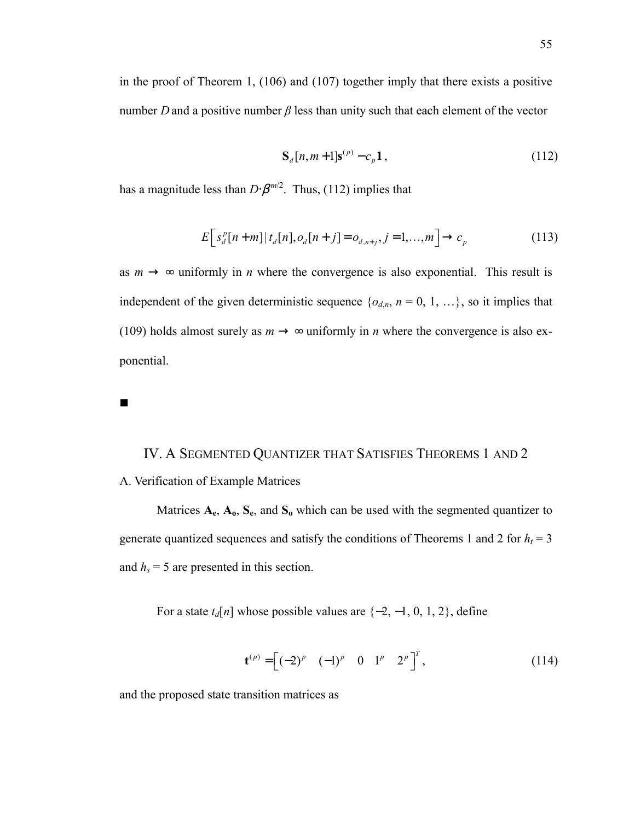in the proof of Theorem 1, (106) and (107) together imply that there exists a positive number *D* and a positive number  $\beta$  less than unity such that each element of the vector

$$
S_d[n, m+1]s^{(p)} - c_p 1, \qquad (112)
$$

has a magnitude less than  $D \cdot \beta^{m/2}$ . Thus, (112) implies that

$$
E\Big[s_d^p[n+m]|t_d[n], o_d[n+j] = o_{d,n+j}, j=1,\dots,m\Big] \to c_p
$$
\n(113)

as  $m \to \infty$  uniformly in *n* where the convergence is also exponential. This result is independent of the given deterministic sequence  $\{o_{d,n}, n = 0, 1, ...\}$ , so it implies that (109) holds almost surely as  $m \rightarrow \infty$  uniformly in *n* where the convergence is also exponential.

# IV. A SEGMENTED QUANTIZER THAT SATISFIES THEOREMS 1 AND 2 A. Verification of Example Matrices

Matrices **Ae**, **Ao**, **Se**, and **So** which can be used with the segmented quantizer to generate quantized sequences and satisfy the conditions of Theorems 1 and 2 for  $h_t = 3$ and  $h_s = 5$  are presented in this section.

For a state  $t_d[n]$  whose possible values are  $\{-2, -1, 0, 1, 2\}$ , define

$$
\mathbf{t}^{(p)} = \begin{bmatrix} (-2)^p & (-1)^p & 0 & 1^p & 2^p \end{bmatrix}^T, \tag{114}
$$

and the proposed state transition matrices as

 $\blacksquare$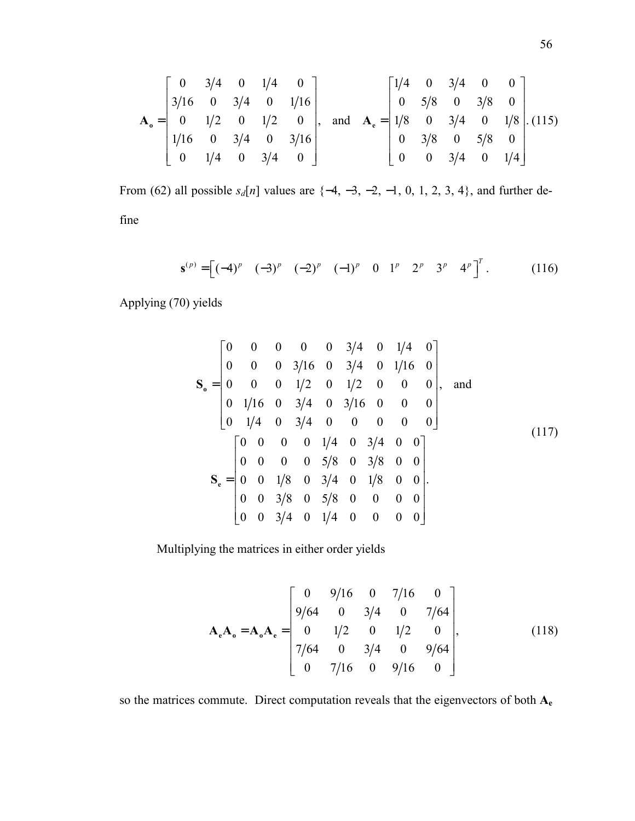$$
\mathbf{A}_{\circ} = \begin{bmatrix} 0 & 3/4 & 0 & 1/4 & 0 \\ 3/16 & 0 & 3/4 & 0 & 1/16 \\ 0 & 1/2 & 0 & 1/2 & 0 \\ 1/16 & 0 & 3/4 & 0 & 3/16 \\ 0 & 1/4 & 0 & 3/4 & 0 \end{bmatrix}, \text{ and } \mathbf{A}_{\circ} = \begin{bmatrix} 1/4 & 0 & 3/4 & 0 & 0 \\ 0 & 5/8 & 0 & 3/8 & 0 \\ 1/8 & 0 & 3/4 & 0 & 1/8 \\ 0 & 3/8 & 0 & 5/8 & 0 \\ 0 & 0 & 3/4 & 0 & 1/4 \end{bmatrix}.
$$
 (115)

From (62) all possible  $s_d[n]$  values are  $\{-4, -3, -2, -1, 0, 1, 2, 3, 4\}$ , and further define

$$
\mathbf{s}^{(p)} = \begin{bmatrix} (-4)^p & (-3)^p & (-2)^p & (-1)^p & 0 & 1^p & 2^p & 3^p & 4^p \end{bmatrix}^T. \tag{116}
$$

Applying (70) yields

$$
\mathbf{S}_{\mathbf{o}} = \begin{bmatrix} 0 & 0 & 0 & 0 & 0 & 3/4 & 0 & 1/4 & 0 \\ 0 & 0 & 0 & 3/16 & 0 & 3/4 & 0 & 1/16 & 0 \\ 0 & 0 & 0 & 1/2 & 0 & 1/2 & 0 & 0 & 0 \\ 0 & 1/16 & 0 & 3/4 & 0 & 3/16 & 0 & 0 & 0 \\ 0 & 1/4 & 0 & 3/4 & 0 & 0 & 0 & 0 & 0 \end{bmatrix}
$$
, and  
\n
$$
\mathbf{S}_{\mathbf{e}} = \begin{bmatrix} 0 & 0 & 0 & 0 & 1/4 & 0 & 3/4 & 0 & 0 \\ 0 & 0 & 0 & 0 & 5/8 & 0 & 3/8 & 0 & 0 \\ 0 & 0 & 1/8 & 0 & 3/4 & 0 & 1/8 & 0 & 0 \\ 0 & 0 & 3/8 & 0 & 5/8 & 0 & 0 & 0 & 0 \\ 0 & 0 & 3/4 & 0 & 1/4 & 0 & 0 & 0 & 0 \end{bmatrix}.
$$
 (117)

Multiplying the matrices in either order yields

$$
\mathbf{A}_{e} \mathbf{A}_{o} = \mathbf{A}_{o} \mathbf{A}_{e} = \begin{bmatrix} 0 & 9/16 & 0 & 7/16 & 0 \\ 9/64 & 0 & 3/4 & 0 & 7/64 \\ 0 & 1/2 & 0 & 1/2 & 0 \\ 7/64 & 0 & 3/4 & 0 & 9/64 \\ 0 & 7/16 & 0 & 9/16 & 0 \end{bmatrix},
$$
(118)

so the matrices commute. Direct computation reveals that the eigenvectors of both **Ae**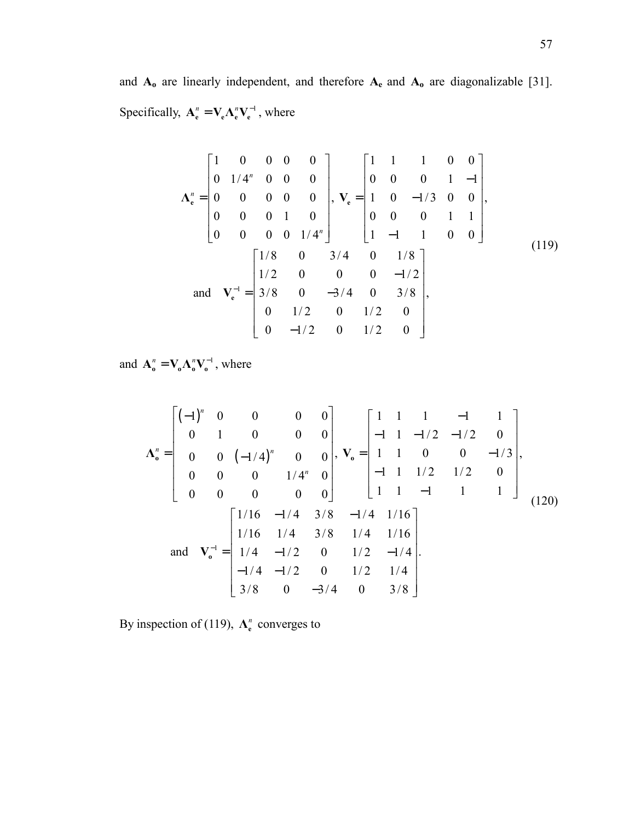and **Ao** are linearly independent, and therefore **Ae** and **Ao** are diagonalizable [31]. Specifically,  $A_e^n = V_e \Lambda_e^n V_e^{-1}$ , where

$$
\mathbf{\Lambda}_{\mathbf{e}}^{n} = \begin{bmatrix} 1 & 0 & 0 & 0 & 0 \\ 0 & 1/4^{n} & 0 & 0 & 0 \\ 0 & 0 & 0 & 0 & 0 \\ 0 & 0 & 0 & 1 & 0 \\ 0 & 0 & 0 & 0 & 1/4^{n} \end{bmatrix}, \quad \mathbf{V}_{\mathbf{e}} = \begin{bmatrix} 1 & 1 & 1 & 0 & 0 \\ 0 & 0 & 0 & 1 & -1 \\ 1 & 0 & -1/3 & 0 & 0 \\ 0 & 0 & 0 & 1 & 1 \\ 1 & -1 & 1 & 0 & 0 \end{bmatrix},
$$
\nand 
$$
\mathbf{V}_{\mathbf{e}}^{-1} = \begin{bmatrix} 1/8 & 0 & 3/4 & 0 & 1/8 \\ 1/2 & 0 & 0 & 0 & -1/2 \\ 3/8 & 0 & -3/4 & 0 & 3/8 \\ 0 & 1/2 & 0 & 1/2 & 0 \\ 0 & -1/2 & 0 & 1/2 & 0 \end{bmatrix},
$$
\n(119)

and  $\mathbf{A}_{o}^{n} = \mathbf{V}_{o} \mathbf{\Lambda}_{o}^{n} \mathbf{V}_{o}^{-1}$ , where

$$
\Lambda_{0}^{n} = \begin{bmatrix} (-1)^{n} & 0 & 0 & 0 & 0 \\ 0 & 1 & 0 & 0 & 0 \\ 0 & 0 & (-1/4)^{n} & 0 & 0 \\ 0 & 0 & 0 & 1/4^{n} & 0 \\ 0 & 0 & 0 & 0 & 0 \end{bmatrix}, \quad \mathbf{V}_{0} = \begin{bmatrix} 1 & 1 & 1 & -1 & 1 \\ -1 & 1 & -1/2 & -1/2 & 0 \\ 1 & 1 & 0 & 0 & -1/3 \\ -1 & 1 & 1/2 & 1/2 & 0 \\ 1 & 1 & -1 & 1 & 1 \end{bmatrix},
$$
\n
$$
\text{and} \quad \mathbf{V}_{0}^{-1} = \begin{bmatrix} 1/16 & -1/4 & 3/8 & -1/4 & 1/16 \\ 1/16 & 1/4 & 3/8 & 1/4 & 1/16 \\ 1/16 & 1/4 & 3/8 & 1/4 & 1/16 \\ -1/4 & -1/2 & 0 & 1/2 & -1/4 \\ -1/4 & -1/2 & 0 & 1/2 & 1/4 \\ 3/8 & 0 & -3/4 & 0 & 3/8 \end{bmatrix}.
$$
\n(120)

By inspection of (119),  $\Lambda_e^n$  converges to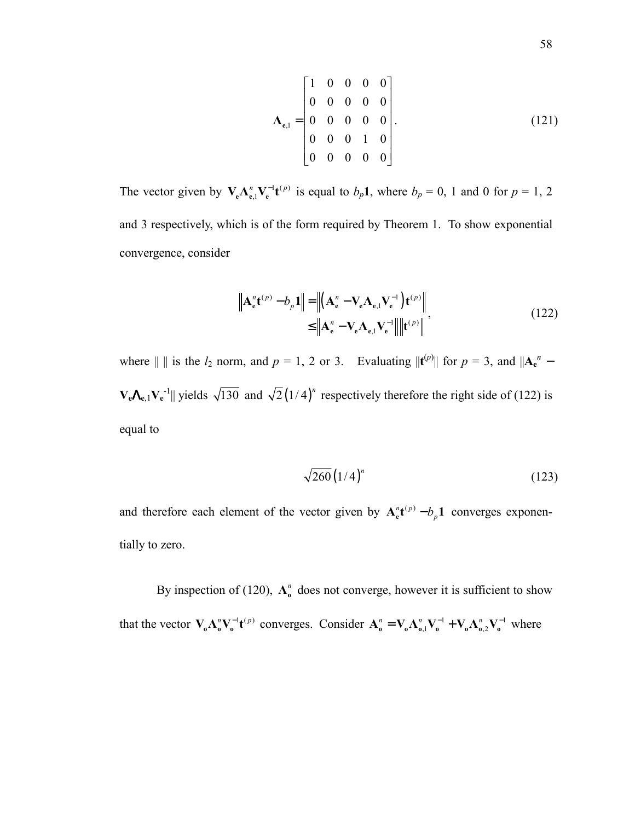$$
\Lambda_{e,1} = \begin{bmatrix} 1 & 0 & 0 & 0 & 0 \\ 0 & 0 & 0 & 0 & 0 \\ 0 & 0 & 0 & 0 & 0 \\ 0 & 0 & 0 & 1 & 0 \\ 0 & 0 & 0 & 0 & 0 \end{bmatrix}.
$$
 (121)

The vector given by  $V_e \Lambda_{e,1}^n V_e^{-1} t^{(p)}$  is equal to  $b_p 1$ , where  $b_p = 0$ , 1 and 0 for  $p = 1, 2$ and 3 respectively, which is of the form required by Theorem 1. To show exponential convergence, consider

$$
\|\mathbf{A}_{\mathbf{e}}^n \mathbf{t}^{(p)} - b_p \mathbf{1}\| = \left\| (\mathbf{A}_{\mathbf{e}}^n - \mathbf{V}_{\mathbf{e}} \mathbf{\Lambda}_{\mathbf{e},\mathbf{l}} \mathbf{V}_{\mathbf{e}}^{-1}) \mathbf{t}^{(p)} \right\|
$$
  
\n
$$
\leq \left\| \mathbf{A}_{\mathbf{e}}^n - \mathbf{V}_{\mathbf{e}} \mathbf{\Lambda}_{\mathbf{e},\mathbf{l}} \mathbf{V}_{\mathbf{e}}^{-1} \right\| \left\| \mathbf{t}^{(p)} \right\|,
$$
\n(122)

where  $|| \cdot ||$  is the  $l_2$  norm, and  $p = 1, 2$  or 3. Evaluating  $||\mathbf{t}^{(p)}||$  for  $p = 3$ , and  $||\mathbf{A_e}^n V_eA_{e,1}V_e^{-1}$  yields  $\sqrt{130}$  and  $\sqrt{2}(1/4)^n$  respectively therefore the right side of (122) is equal to

$$
\sqrt{260} \left(1/4\right)^n \tag{123}
$$

and therefore each element of the vector given by  $A_{\varepsilon}^{n}t^{(p)} - b_{p}1$  converges exponentially to zero.

By inspection of (120),  $\Lambda_0^n$  does not converge, however it is sufficient to show that the vector  $\mathbf{V}_{\mathbf{o}} \Lambda_{\mathbf{o}}^n \mathbf{V}_{\mathbf{o}}^{-1} \mathbf{t}^{(p)}$  converges. Consider  $\mathbf{A}_{\mathbf{o}}^n = \mathbf{V}_{\mathbf{o}} \Lambda_{\mathbf{o},1}^n \mathbf{V}_{\mathbf{o}}^{-1} + \mathbf{V}_{\mathbf{o}} \Lambda_{\mathbf{o},2}^n \mathbf{V}_{\mathbf{o}}^{-1}$  where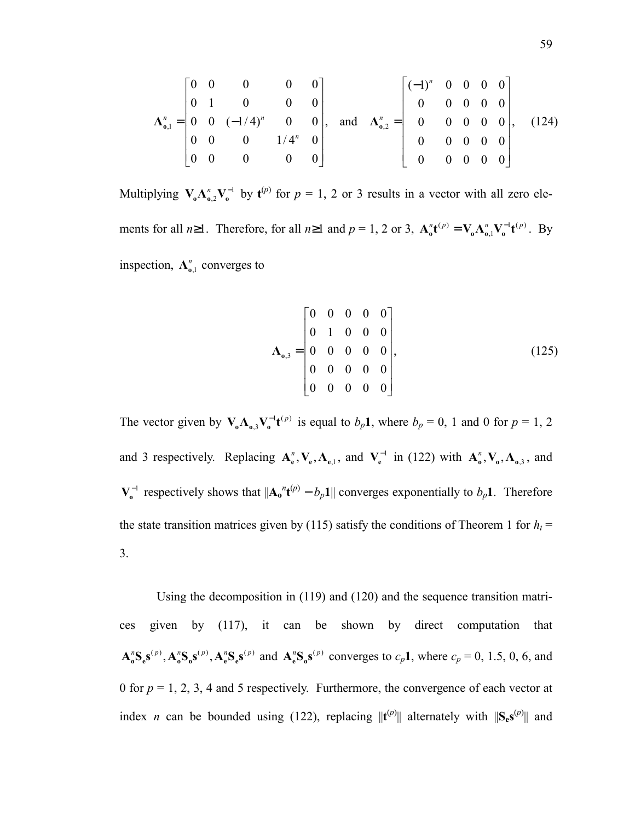$$
\Lambda_{0,1}^{n} = \begin{bmatrix} 0 & 0 & 0 & 0 & 0 \\ 0 & 1 & 0 & 0 & 0 \\ 0 & 0 & (-1/4)^{n} & 0 & 0 \\ 0 & 0 & 0 & 1/4^{n} & 0 \\ 0 & 0 & 0 & 0 & 0 \end{bmatrix}, \text{ and } \Lambda_{0,2}^{n} = \begin{bmatrix} (-1)^{n} & 0 & 0 & 0 & 0 \\ 0 & 0 & 0 & 0 & 0 \\ 0 & 0 & 0 & 0 & 0 \\ 0 & 0 & 0 & 0 & 0 \\ 0 & 0 & 0 & 0 & 0 \end{bmatrix}, (124)
$$

Multiplying  $V_{0} \Lambda_{0,2}^{n} V_{0}^{-1}$  by  $t^{(p)}$  for  $p = 1, 2$  or 3 results in a vector with all zero elements for all  $n \ge 1$ . Therefore, for all  $n \ge 1$  and  $p = 1, 2$  or 3,  $\mathbf{A}_0^n \mathbf{t}^{(p)} = \mathbf{V}_0 \mathbf{\Lambda}_{0,1}^n \mathbf{V}_0^{-1} \mathbf{t}^{(p)}$ . By inspection,  $\Lambda_{0,1}^n$  converges to

$$
\Lambda_{0,3} = \begin{bmatrix} 0 & 0 & 0 & 0 & 0 \\ 0 & 1 & 0 & 0 & 0 \\ 0 & 0 & 0 & 0 & 0 \\ 0 & 0 & 0 & 0 & 0 \\ 0 & 0 & 0 & 0 & 0 \end{bmatrix},
$$
(125)

The vector given by  $V_0 \Lambda_{0,3} V_0^{-1} t^{(p)}$  is equal to  $b_p 1$ , where  $b_p = 0$ , 1 and 0 for  $p = 1, 2$ and 3 respectively. Replacing  $A_e^n$ ,  $V_e$ ,  $\Lambda_{e,1}$ , and  $V_e^{-1}$  in (122) with  $A_o^n$ ,  $V_o$ ,  $\Lambda_{o,3}$ , and  $V_0^{-1}$  respectively shows that  $||A_0|^n t^{(p)} - b_p 1||$  converges exponentially to  $b_p 1$ . Therefore the state transition matrices given by (115) satisfy the conditions of Theorem 1 for  $h_t$  = 3.

Using the decomposition in (119) and (120) and the sequence transition matrices given by (117), it can be shown by direct computation that  $\mathbf{A}_o^n \mathbf{S}_e \mathbf{s}^{(p)}$ ,  $\mathbf{A}_o^n \mathbf{S}_o \mathbf{s}^{(p)}$ ,  $\mathbf{A}_e^n \mathbf{S}_e \mathbf{s}^{(p)}$  and  $\mathbf{A}_e^n \mathbf{S}_o \mathbf{s}^{(p)}$  converges to  $c_p \mathbf{1}$ , where  $c_p = 0, 1.5, 0, 6,$  and 0 for  $p = 1, 2, 3, 4$  and 5 respectively. Furthermore, the convergence of each vector at index *n* can be bounded using (122), replacing  $||{\bf{t}}^{(p)}||$  alternately with  $||{\bf{S}_{e}}{\bf{s}}^{(p)}||$  and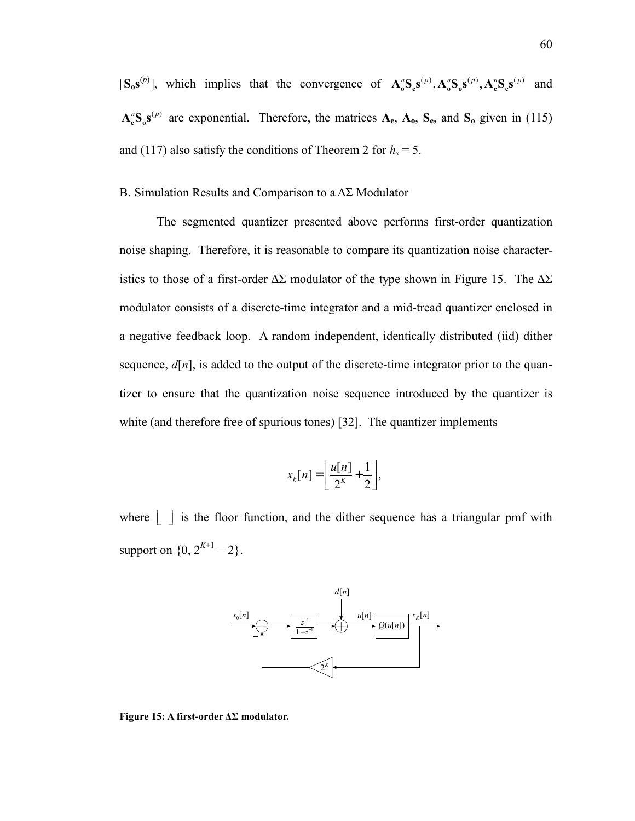$||S_0s^{(p)}||$ , which implies that the convergence of  $\mathbf{A}_0^n \mathbf{S}_s(\mathbf{s}^{(p)}, \mathbf{A}_0^n \mathbf{S}_s(\mathbf{s}^{(p)}, \mathbf{A}_e^n \mathbf{S}_s(\mathbf{s}^{(p)})$  and  $A_e^B S_0^{\{p\}}$  are exponential. Therefore, the matrices  $A_e$ ,  $A_0$ ,  $S_e$ , and  $S_0$  given in (115) and (117) also satisfy the conditions of Theorem 2 for  $h_s = 5$ .

### B. Simulation Results and Comparison to a ∆Σ Modulator

The segmented quantizer presented above performs first-order quantization noise shaping. Therefore, it is reasonable to compare its quantization noise characteristics to those of a first-order  $\Delta \Sigma$  modulator of the type shown in Figure 15. The  $\Delta \Sigma$ modulator consists of a discrete-time integrator and a mid-tread quantizer enclosed in a negative feedback loop. A random independent, identically distributed (iid) dither sequence,  $d[n]$ , is added to the output of the discrete-time integrator prior to the quantizer to ensure that the quantization noise sequence introduced by the quantizer is white (and therefore free of spurious tones) [32]. The quantizer implements

$$
x_k[n] = \left\lfloor \frac{u[n]}{2^k} + \frac{1}{2} \right\rfloor,
$$

where  $\lfloor \ \ \rfloor$  is the floor function, and the dither sequence has a triangular pmf with support on  $\{0, 2^{K+1} - 2\}$ .



**Figure 15: A first-order ∆Σ modulator.**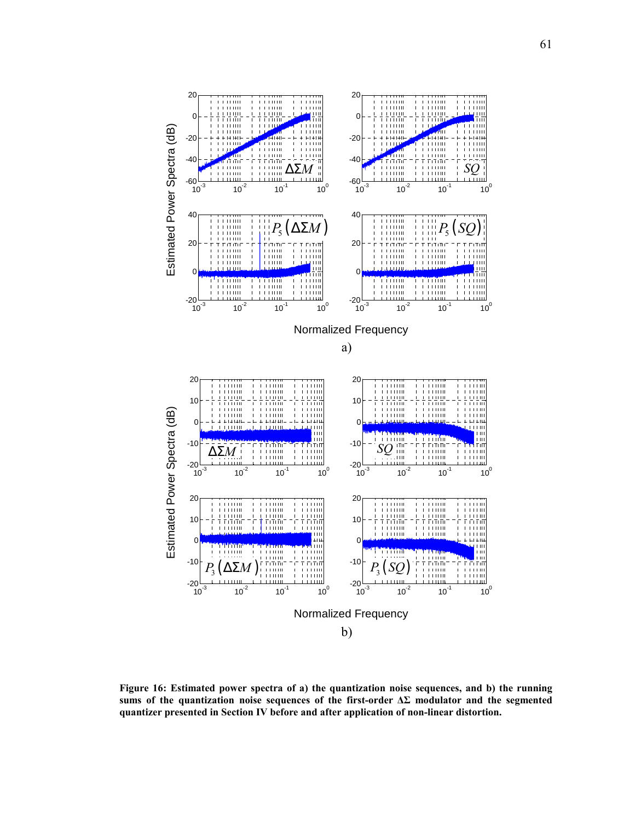

**Figure 16: Estimated power spectra of a) the quantization noise sequences, and b) the running sums of the quantization noise sequences of the first-order ∆Σ modulator and the segmented quantizer presented in Section IV before and after application of non-linear distortion.**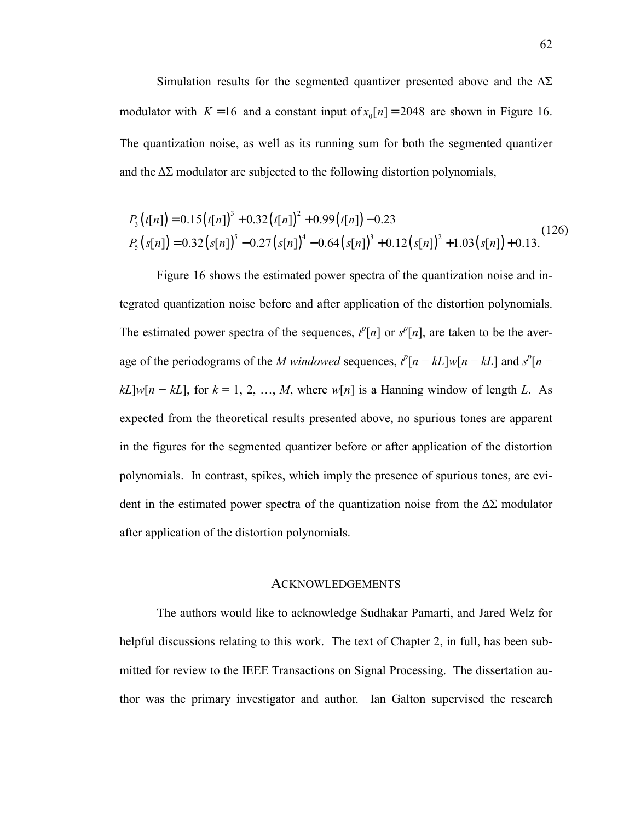Simulation results for the segmented quantizer presented above and the  $\Delta\Sigma$ modulator with  $K = 16$  and a constant input of  $x_0[n] = 2048$  are shown in Figure 16. The quantization noise, as well as its running sum for both the segmented quantizer and the  $\Delta\Sigma$  modulator are subjected to the following distortion polynomials,

$$
P_3(t[n]) = 0.15(t[n])^3 + 0.32(t[n])^2 + 0.99(t[n]) - 0.23
$$
  
\n
$$
P_5(s[n]) = 0.32(s[n])^5 - 0.27(s[n])^4 - 0.64(s[n])^3 + 0.12(s[n])^2 + 1.03(s[n]) + 0.13.
$$
 (126)

Figure 16 shows the estimated power spectra of the quantization noise and integrated quantization noise before and after application of the distortion polynomials. The estimated power spectra of the sequences,  $t^p[n]$  or  $s^p[n]$ , are taken to be the average of the periodograms of the *M* windowed sequences,  $t^p[n - kL]w[n - kL]$  and  $s^p[n - kL]$  $kL[w[n - kL]$ , for  $k = 1, 2, ..., M$ , where  $w[n]$  is a Hanning window of length *L*. As expected from the theoretical results presented above, no spurious tones are apparent in the figures for the segmented quantizer before or after application of the distortion polynomials. In contrast, spikes, which imply the presence of spurious tones, are evident in the estimated power spectra of the quantization noise from the  $\Delta\Sigma$  modulator after application of the distortion polynomials.

#### **ACKNOWLEDGEMENTS**

The authors would like to acknowledge Sudhakar Pamarti, and Jared Welz for helpful discussions relating to this work. The text of Chapter 2, in full, has been submitted for review to the IEEE Transactions on Signal Processing. The dissertation author was the primary investigator and author. Ian Galton supervised the research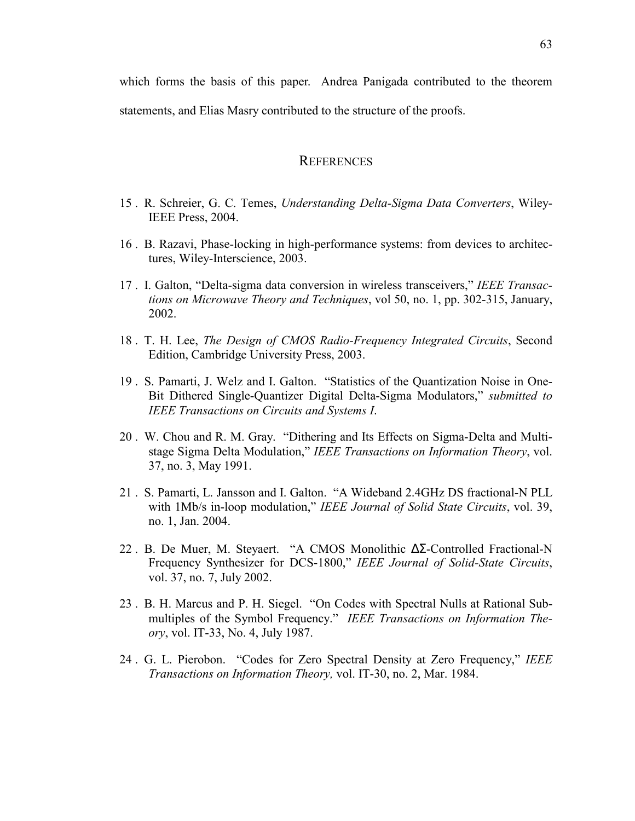which forms the basis of this paper. Andrea Panigada contributed to the theorem statements, and Elias Masry contributed to the structure of the proofs.

### **REFERENCES**

- 15 . R. Schreier, G. C. Temes, *Understanding Delta-Sigma Data Converters*, Wiley-IEEE Press, 2004.
- 16 . B. Razavi, Phase-locking in high-performance systems: from devices to architectures, Wiley-Interscience, 2003.
- 17 . I. Galton, "Delta-sigma data conversion in wireless transceivers," *IEEE Transactions on Microwave Theory and Techniques*, vol 50, no. 1, pp. 302-315, January, 2002.
- 18 . T. H. Lee, *The Design of CMOS Radio-Frequency Integrated Circuits*, Second Edition, Cambridge University Press, 2003.
- 19 . S. Pamarti, J. Welz and I. Galton. "Statistics of the Quantization Noise in One-Bit Dithered Single-Quantizer Digital Delta-Sigma Modulators," *submitted to IEEE Transactions on Circuits and Systems I*.
- 20 . W. Chou and R. M. Gray. "Dithering and Its Effects on Sigma-Delta and Multistage Sigma Delta Modulation," *IEEE Transactions on Information Theory*, vol. 37, no. 3, May 1991.
- 21 . S. Pamarti, L. Jansson and I. Galton. "A Wideband 2.4GHz DS fractional-N PLL with 1Mb/s in-loop modulation," *IEEE Journal of Solid State Circuits*, vol. 39, no. 1, Jan. 2004.
- 22 . B. De Muer, M. Steyaert. "A CMOS Monolithic ∆Σ-Controlled Fractional-N Frequency Synthesizer for DCS-1800," *IEEE Journal of Solid-State Circuits*, vol. 37, no. 7, July 2002.
- 23 . B. H. Marcus and P. H. Siegel. "On Codes with Spectral Nulls at Rational Submultiples of the Symbol Frequency." *IEEE Transactions on Information Theory*, vol. IT-33, No. 4, July 1987.
- 24 . G. L. Pierobon. "Codes for Zero Spectral Density at Zero Frequency," *IEEE Transactions on Information Theory,* vol. IT-30, no. 2, Mar. 1984.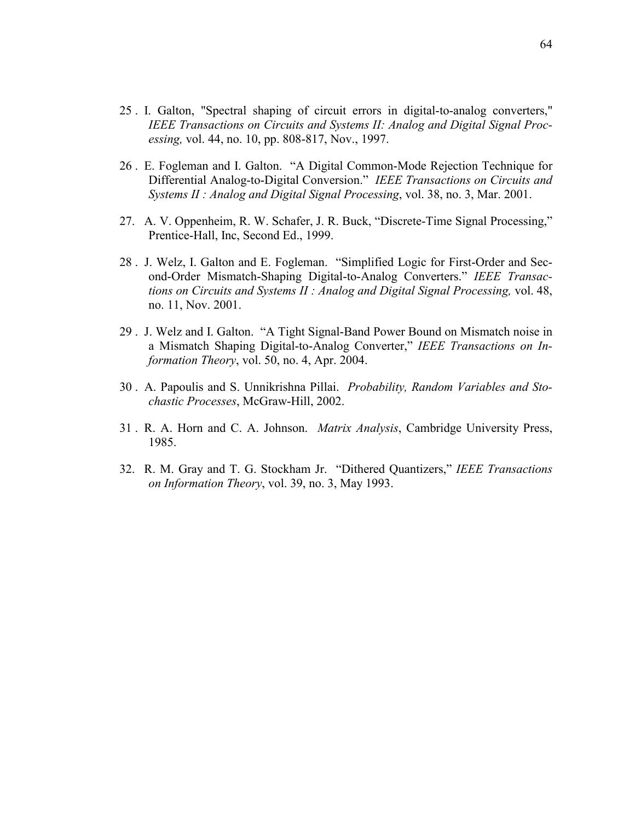- 25 . I. Galton, "Spectral shaping of circuit errors in digital-to-analog converters," *IEEE Transactions on Circuits and Systems II: Analog and Digital Signal Processing,* vol. 44, no. 10, pp. 808-817, Nov., 1997.
- 26 . E. Fogleman and I. Galton. "A Digital Common-Mode Rejection Technique for Differential Analog-to-Digital Conversion." *IEEE Transactions on Circuits and Systems II : Analog and Digital Signal Processing*, vol. 38, no. 3, Mar. 2001.
- 27. A. V. Oppenheim, R. W. Schafer, J. R. Buck, "Discrete-Time Signal Processing," Prentice-Hall, Inc, Second Ed., 1999.
- 28 . J. Welz, I. Galton and E. Fogleman. "Simplified Logic for First-Order and Second-Order Mismatch-Shaping Digital-to-Analog Converters." *IEEE Transactions on Circuits and Systems II : Analog and Digital Signal Processing,* vol. 48, no. 11, Nov. 2001.
- 29 . J. Welz and I. Galton. "A Tight Signal-Band Power Bound on Mismatch noise in a Mismatch Shaping Digital-to-Analog Converter," *IEEE Transactions on Information Theory*, vol. 50, no. 4, Apr. 2004.
- 30 . A. Papoulis and S. Unnikrishna Pillai. *Probability, Random Variables and Stochastic Processes*, McGraw-Hill, 2002.
- 31 . R. A. Horn and C. A. Johnson. *Matrix Analysis*, Cambridge University Press, 1985.
- 32. R. M. Gray and T. G. Stockham Jr. "Dithered Quantizers," *IEEE Transactions on Information Theory*, vol. 39, no. 3, May 1993.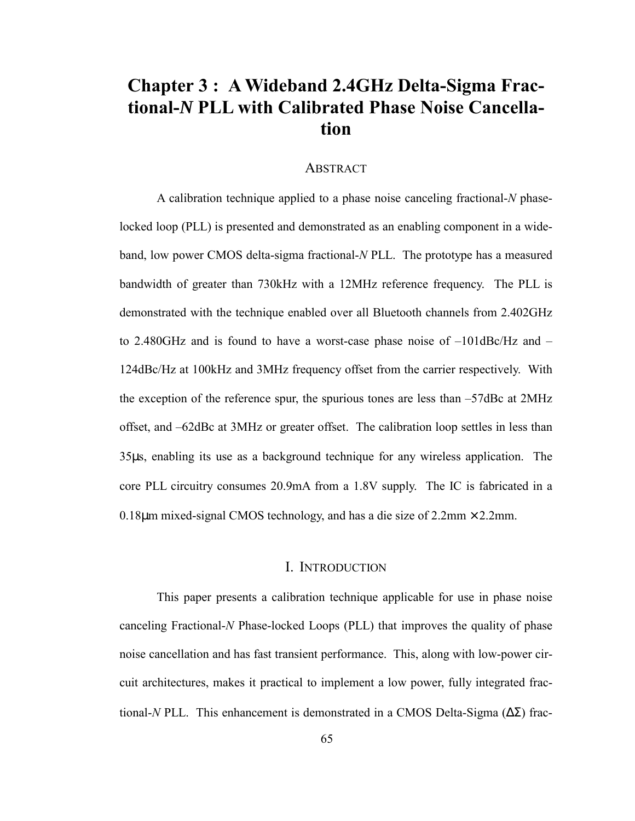# **Chapter 3 : A Wideband 2.4GHz Delta-Sigma Fractional-***N* **PLL with Calibrated Phase Noise Cancellation**

### **ABSTRACT**

A calibration technique applied to a phase noise canceling fractional-*N* phaselocked loop (PLL) is presented and demonstrated as an enabling component in a wideband, low power CMOS delta-sigma fractional-*N* PLL. The prototype has a measured bandwidth of greater than 730kHz with a 12MHz reference frequency. The PLL is demonstrated with the technique enabled over all Bluetooth channels from 2.402GHz to 2.480GHz and is found to have a worst-case phase noise of –101dBc/Hz and – 124dBc/Hz at 100kHz and 3MHz frequency offset from the carrier respectively. With the exception of the reference spur, the spurious tones are less than –57dBc at 2MHz offset, and –62dBc at 3MHz or greater offset. The calibration loop settles in less than 35µs, enabling its use as a background technique for any wireless application. The core PLL circuitry consumes 20.9mA from a 1.8V supply. The IC is fabricated in a 0.18 $\mu$ m mixed-signal CMOS technology, and has a die size of 2.2mm  $\times$  2.2mm.

## I. INTRODUCTION

This paper presents a calibration technique applicable for use in phase noise canceling Fractional-*N* Phase-locked Loops (PLL) that improves the quality of phase noise cancellation and has fast transient performance. This, along with low-power circuit architectures, makes it practical to implement a low power, fully integrated fractional-*N* PLL. This enhancement is demonstrated in a CMOS Delta-Sigma (∆Σ) frac-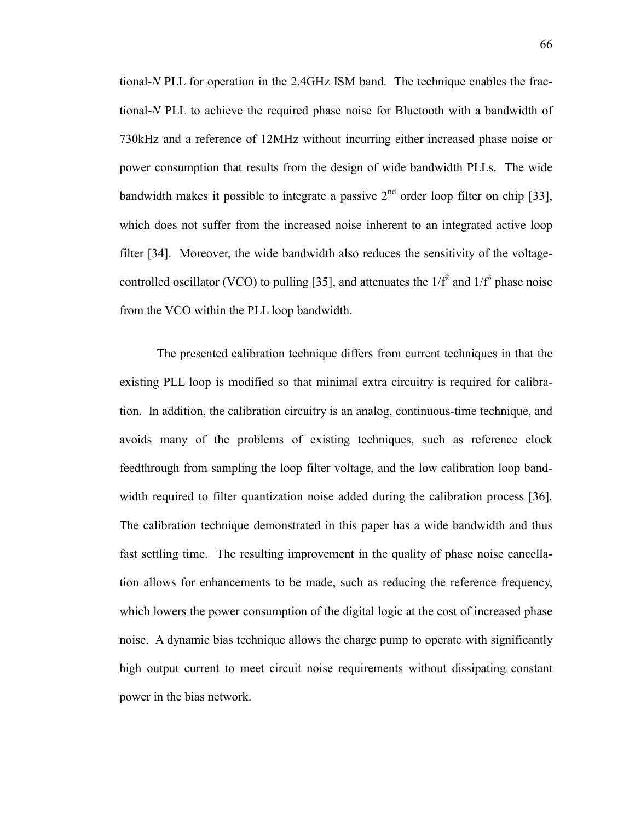tional-*N* PLL for operation in the 2.4GHz ISM band. The technique enables the fractional-*N* PLL to achieve the required phase noise for Bluetooth with a bandwidth of 730kHz and a reference of 12MHz without incurring either increased phase noise or power consumption that results from the design of wide bandwidth PLLs. The wide bandwidth makes it possible to integrate a passive  $2<sup>nd</sup>$  order loop filter on chip [33], which does not suffer from the increased noise inherent to an integrated active loop filter [34]. Moreover, the wide bandwidth also reduces the sensitivity of the voltagecontrolled oscillator (VCO) to pulling [35], and attenuates the  $1/f^2$  and  $1/f^3$  phase noise from the VCO within the PLL loop bandwidth.

The presented calibration technique differs from current techniques in that the existing PLL loop is modified so that minimal extra circuitry is required for calibration. In addition, the calibration circuitry is an analog, continuous-time technique, and avoids many of the problems of existing techniques, such as reference clock feedthrough from sampling the loop filter voltage, and the low calibration loop bandwidth required to filter quantization noise added during the calibration process [36]. The calibration technique demonstrated in this paper has a wide bandwidth and thus fast settling time. The resulting improvement in the quality of phase noise cancellation allows for enhancements to be made, such as reducing the reference frequency, which lowers the power consumption of the digital logic at the cost of increased phase noise. A dynamic bias technique allows the charge pump to operate with significantly high output current to meet circuit noise requirements without dissipating constant power in the bias network.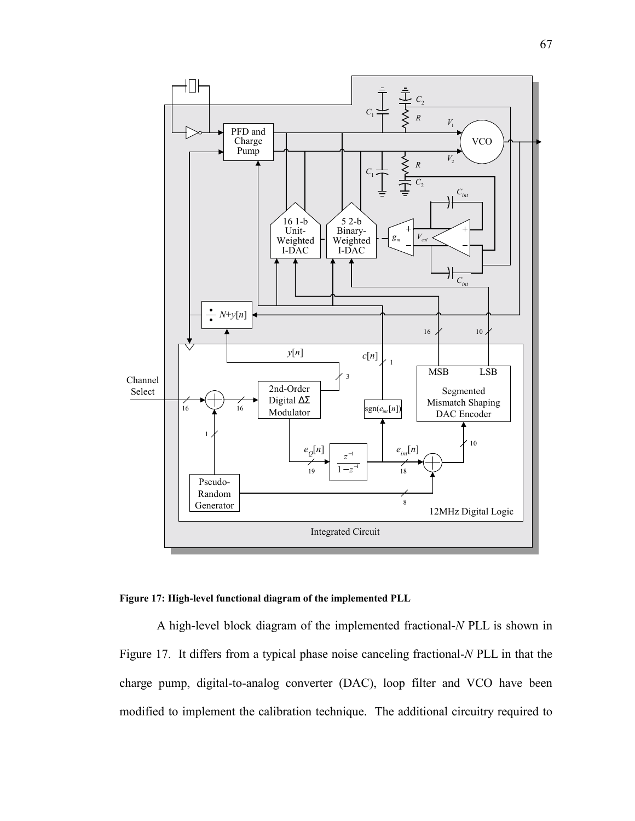

**Figure 17: High-level functional diagram of the implemented PLL** 

A high-level block diagram of the implemented fractional-*N* PLL is shown in Figure 17. It differs from a typical phase noise canceling fractional-*N* PLL in that the charge pump, digital-to-analog converter (DAC), loop filter and VCO have been modified to implement the calibration technique. The additional circuitry required to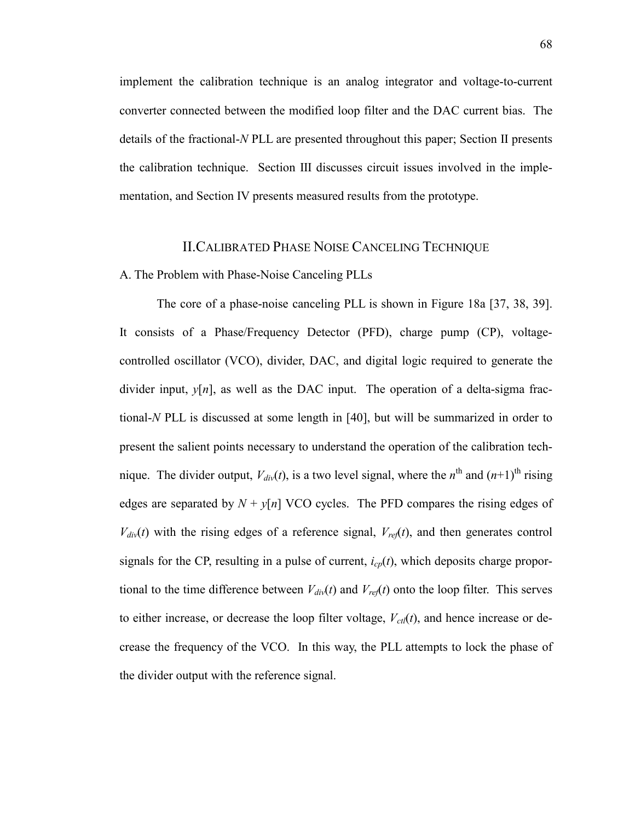implement the calibration technique is an analog integrator and voltage-to-current converter connected between the modified loop filter and the DAC current bias. The details of the fractional-*N* PLL are presented throughout this paper; Section II presents the calibration technique. Section III discusses circuit issues involved in the implementation, and Section IV presents measured results from the prototype.

### II.CALIBRATED PHASE NOISE CANCELING TECHNIQUE

### A. The Problem with Phase-Noise Canceling PLLs

The core of a phase-noise canceling PLL is shown in Figure 18a [37, 38, 39]. It consists of a Phase/Frequency Detector (PFD), charge pump (CP), voltagecontrolled oscillator (VCO), divider, DAC, and digital logic required to generate the divider input,  $y[n]$ , as well as the DAC input. The operation of a delta-sigma fractional-*N* PLL is discussed at some length in [40], but will be summarized in order to present the salient points necessary to understand the operation of the calibration technique. The divider output,  $V_{div}(t)$ , is a two level signal, where the  $n^{\text{th}}$  and  $(n+1)^{\text{th}}$  rising edges are separated by  $N + y[n]$  VCO cycles. The PFD compares the rising edges of  $V_{div}(t)$  with the rising edges of a reference signal,  $V_{ref}(t)$ , and then generates control signals for the CP, resulting in a pulse of current, *icp*(*t*), which deposits charge proportional to the time difference between  $V_{div}(t)$  and  $V_{ref}(t)$  onto the loop filter. This serves to either increase, or decrease the loop filter voltage,  $V_{\text{ct}}(t)$ , and hence increase or decrease the frequency of the VCO. In this way, the PLL attempts to lock the phase of the divider output with the reference signal.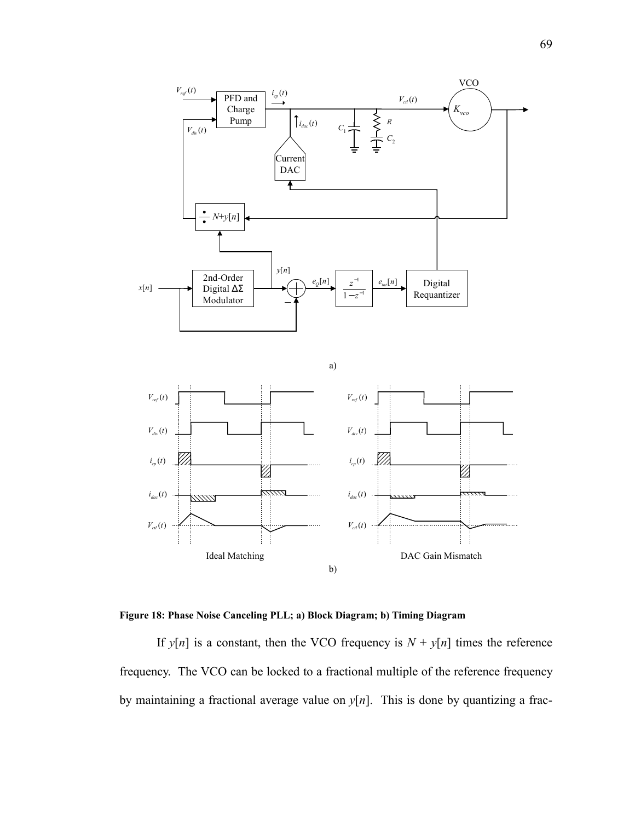



If  $y[n]$  is a constant, then the VCO frequency is  $N + y[n]$  times the reference frequency. The VCO can be locked to a fractional multiple of the reference frequency by maintaining a fractional average value on  $y[n]$ . This is done by quantizing a frac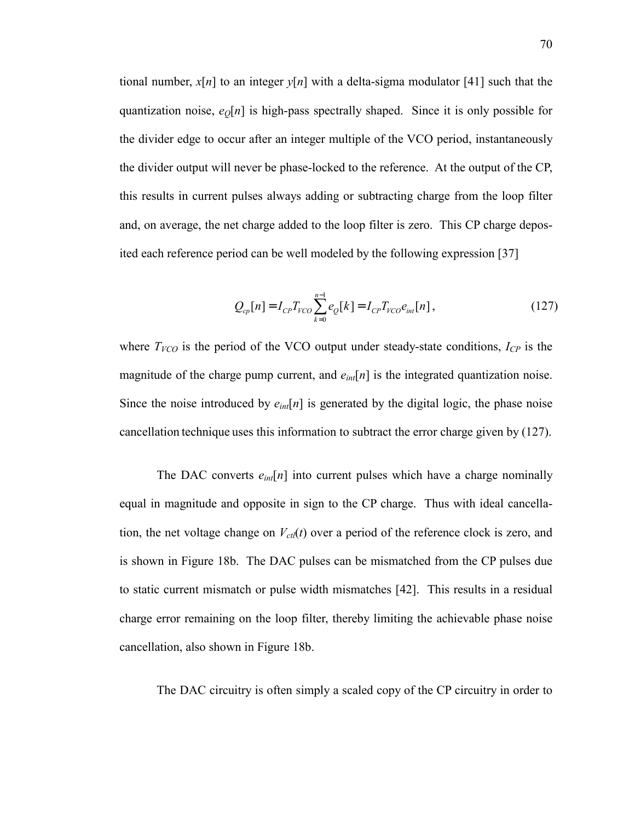tional number,  $x[n]$  to an integer  $y[n]$  with a delta-sigma modulator [41] such that the quantization noise,  $e_0[n]$  is high-pass spectrally shaped. Since it is only possible for the divider edge to occur after an integer multiple of the VCO period, instantaneously the divider output will never be phase-locked to the reference. At the output of the CP, this results in current pulses always adding or subtracting charge from the loop filter and, on average, the net charge added to the loop filter is zero. This CP charge deposited each reference period can be well modeled by the following expression [37]

$$
Q_{cp}[n] = I_{CP}T_{VCO} \sum_{k=0}^{n-1} e_{Q}[k] = I_{CP}T_{VCO}e_{int}[n],
$$
\n(127)

where  $T_{VCO}$  is the period of the VCO output under steady-state conditions,  $I_{CP}$  is the magnitude of the charge pump current, and  $e_{int}[n]$  is the integrated quantization noise. Since the noise introduced by *eint*[*n*] is generated by the digital logic, the phase noise cancellation technique uses this information to subtract the error charge given by (127).

The DAC converts  $e_{int}[n]$  into current pulses which have a charge nominally equal in magnitude and opposite in sign to the CP charge. Thus with ideal cancellation, the net voltage change on  $V_{\text{ct}}(t)$  over a period of the reference clock is zero, and is shown in Figure 18b. The DAC pulses can be mismatched from the CP pulses due to static current mismatch or pulse width mismatches [42]. This results in a residual charge error remaining on the loop filter, thereby limiting the achievable phase noise cancellation, also shown in Figure 18b.

The DAC circuitry is often simply a scaled copy of the CP circuitry in order to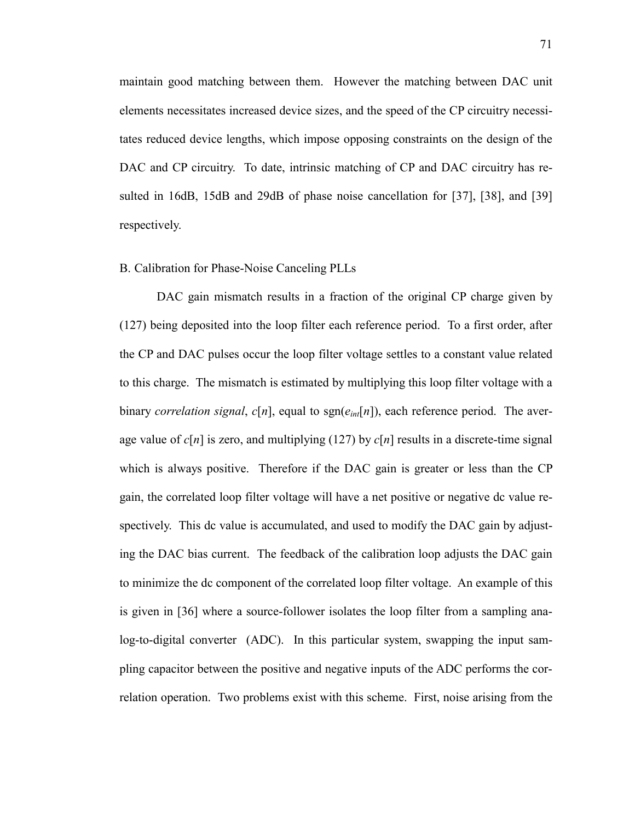maintain good matching between them. However the matching between DAC unit elements necessitates increased device sizes, and the speed of the CP circuitry necessitates reduced device lengths, which impose opposing constraints on the design of the DAC and CP circuitry. To date, intrinsic matching of CP and DAC circuitry has resulted in 16dB, 15dB and 29dB of phase noise cancellation for [37], [38], and [39] respectively.

### B. Calibration for Phase-Noise Canceling PLLs

DAC gain mismatch results in a fraction of the original CP charge given by (127) being deposited into the loop filter each reference period. To a first order, after the CP and DAC pulses occur the loop filter voltage settles to a constant value related to this charge. The mismatch is estimated by multiplying this loop filter voltage with a binary *correlation signal*,  $c[n]$ , equal to sgn $(e_{int}[n])$ , each reference period. The average value of  $c[n]$  is zero, and multiplying (127) by  $c[n]$  results in a discrete-time signal which is always positive. Therefore if the DAC gain is greater or less than the CP gain, the correlated loop filter voltage will have a net positive or negative dc value respectively. This dc value is accumulated, and used to modify the DAC gain by adjusting the DAC bias current. The feedback of the calibration loop adjusts the DAC gain to minimize the dc component of the correlated loop filter voltage. An example of this is given in [36] where a source-follower isolates the loop filter from a sampling analog-to-digital converter (ADC). In this particular system, swapping the input sampling capacitor between the positive and negative inputs of the ADC performs the correlation operation. Two problems exist with this scheme. First, noise arising from the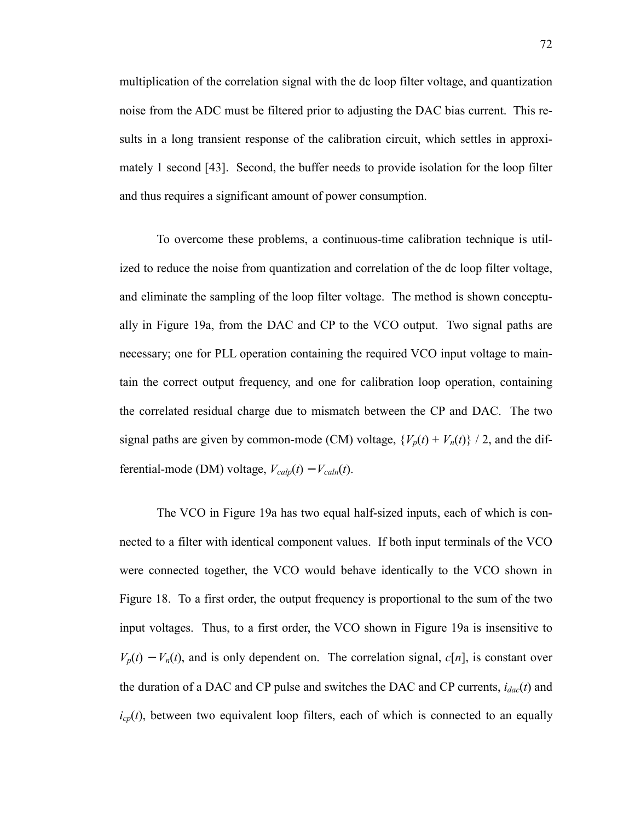multiplication of the correlation signal with the dc loop filter voltage, and quantization noise from the ADC must be filtered prior to adjusting the DAC bias current. This results in a long transient response of the calibration circuit, which settles in approximately 1 second [43]. Second, the buffer needs to provide isolation for the loop filter and thus requires a significant amount of power consumption.

To overcome these problems, a continuous-time calibration technique is utilized to reduce the noise from quantization and correlation of the dc loop filter voltage, and eliminate the sampling of the loop filter voltage. The method is shown conceptually in Figure 19a, from the DAC and CP to the VCO output. Two signal paths are necessary; one for PLL operation containing the required VCO input voltage to maintain the correct output frequency, and one for calibration loop operation, containing the correlated residual charge due to mismatch between the CP and DAC. The two signal paths are given by common-mode (CM) voltage,  ${V_p(t) + V_n(t)}$  / 2, and the differential-mode (DM) voltage,  $V_{calp}(t) - V_{caln}(t)$ .

The VCO in Figure 19a has two equal half-sized inputs, each of which is connected to a filter with identical component values. If both input terminals of the VCO were connected together, the VCO would behave identically to the VCO shown in Figure 18. To a first order, the output frequency is proportional to the sum of the two input voltages. Thus, to a first order, the VCO shown in Figure 19a is insensitive to  $V_p(t) - V_n(t)$ , and is only dependent on. The correlation signal,  $c[n]$ , is constant over the duration of a DAC and CP pulse and switches the DAC and CP currents, *idac*(*t*) and  $i_{cp}(t)$ , between two equivalent loop filters, each of which is connected to an equally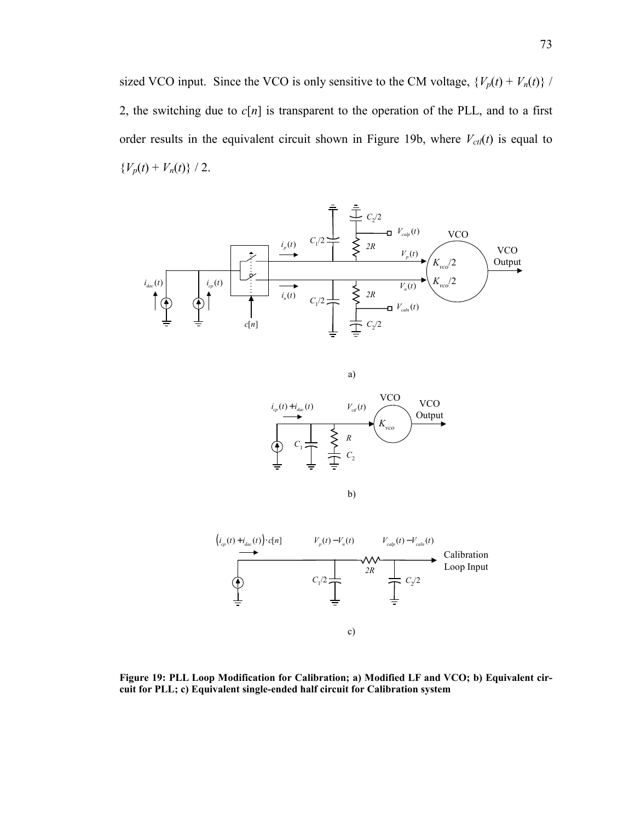sized VCO input. Since the VCO is only sensitive to the CM voltage,  $\{V_p(t) + V_n(t)\}$  / 2, the switching due to  $c[n]$  is transparent to the operation of the PLL, and to a first order results in the equivalent circuit shown in Figure 19b, where  $V_{\text{ct}}(t)$  is equal to  ${V_p(t) + V_n(t)}$  / 2.







**Figure 19: PLL Loop Modification for Calibration; a) Modified LF and VCO; b) Equivalent circuit for PLL; c) Equivalent single-ended half circuit for Calibration system**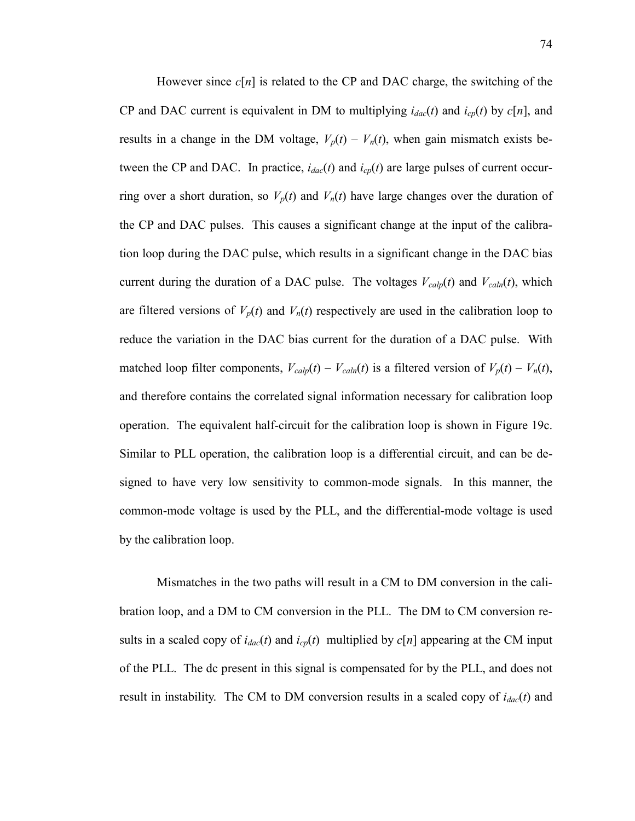However since  $c[n]$  is related to the CP and DAC charge, the switching of the CP and DAC current is equivalent in DM to multiplying  $i_{dac}(t)$  and  $i_{cp}(t)$  by  $c[n]$ , and results in a change in the DM voltage,  $V_p(t) - V_n(t)$ , when gain mismatch exists between the CP and DAC. In practice,  $i_{dac}(t)$  and  $i_{cp}(t)$  are large pulses of current occurring over a short duration, so  $V_p(t)$  and  $V_n(t)$  have large changes over the duration of the CP and DAC pulses. This causes a significant change at the input of the calibration loop during the DAC pulse, which results in a significant change in the DAC bias current during the duration of a DAC pulse. The voltages  $V_{cal}(t)$  and  $V_{cal}(t)$ , which are filtered versions of  $V_p(t)$  and  $V_n(t)$  respectively are used in the calibration loop to reduce the variation in the DAC bias current for the duration of a DAC pulse. With matched loop filter components,  $V_{cal}(t) - V_{cal}(t)$  is a filtered version of  $V_p(t) - V_n(t)$ , and therefore contains the correlated signal information necessary for calibration loop operation. The equivalent half-circuit for the calibration loop is shown in Figure 19c. Similar to PLL operation, the calibration loop is a differential circuit, and can be designed to have very low sensitivity to common-mode signals. In this manner, the common-mode voltage is used by the PLL, and the differential-mode voltage is used by the calibration loop.

Mismatches in the two paths will result in a CM to DM conversion in the calibration loop, and a DM to CM conversion in the PLL. The DM to CM conversion results in a scaled copy of  $i_{dac}(t)$  and  $i_{cp}(t)$  multiplied by  $c[n]$  appearing at the CM input of the PLL. The dc present in this signal is compensated for by the PLL, and does not result in instability. The CM to DM conversion results in a scaled copy of  $i_{dac}(t)$  and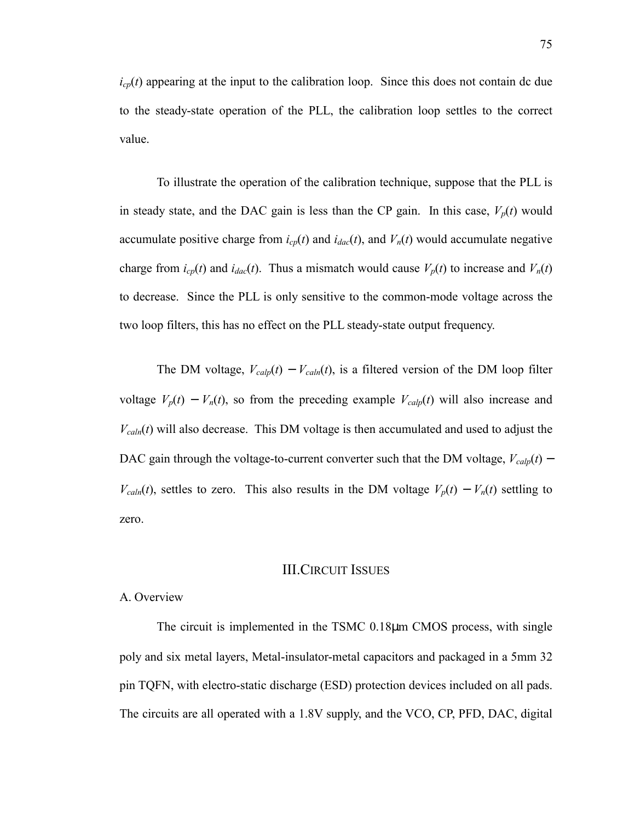$i_{cp}(t)$  appearing at the input to the calibration loop. Since this does not contain dc due to the steady-state operation of the PLL, the calibration loop settles to the correct value.

To illustrate the operation of the calibration technique, suppose that the PLL is in steady state, and the DAC gain is less than the CP gain. In this case,  $V_p(t)$  would accumulate positive charge from  $i_{cp}(t)$  and  $i_{dac}(t)$ , and  $V_n(t)$  would accumulate negative charge from  $i_{cp}(t)$  and  $i_{dac}(t)$ . Thus a mismatch would cause  $V_p(t)$  to increase and  $V_n(t)$ to decrease. Since the PLL is only sensitive to the common-mode voltage across the two loop filters, this has no effect on the PLL steady-state output frequency.

The DM voltage,  $V_{calp}(t) - V_{calp}(t)$ , is a filtered version of the DM loop filter voltage  $V_p(t) - V_n(t)$ , so from the preceding example  $V_{calp}(t)$  will also increase and  $V_{cal}(t)$  will also decrease. This DM voltage is then accumulated and used to adjust the DAC gain through the voltage-to-current converter such that the DM voltage,  $V_{cal}(t)$  – *V<sub>caln</sub>*(*t*), settles to zero. This also results in the DM voltage  $V_p(t) - V_n(t)$  settling to zero.

### III.CIRCUIT ISSUES

### A. Overview

The circuit is implemented in the TSMC 0.18µm CMOS process, with single poly and six metal layers, Metal-insulator-metal capacitors and packaged in a 5mm 32 pin TQFN, with electro-static discharge (ESD) protection devices included on all pads. The circuits are all operated with a 1.8V supply, and the VCO, CP, PFD, DAC, digital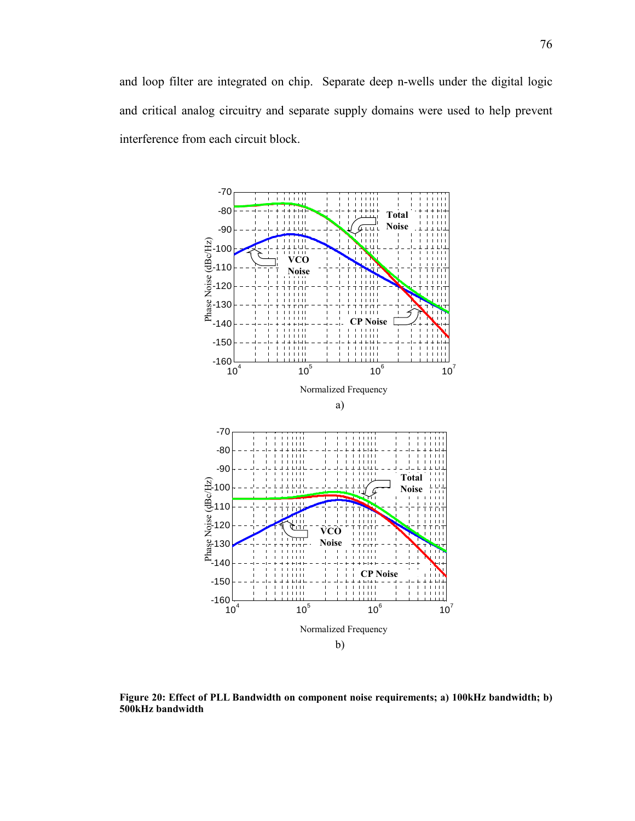

**Figure 20: Effect of PLL Bandwidth on component noise requirements; a) 100kHz bandwidth; b) 500kHz bandwidth**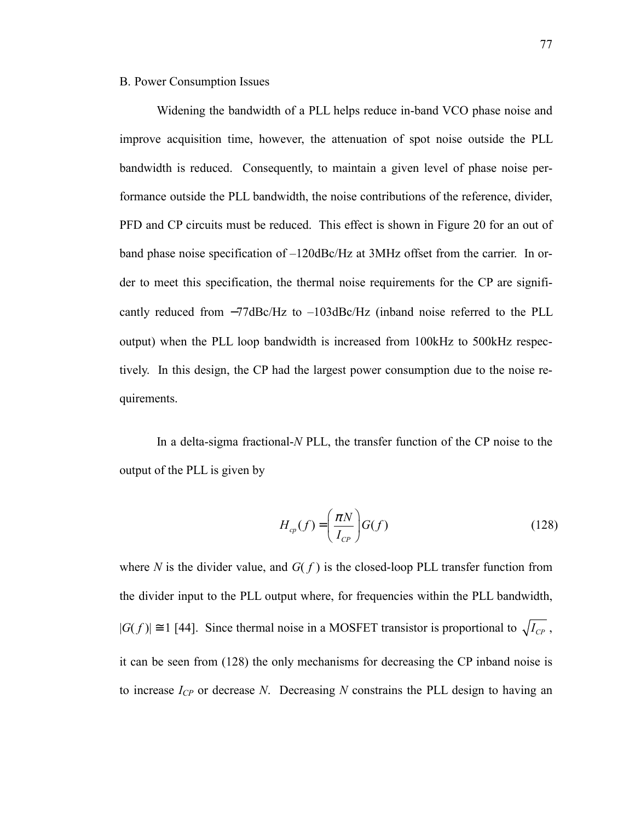### B. Power Consumption Issues

Widening the bandwidth of a PLL helps reduce in-band VCO phase noise and improve acquisition time, however, the attenuation of spot noise outside the PLL bandwidth is reduced. Consequently, to maintain a given level of phase noise performance outside the PLL bandwidth, the noise contributions of the reference, divider, PFD and CP circuits must be reduced. This effect is shown in Figure 20 for an out of band phase noise specification of –120dBc/Hz at 3MHz offset from the carrier. In order to meet this specification, the thermal noise requirements for the CP are significantly reduced from −77dBc/Hz to –103dBc/Hz (inband noise referred to the PLL output) when the PLL loop bandwidth is increased from 100kHz to 500kHz respectively. In this design, the CP had the largest power consumption due to the noise requirements.

In a delta-sigma fractional-*N* PLL, the transfer function of the CP noise to the output of the PLL is given by

$$
H_{cp}(f) = \left(\frac{\pi N}{I_{CP}}\right) G(f) \tag{128}
$$

where *N* is the divider value, and  $G(f)$  is the closed-loop PLL transfer function from the divider input to the PLL output where, for frequencies within the PLL bandwidth,  $|G(f)| \approx 1$  [44]. Since thermal noise in a MOSFET transistor is proportional to  $\sqrt{I_{CP}}$ , it can be seen from (128) the only mechanisms for decreasing the CP inband noise is to increase *ICP* or decrease *N*. Decreasing *N* constrains the PLL design to having an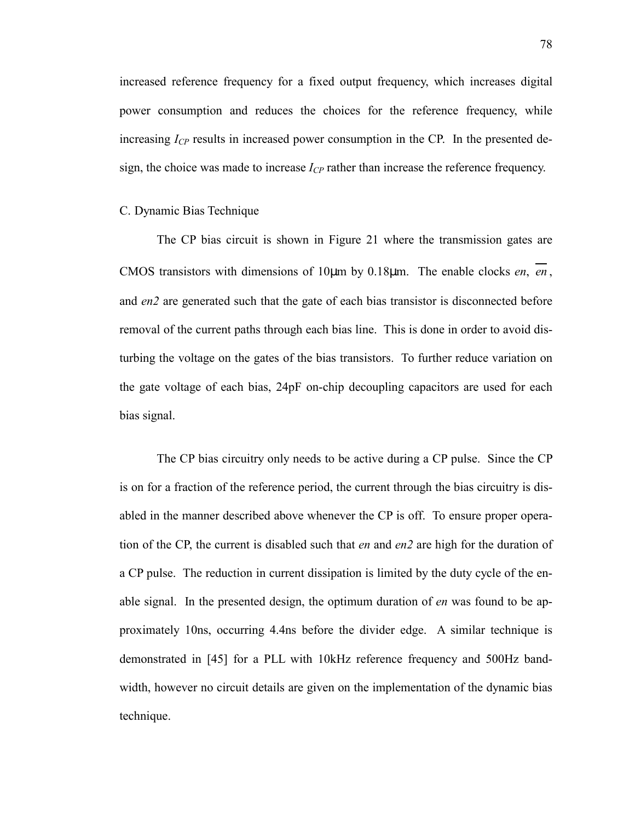increased reference frequency for a fixed output frequency, which increases digital power consumption and reduces the choices for the reference frequency, while increasing  $I_{CP}$  results in increased power consumption in the CP. In the presented design, the choice was made to increase  $I_{CP}$  rather than increase the reference frequency.

### C. Dynamic Bias Technique

The CP bias circuit is shown in Figure 21 where the transmission gates are CMOS transistors with dimensions of 10µm by 0.18µm. The enable clocks *en*, *en* , and *en2* are generated such that the gate of each bias transistor is disconnected before removal of the current paths through each bias line. This is done in order to avoid disturbing the voltage on the gates of the bias transistors. To further reduce variation on the gate voltage of each bias, 24pF on-chip decoupling capacitors are used for each bias signal.

The CP bias circuitry only needs to be active during a CP pulse. Since the CP is on for a fraction of the reference period, the current through the bias circuitry is disabled in the manner described above whenever the CP is off. To ensure proper operation of the CP, the current is disabled such that *en* and *en2* are high for the duration of a CP pulse. The reduction in current dissipation is limited by the duty cycle of the enable signal. In the presented design, the optimum duration of *en* was found to be approximately 10ns, occurring 4.4ns before the divider edge. A similar technique is demonstrated in [45] for a PLL with 10kHz reference frequency and 500Hz bandwidth, however no circuit details are given on the implementation of the dynamic bias technique.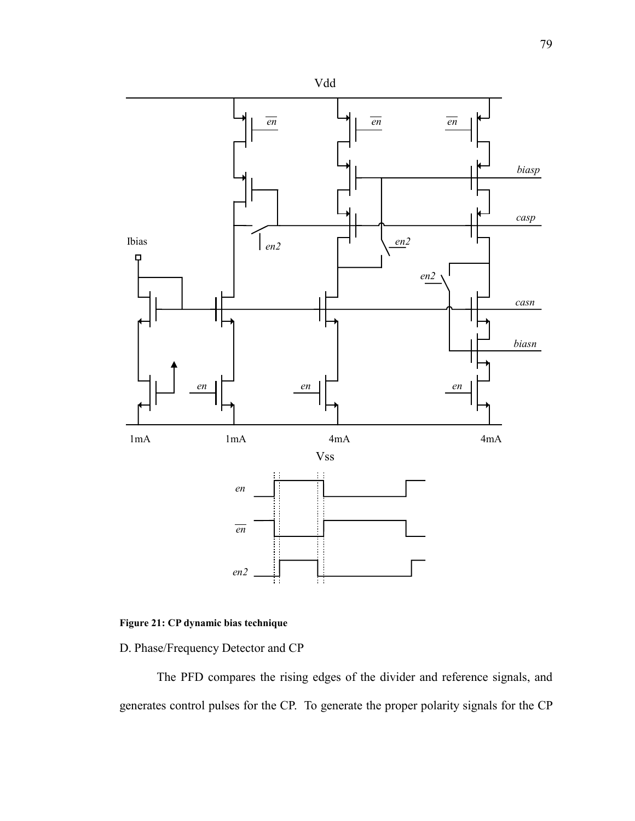

# **Figure 21: CP dynamic bias technique**

D. Phase/Frequency Detector and CP

The PFD compares the rising edges of the divider and reference signals, and generates control pulses for the CP. To generate the proper polarity signals for the CP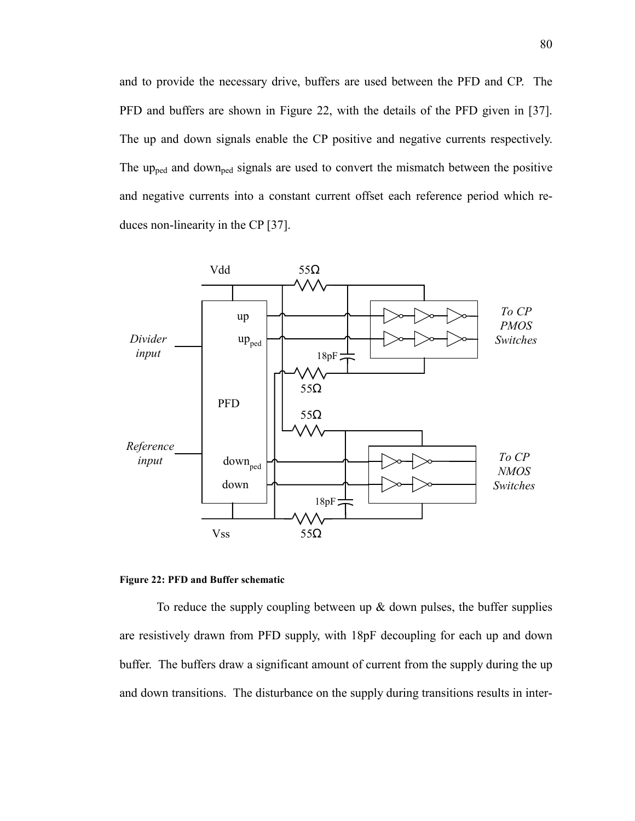and to provide the necessary drive, buffers are used between the PFD and CP. The PFD and buffers are shown in Figure 22, with the details of the PFD given in [37]. The up and down signals enable the CP positive and negative currents respectively. The up<sub>ped</sub> and down<sub>ped</sub> signals are used to convert the mismatch between the positive and negative currents into a constant current offset each reference period which reduces non-linearity in the CP [37].





To reduce the supply coupling between up  $\&$  down pulses, the buffer supplies are resistively drawn from PFD supply, with 18pF decoupling for each up and down buffer. The buffers draw a significant amount of current from the supply during the up and down transitions. The disturbance on the supply during transitions results in inter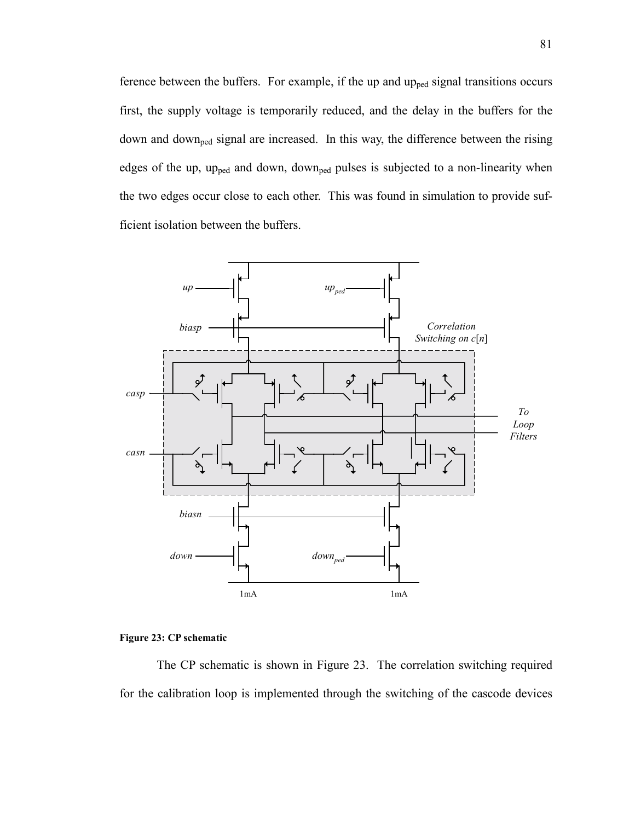ference between the buffers. For example, if the up and up<sub>ped</sub> signal transitions occurs first, the supply voltage is temporarily reduced, and the delay in the buffers for the down and downped signal are increased. In this way, the difference between the rising edges of the up, up<sub>ped</sub> and down, down<sub>ped</sub> pulses is subjected to a non-linearity when the two edges occur close to each other. This was found in simulation to provide sufficient isolation between the buffers.



#### **Figure 23: CP schematic**

The CP schematic is shown in Figure 23. The correlation switching required for the calibration loop is implemented through the switching of the cascode devices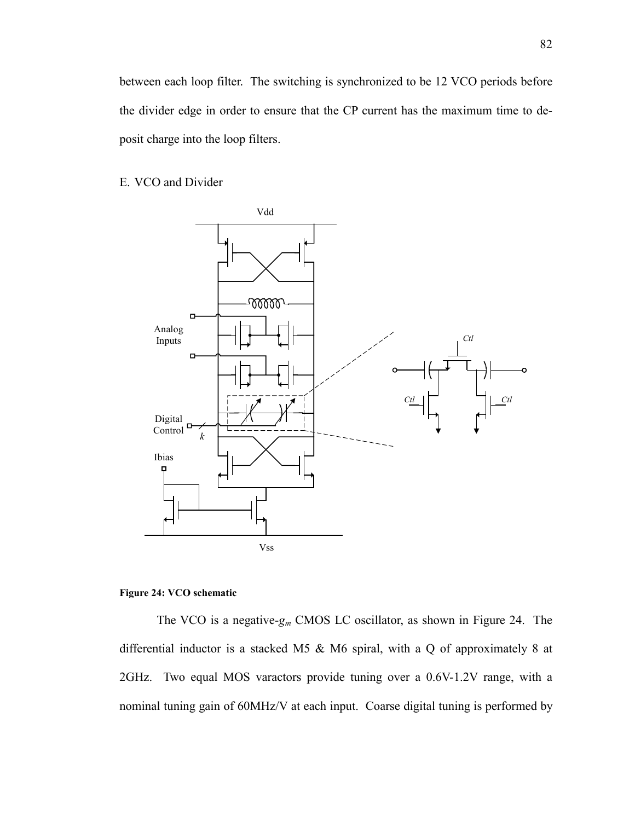between each loop filter. The switching is synchronized to be 12 VCO periods before the divider edge in order to ensure that the CP current has the maximum time to deposit charge into the loop filters.

### E. VCO and Divider



### **Figure 24: VCO schematic**

The VCO is a negative-*gm* CMOS LC oscillator, as shown in Figure 24. The differential inductor is a stacked M5 & M6 spiral, with a Q of approximately 8 at 2GHz. Two equal MOS varactors provide tuning over a 0.6V-1.2V range, with a nominal tuning gain of 60MHz/V at each input. Coarse digital tuning is performed by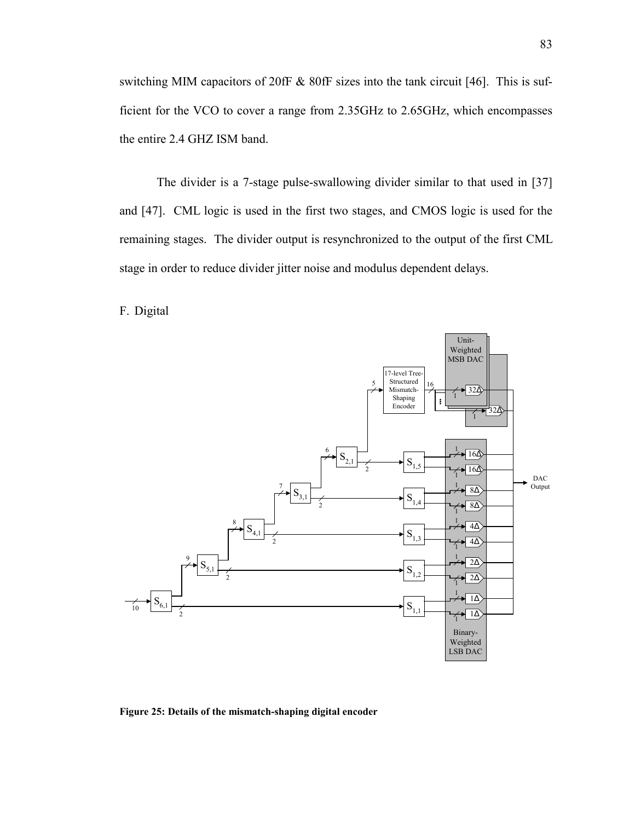switching MIM capacitors of 20fF & 80fF sizes into the tank circuit [46]. This is sufficient for the VCO to cover a range from 2.35GHz to 2.65GHz, which encompasses the entire 2.4 GHZ ISM band.

The divider is a 7-stage pulse-swallowing divider similar to that used in [37] and [47]. CML logic is used in the first two stages, and CMOS logic is used for the remaining stages. The divider output is resynchronized to the output of the first CML stage in order to reduce divider jitter noise and modulus dependent delays.

F. Digital



**Figure 25: Details of the mismatch-shaping digital encoder**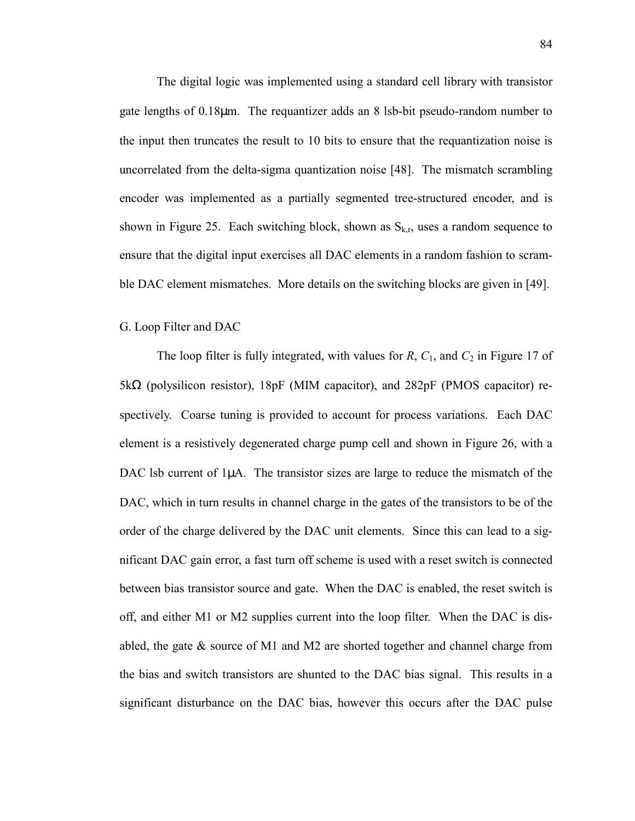The digital logic was implemented using a standard cell library with transistor gate lengths of 0.18µm. The requantizer adds an 8 lsb-bit pseudo-random number to the input then truncates the result to 10 bits to ensure that the requantization noise is uncorrelated from the delta-sigma quantization noise [48]. The mismatch scrambling encoder was implemented as a partially segmented tree-structured encoder, and is shown in Figure 25. Each switching block, shown as  $S_{k,r}$ , uses a random sequence to ensure that the digital input exercises all DAC elements in a random fashion to scramble DAC element mismatches. More details on the switching blocks are given in [49].

### G. Loop Filter and DAC

The loop filter is fully integrated, with values for *R*,  $C_1$ , and  $C_2$  in Figure 17 of 5kΩ (polysilicon resistor), 18pF (MIM capacitor), and 282pF (PMOS capacitor) respectively. Coarse tuning is provided to account for process variations. Each DAC element is a resistively degenerated charge pump cell and shown in Figure 26, with a DAC lsb current of  $1\mu$ A. The transistor sizes are large to reduce the mismatch of the DAC, which in turn results in channel charge in the gates of the transistors to be of the order of the charge delivered by the DAC unit elements. Since this can lead to a significant DAC gain error, a fast turn off scheme is used with a reset switch is connected between bias transistor source and gate. When the DAC is enabled, the reset switch is off, and either M1 or M2 supplies current into the loop filter. When the DAC is disabled, the gate & source of M1 and M2 are shorted together and channel charge from the bias and switch transistors are shunted to the DAC bias signal. This results in a significant disturbance on the DAC bias, however this occurs after the DAC pulse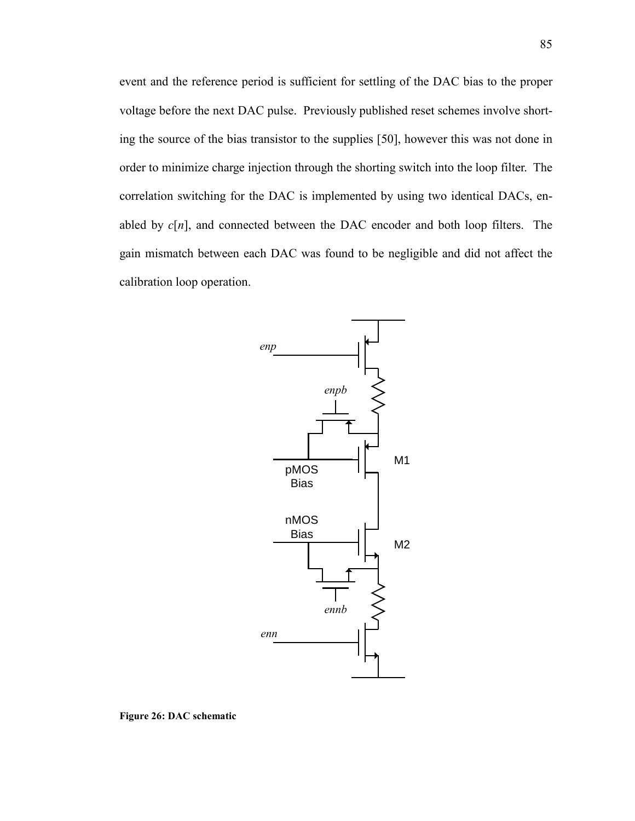event and the reference period is sufficient for settling of the DAC bias to the proper voltage before the next DAC pulse. Previously published reset schemes involve shorting the source of the bias transistor to the supplies [50], however this was not done in order to minimize charge injection through the shorting switch into the loop filter. The correlation switching for the DAC is implemented by using two identical DACs, enabled by *c*[*n*], and connected between the DAC encoder and both loop filters. The gain mismatch between each DAC was found to be negligible and did not affect the calibration loop operation.



**Figure 26: DAC schematic**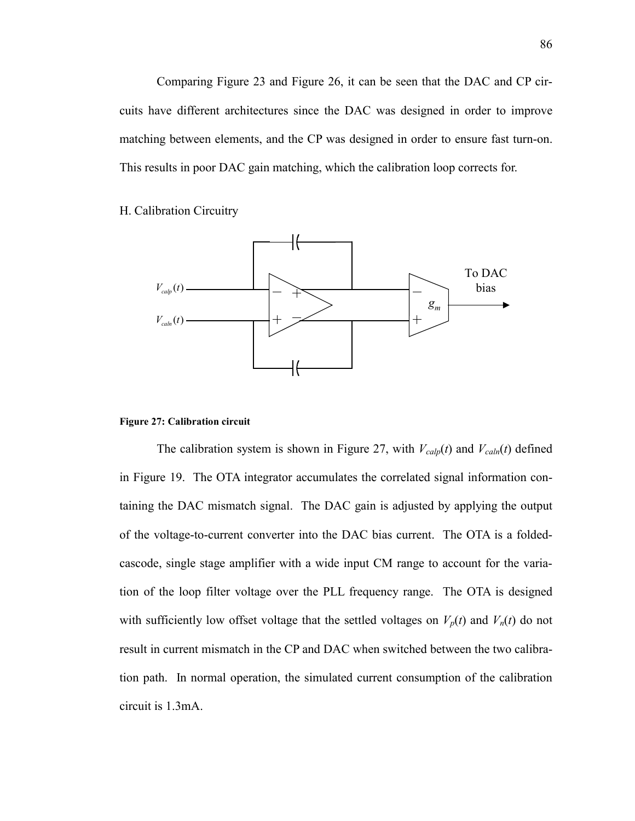Comparing Figure 23 and Figure 26, it can be seen that the DAC and CP circuits have different architectures since the DAC was designed in order to improve matching between elements, and the CP was designed in order to ensure fast turn-on. This results in poor DAC gain matching, which the calibration loop corrects for.

H. Calibration Circuitry



#### **Figure 27: Calibration circuit**

The calibration system is shown in Figure 27, with  $V_{cal}(t)$  and  $V_{cal}(t)$  defined in Figure 19. The OTA integrator accumulates the correlated signal information containing the DAC mismatch signal. The DAC gain is adjusted by applying the output of the voltage-to-current converter into the DAC bias current. The OTA is a foldedcascode, single stage amplifier with a wide input CM range to account for the variation of the loop filter voltage over the PLL frequency range. The OTA is designed with sufficiently low offset voltage that the settled voltages on  $V_p(t)$  and  $V_n(t)$  do not result in current mismatch in the CP and DAC when switched between the two calibration path. In normal operation, the simulated current consumption of the calibration circuit is 1.3mA.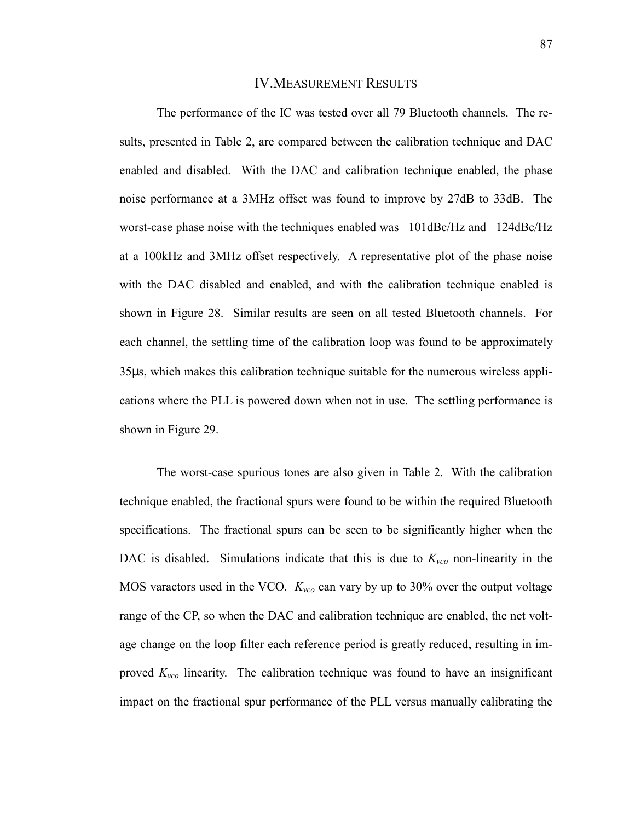### IV.MEASUREMENT RESULTS

The performance of the IC was tested over all 79 Bluetooth channels. The results, presented in Table 2, are compared between the calibration technique and DAC enabled and disabled. With the DAC and calibration technique enabled, the phase noise performance at a 3MHz offset was found to improve by 27dB to 33dB. The worst-case phase noise with the techniques enabled was –101dBc/Hz and –124dBc/Hz at a 100kHz and 3MHz offset respectively. A representative plot of the phase noise with the DAC disabled and enabled, and with the calibration technique enabled is shown in Figure 28. Similar results are seen on all tested Bluetooth channels. For each channel, the settling time of the calibration loop was found to be approximately 35µs, which makes this calibration technique suitable for the numerous wireless applications where the PLL is powered down when not in use. The settling performance is shown in Figure 29.

The worst-case spurious tones are also given in Table 2. With the calibration technique enabled, the fractional spurs were found to be within the required Bluetooth specifications. The fractional spurs can be seen to be significantly higher when the DAC is disabled. Simulations indicate that this is due to  $K_{\nu c0}$  non-linearity in the MOS varactors used in the VCO.  $K_{\text{vco}}$  can vary by up to 30% over the output voltage range of the CP, so when the DAC and calibration technique are enabled, the net voltage change on the loop filter each reference period is greatly reduced, resulting in improved  $K_{\nu c0}$  linearity. The calibration technique was found to have an insignificant impact on the fractional spur performance of the PLL versus manually calibrating the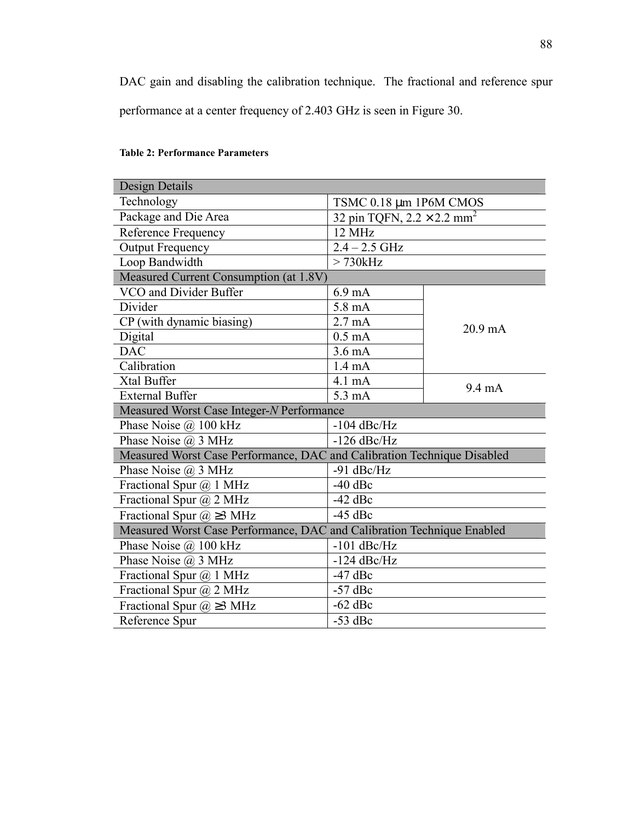DAC gain and disabling the calibration technique. The fractional and reference spur performance at a center frequency of 2.403 GHz is seen in Figure 30.

| Design Details                                                          |                                               |                   |
|-------------------------------------------------------------------------|-----------------------------------------------|-------------------|
| Technology                                                              | TSMC 0.18 µm 1P6M CMOS                        |                   |
| Package and Die Area                                                    | 32 pin TQFN, $2.2 \times 2.2$ mm <sup>2</sup> |                   |
| Reference Frequency                                                     | 12 MHz                                        |                   |
| <b>Output Frequency</b>                                                 | $2.4 - 2.5$ GHz                               |                   |
| Loop Bandwidth                                                          | > 730kHz                                      |                   |
| Measured Current Consumption (at 1.8V)                                  |                                               |                   |
| VCO and Divider Buffer                                                  | $6.9 \text{ mA}$                              | $20.9 \text{ mA}$ |
| Divider                                                                 | $5.8 \text{ mA}$                              |                   |
| CP (with dynamic biasing)                                               | $2.7 \text{ mA}$                              |                   |
| Digital                                                                 | $0.5 \text{ mA}$                              |                   |
| <b>DAC</b>                                                              | $3.6 \text{ mA}$                              |                   |
| Calibration                                                             | $1.4 \text{ mA}$                              |                   |
| Xtal Buffer                                                             | 4.1 mA                                        | $9.4 \text{ mA}$  |
| <b>External Buffer</b>                                                  | 5.3 mA                                        |                   |
| Measured Worst Case Integer-N Performance                               |                                               |                   |
| Phase Noise @ 100 kHz                                                   | $-104$ dBc/Hz                                 |                   |
| Phase Noise @ 3 MHz                                                     | $-126$ dBc/Hz                                 |                   |
| Measured Worst Case Performance, DAC and Calibration Technique Disabled |                                               |                   |
| Phase Noise $(a)$ 3 MHz                                                 | $-91$ dBc/Hz                                  |                   |
| Fractional Spur $(a)$ 1 MHz                                             | $-40$ dBc                                     |                   |
| Fractional Spur @ 2 MHz                                                 | $-42$ dBc                                     |                   |
| Fractional Spur $\omega \geq 3$ MHz                                     | $-45$ dBc                                     |                   |
| Measured Worst Case Performance, DAC and Calibration Technique Enabled  |                                               |                   |
| Phase Noise $\omega$ 100 kHz                                            | $-101$ dBc/Hz                                 |                   |
| Phase Noise $(a)$ 3 MHz                                                 | $-124$ dBc/Hz                                 |                   |
| Fractional Spur $(a)$ 1 MHz                                             | $-47$ dBc                                     |                   |
| Fractional Spur @ 2 MHz                                                 | $-57$ dBc                                     |                   |
| Fractional Spur $\omega \geq 3$ MHz                                     | $-62$ dBc                                     |                   |
| Reference Spur                                                          | $-53$ dBc                                     |                   |

### **Table 2: Performance Parameters**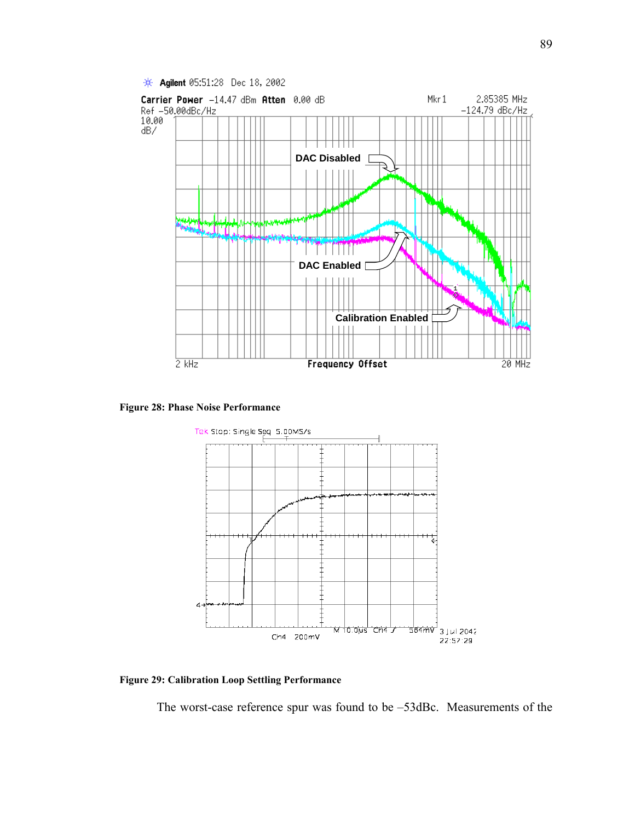

**Figure 28: Phase Noise Performance** 



**Figure 29: Calibration Loop Settling Performance** 

The worst-case reference spur was found to be –53dBc. Measurements of the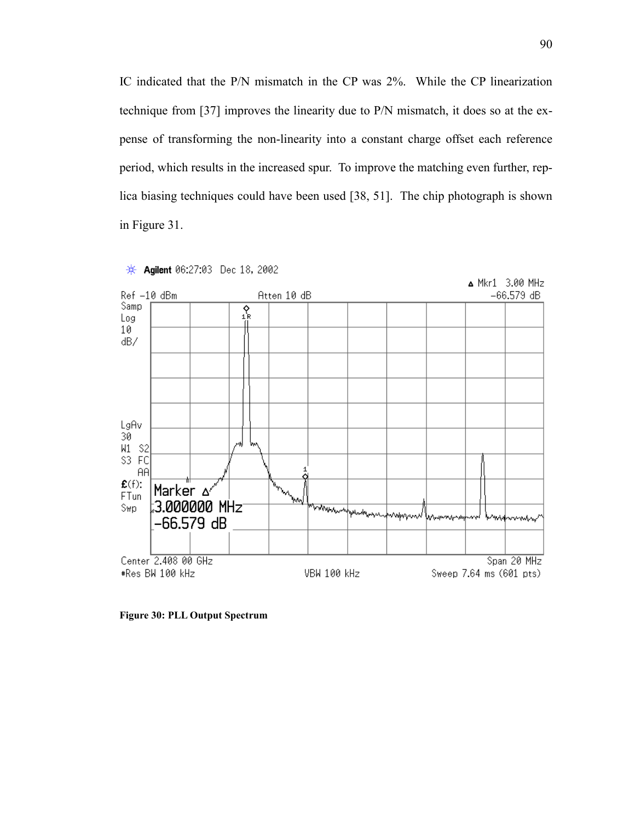IC indicated that the P/N mismatch in the CP was 2%. While the CP linearization technique from [37] improves the linearity due to P/N mismatch, it does so at the expense of transforming the non-linearity into a constant charge offset each reference period, which results in the increased spur. To improve the matching even further, replica biasing techniques could have been used [38, 51]. The chip photograph is shown in Figure 31.



Agilent 06:27:03 Dec 18, 2002 ₩.

**Figure 30: PLL Output Spectrum**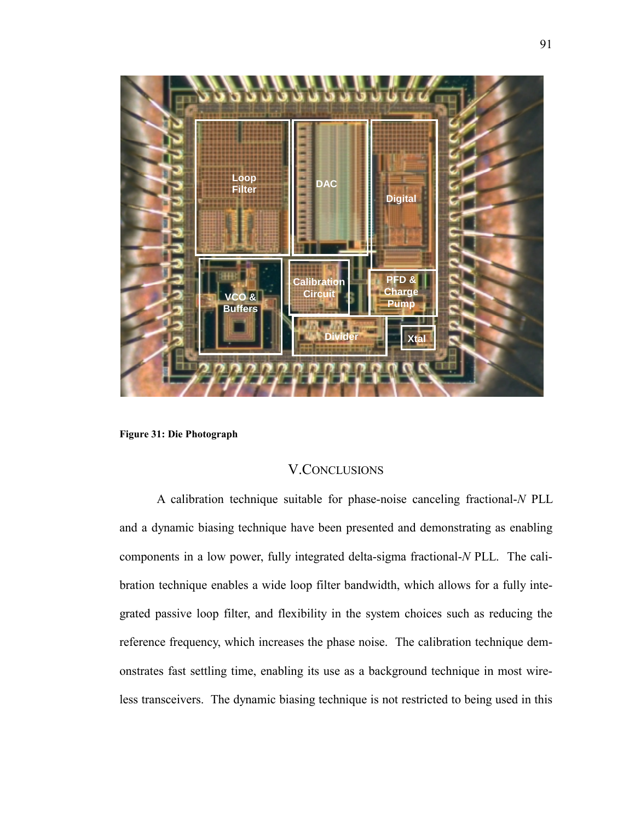

**Figure 31: Die Photograph** 

# V.CONCLUSIONS

A calibration technique suitable for phase-noise canceling fractional-*N* PLL and a dynamic biasing technique have been presented and demonstrating as enabling components in a low power, fully integrated delta-sigma fractional-*N* PLL. The calibration technique enables a wide loop filter bandwidth, which allows for a fully integrated passive loop filter, and flexibility in the system choices such as reducing the reference frequency, which increases the phase noise. The calibration technique demonstrates fast settling time, enabling its use as a background technique in most wireless transceivers. The dynamic biasing technique is not restricted to being used in this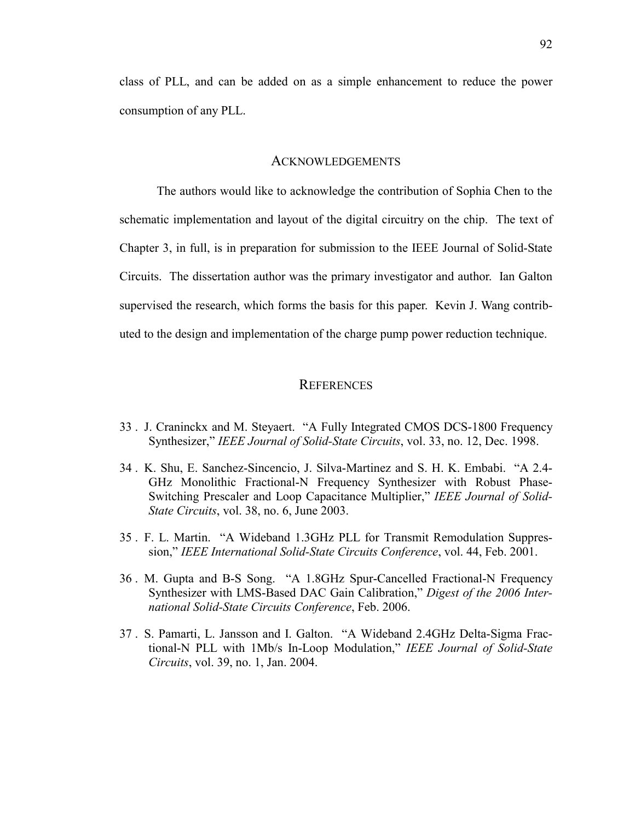class of PLL, and can be added on as a simple enhancement to reduce the power consumption of any PLL.

### ACKNOWLEDGEMENTS

The authors would like to acknowledge the contribution of Sophia Chen to the schematic implementation and layout of the digital circuitry on the chip. The text of Chapter 3, in full, is in preparation for submission to the IEEE Journal of Solid-State Circuits. The dissertation author was the primary investigator and author. Ian Galton supervised the research, which forms the basis for this paper. Kevin J. Wang contributed to the design and implementation of the charge pump power reduction technique.

## **REFERENCES**

- 33 . J. Craninckx and M. Steyaert. "A Fully Integrated CMOS DCS-1800 Frequency Synthesizer," *IEEE Journal of Solid-State Circuits*, vol. 33, no. 12, Dec. 1998.
- 34 . K. Shu, E. Sanchez-Sincencio, J. Silva-Martinez and S. H. K. Embabi. "A 2.4- GHz Monolithic Fractional-N Frequency Synthesizer with Robust Phase-Switching Prescaler and Loop Capacitance Multiplier," *IEEE Journal of Solid-State Circuits*, vol. 38, no. 6, June 2003.
- 35 . F. L. Martin. "A Wideband 1.3GHz PLL for Transmit Remodulation Suppression," *IEEE International Solid-State Circuits Conference*, vol. 44, Feb. 2001.
- 36 . M. Gupta and B-S Song. "A 1.8GHz Spur-Cancelled Fractional-N Frequency Synthesizer with LMS-Based DAC Gain Calibration," *Digest of the 2006 International Solid-State Circuits Conference*, Feb. 2006.
- 37 . S. Pamarti, L. Jansson and I. Galton. "A Wideband 2.4GHz Delta-Sigma Fractional-N PLL with 1Mb/s In-Loop Modulation," *IEEE Journal of Solid-State Circuits*, vol. 39, no. 1, Jan. 2004.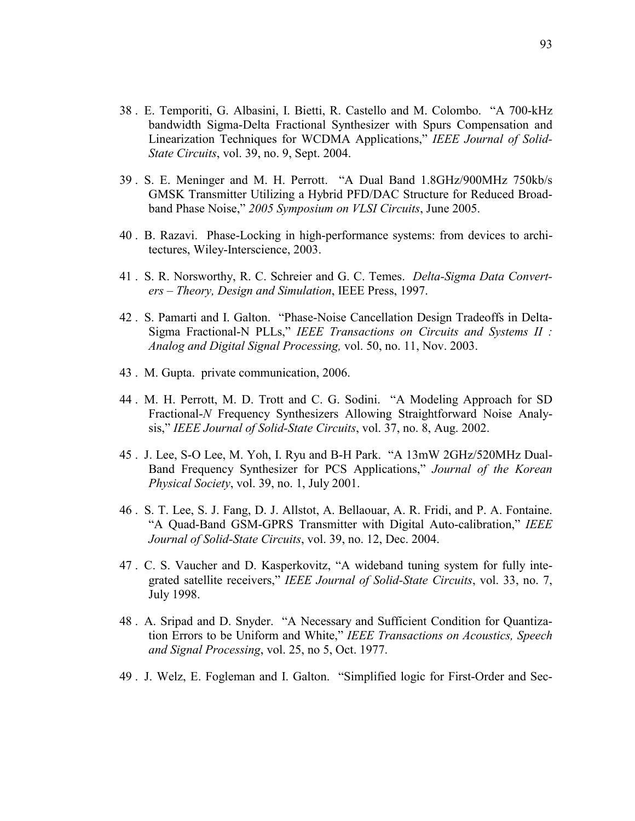- 38 . E. Temporiti, G. Albasini, I. Bietti, R. Castello and M. Colombo. "A 700-kHz bandwidth Sigma-Delta Fractional Synthesizer with Spurs Compensation and Linearization Techniques for WCDMA Applications," *IEEE Journal of Solid-State Circuits*, vol. 39, no. 9, Sept. 2004.
- 39 . S. E. Meninger and M. H. Perrott. "A Dual Band 1.8GHz/900MHz 750kb/s GMSK Transmitter Utilizing a Hybrid PFD/DAC Structure for Reduced Broadband Phase Noise," *2005 Symposium on VLSI Circuits*, June 2005.
- 40 . B. Razavi. Phase-Locking in high-performance systems: from devices to architectures, Wiley-Interscience, 2003.
- 41 . S. R. Norsworthy, R. C. Schreier and G. C. Temes. *Delta-Sigma Data Converters – Theory, Design and Simulation*, IEEE Press, 1997.
- 42 . S. Pamarti and I. Galton. "Phase-Noise Cancellation Design Tradeoffs in Delta-Sigma Fractional-N PLLs," *IEEE Transactions on Circuits and Systems II : Analog and Digital Signal Processing,* vol. 50, no. 11, Nov. 2003.
- 43 . M. Gupta. private communication, 2006.
- 44 . M. H. Perrott, M. D. Trott and C. G. Sodini. "A Modeling Approach for SD Fractional-*N* Frequency Synthesizers Allowing Straightforward Noise Analysis," *IEEE Journal of Solid-State Circuits*, vol. 37, no. 8, Aug. 2002.
- 45 . J. Lee, S-O Lee, M. Yoh, I. Ryu and B-H Park. "A 13mW 2GHz/520MHz Dual-Band Frequency Synthesizer for PCS Applications," *Journal of the Korean Physical Society*, vol. 39, no. 1, July 2001.
- 46 . S. T. Lee, S. J. Fang, D. J. Allstot, A. Bellaouar, A. R. Fridi, and P. A. Fontaine. "A Quad-Band GSM-GPRS Transmitter with Digital Auto-calibration," *IEEE Journal of Solid-State Circuits*, vol. 39, no. 12, Dec. 2004.
- 47 . C. S. Vaucher and D. Kasperkovitz, "A wideband tuning system for fully integrated satellite receivers," *IEEE Journal of Solid-State Circuits*, vol. 33, no. 7, July 1998.
- 48 . A. Sripad and D. Snyder. "A Necessary and Sufficient Condition for Quantization Errors to be Uniform and White," *IEEE Transactions on Acoustics, Speech and Signal Processing*, vol. 25, no 5, Oct. 1977.
- 49 . J. Welz, E. Fogleman and I. Galton. "Simplified logic for First-Order and Sec-